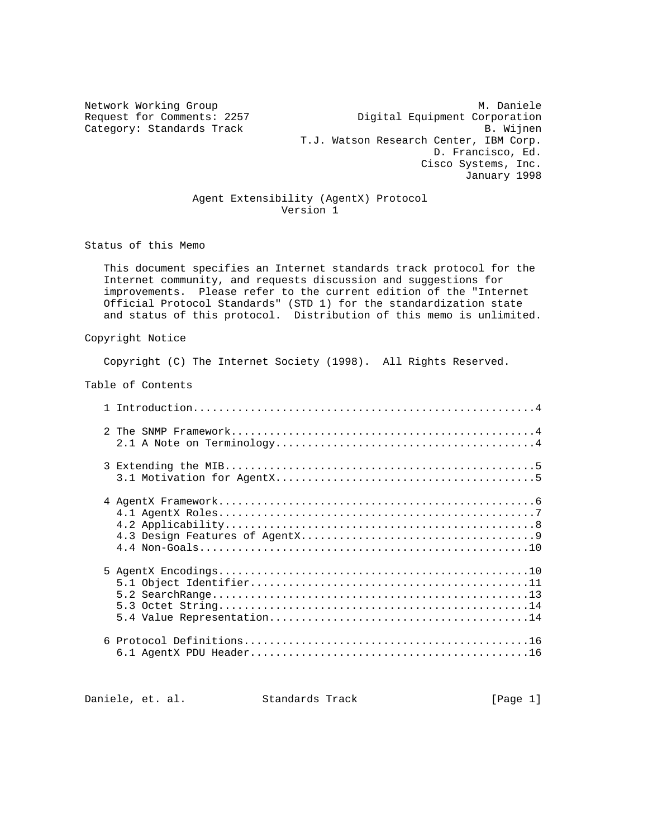Network Working Group Metwork Monicle Metwork Monicle Category: Standards Track

Request for Comments: 2257 <br>Category: Standards Track b. Wijnen T.J. Watson Research Center, IBM Corp. D. Francisco, Ed. Cisco Systems, Inc. January 1998

# Agent Extensibility (AgentX) Protocol Version 1

Status of this Memo

 This document specifies an Internet standards track protocol for the Internet community, and requests discussion and suggestions for improvements. Please refer to the current edition of the "Internet Official Protocol Standards" (STD 1) for the standardization state and status of this protocol. Distribution of this memo is unlimited.

Copyright Notice

Copyright (C) The Internet Society (1998). All Rights Reserved.

Table of Contents

| 6 |  |
|---|--|

Daniele, et. al. Standards Track [Page 1]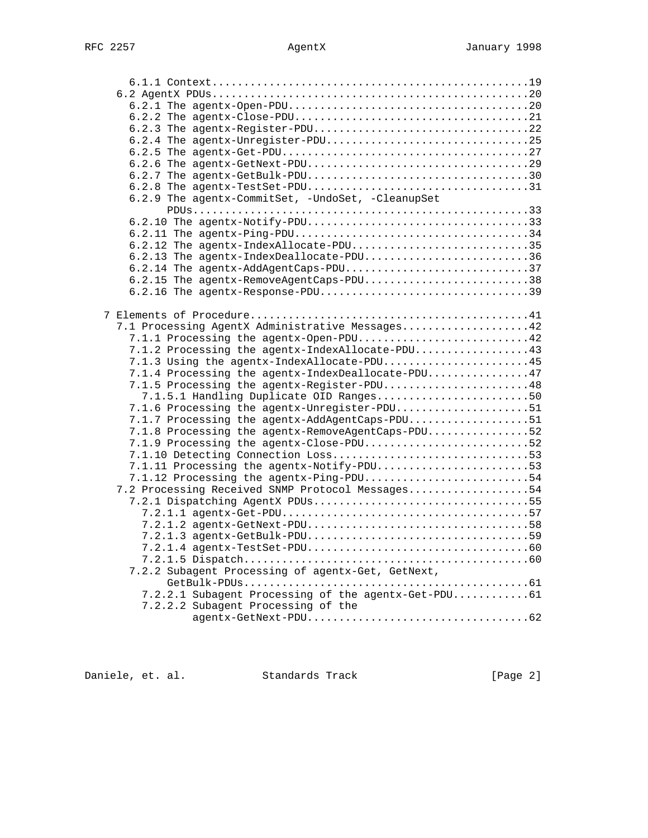| 6.2.3 The agentx-Register-PDU22                     |  |
|-----------------------------------------------------|--|
| 6.2.4 The agentx-Unregister-PDU25                   |  |
|                                                     |  |
|                                                     |  |
|                                                     |  |
|                                                     |  |
| 6.2.9 The agentx-CommitSet, -UndoSet, -CleanupSet   |  |
|                                                     |  |
|                                                     |  |
|                                                     |  |
| 6.2.12 The agentx-IndexAllocate-PDU35               |  |
| 6.2.13 The agentx-IndexDeallocate-PDU36             |  |
| 6.2.14 The agentx-AddAgentCaps-PDU37                |  |
| 6.2.15 The agentx-RemoveAgentCaps-PDU38             |  |
| 6.2.16 The agentx-Response-PDU39                    |  |
|                                                     |  |
|                                                     |  |
| 7.1 Processing AgentX Administrative Messages42     |  |
| 7.1.1 Processing the agentx-Open-PDU42              |  |
| 7.1.2 Processing the agentx-IndexAllocate-PDU43     |  |
| 7.1.3 Using the agentx-IndexAllocate-PDU45          |  |
| 7.1.4 Processing the agentx-IndexDeallocate-PDU47   |  |
| 7.1.5 Processing the agentx-Register-PDU48          |  |
| 7.1.5.1 Handling Duplicate OID Ranges50             |  |
| 7.1.6 Processing the agentx-Unregister-PDU51        |  |
| 7.1.7 Processing the agentx-AddAgentCaps-PDU51      |  |
| 7.1.8 Processing the agentx-RemoveAgentCaps-PDU52   |  |
| 7.1.9 Processing the agentx-Close-PDU52             |  |
| 7.1.10 Detecting Connection Loss53                  |  |
| 7.1.11 Processing the agentx-Notify-PDU53           |  |
| 7.1.12 Processing the agentx-Ping-PDU54             |  |
| 7.2 Processing Received SNMP Protocol Messages54    |  |
| 7.2.1 Dispatching AgentX PDUs55                     |  |
|                                                     |  |
| $7.2.1.2$ agentx-GetNext-PDU58                      |  |
|                                                     |  |
|                                                     |  |
|                                                     |  |
| 7.2.2 Subagent Processing of agentx-Get, GetNext,   |  |
|                                                     |  |
| 7.2.2.1 Subagent Processing of the agentx-Get-PDU61 |  |
| 7.2.2.2 Subagent Processing of the                  |  |
|                                                     |  |

Daniele, et. al. Standards Track [Page 2]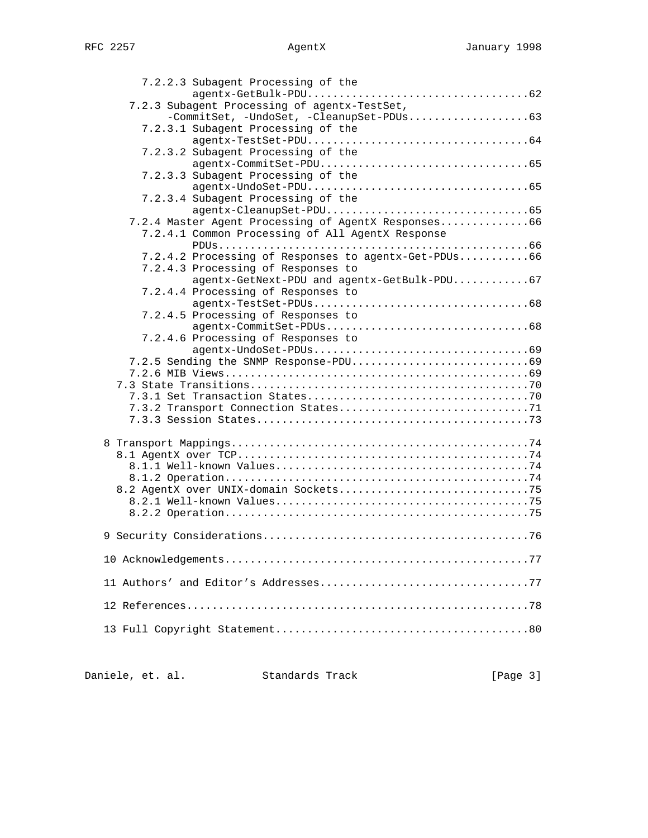| 7.2.2.3 Subagent Processing of the                   |  |
|------------------------------------------------------|--|
| 7.2.3 Subagent Processing of agentx-TestSet,         |  |
| -CommitSet, -UndoSet, -CleanupSet-PDUs63             |  |
| 7.2.3.1 Subagent Processing of the                   |  |
| 7.2.3.2 Subagent Processing of the                   |  |
|                                                      |  |
| 7.2.3.3 Subagent Processing of the                   |  |
|                                                      |  |
| 7.2.3.4 Subagent Processing of the                   |  |
|                                                      |  |
| 7.2.4 Master Agent Processing of AgentX Responses66  |  |
| 7.2.4.1 Common Processing of All AgentX Response     |  |
| 7.2.4.2 Processing of Responses to agentx-Get-PDUs66 |  |
| 7.2.4.3 Processing of Responses to                   |  |
| agentx-GetNext-PDU and agentx-GetBulk-PDU67          |  |
| 7.2.4.4 Processing of Responses to                   |  |
|                                                      |  |
| 7.2.4.5 Processing of Responses to                   |  |
|                                                      |  |
| 7.2.4.6 Processing of Responses to                   |  |
|                                                      |  |
|                                                      |  |
|                                                      |  |
|                                                      |  |
|                                                      |  |
|                                                      |  |
|                                                      |  |
|                                                      |  |
|                                                      |  |
|                                                      |  |
|                                                      |  |
|                                                      |  |
|                                                      |  |
|                                                      |  |
|                                                      |  |
|                                                      |  |
|                                                      |  |
|                                                      |  |

| Daniele, et. al. |  | Standards Track | [Page 3] |
|------------------|--|-----------------|----------|
|                  |  |                 |          |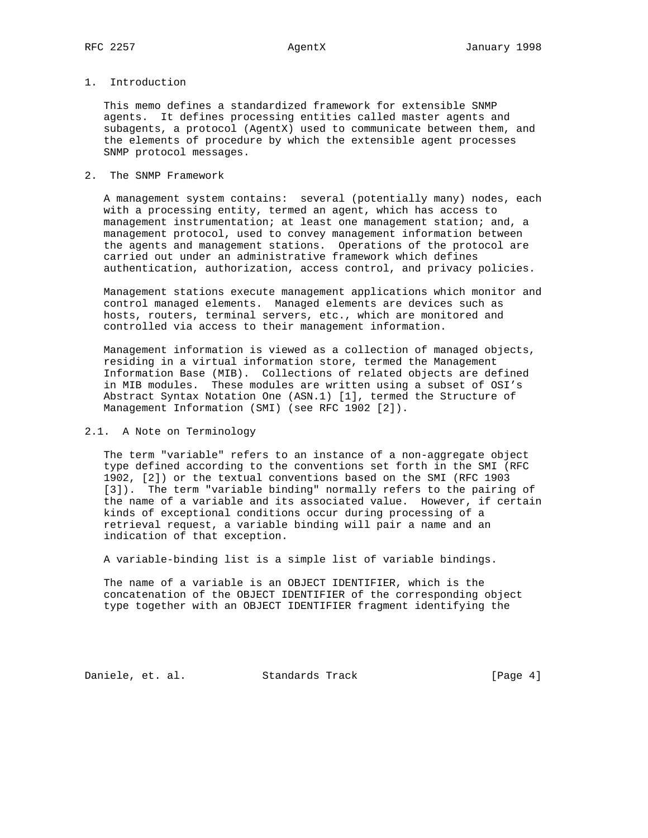# 1. Introduction

 This memo defines a standardized framework for extensible SNMP agents. It defines processing entities called master agents and subagents, a protocol (AgentX) used to communicate between them, and the elements of procedure by which the extensible agent processes SNMP protocol messages.

## 2. The SNMP Framework

 A management system contains: several (potentially many) nodes, each with a processing entity, termed an agent, which has access to management instrumentation; at least one management station; and, a management protocol, used to convey management information between the agents and management stations. Operations of the protocol are carried out under an administrative framework which defines authentication, authorization, access control, and privacy policies.

 Management stations execute management applications which monitor and control managed elements. Managed elements are devices such as hosts, routers, terminal servers, etc., which are monitored and controlled via access to their management information.

 Management information is viewed as a collection of managed objects, residing in a virtual information store, termed the Management Information Base (MIB). Collections of related objects are defined in MIB modules. These modules are written using a subset of OSI's Abstract Syntax Notation One (ASN.1) [1], termed the Structure of Management Information (SMI) (see RFC 1902 [2]).

### 2.1. A Note on Terminology

 The term "variable" refers to an instance of a non-aggregate object type defined according to the conventions set forth in the SMI (RFC 1902, [2]) or the textual conventions based on the SMI (RFC 1903 [3]). The term "variable binding" normally refers to the pairing of the name of a variable and its associated value. However, if certain kinds of exceptional conditions occur during processing of a retrieval request, a variable binding will pair a name and an indication of that exception.

A variable-binding list is a simple list of variable bindings.

 The name of a variable is an OBJECT IDENTIFIER, which is the concatenation of the OBJECT IDENTIFIER of the corresponding object type together with an OBJECT IDENTIFIER fragment identifying the

Daniele, et. al. Standards Track [Page 4]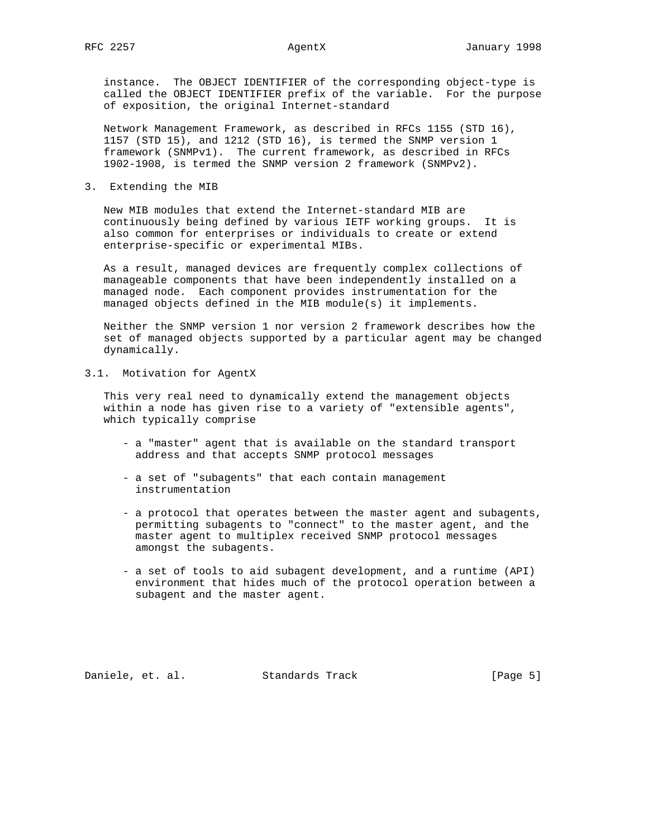instance. The OBJECT IDENTIFIER of the corresponding object-type is called the OBJECT IDENTIFIER prefix of the variable. For the purpose of exposition, the original Internet-standard

 Network Management Framework, as described in RFCs 1155 (STD 16), 1157 (STD 15), and 1212 (STD 16), is termed the SNMP version 1 framework (SNMPv1). The current framework, as described in RFCs 1902-1908, is termed the SNMP version 2 framework (SNMPv2).

## 3. Extending the MIB

 New MIB modules that extend the Internet-standard MIB are continuously being defined by various IETF working groups. It is also common for enterprises or individuals to create or extend enterprise-specific or experimental MIBs.

 As a result, managed devices are frequently complex collections of manageable components that have been independently installed on a managed node. Each component provides instrumentation for the managed objects defined in the MIB module(s) it implements.

 Neither the SNMP version 1 nor version 2 framework describes how the set of managed objects supported by a particular agent may be changed dynamically.

# 3.1. Motivation for AgentX

 This very real need to dynamically extend the management objects within a node has given rise to a variety of "extensible agents", which typically comprise

- a "master" agent that is available on the standard transport address and that accepts SNMP protocol messages
- a set of "subagents" that each contain management instrumentation
- a protocol that operates between the master agent and subagents, permitting subagents to "connect" to the master agent, and the master agent to multiplex received SNMP protocol messages amongst the subagents.
- a set of tools to aid subagent development, and a runtime (API) environment that hides much of the protocol operation between a subagent and the master agent.

Daniele, et. al. Standards Track [Page 5]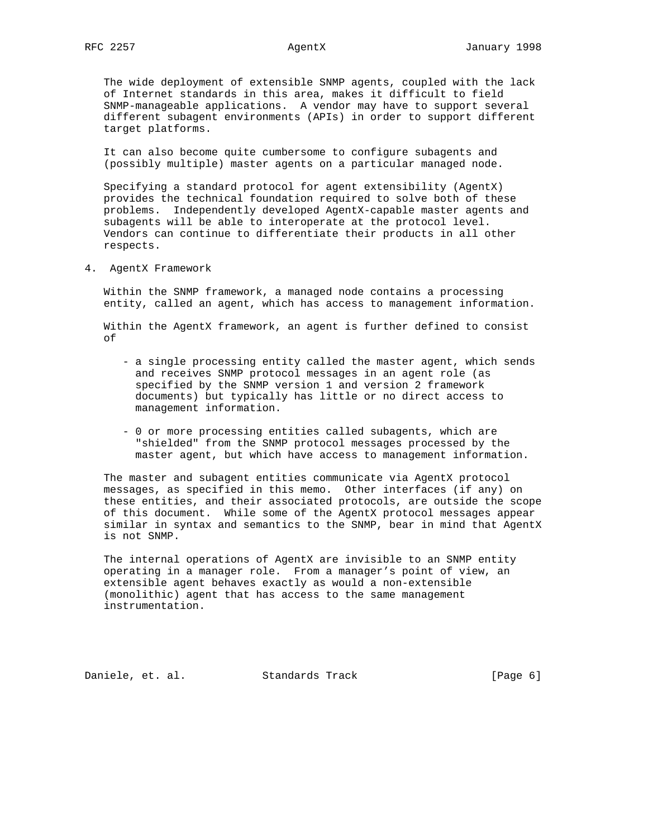The wide deployment of extensible SNMP agents, coupled with the lack of Internet standards in this area, makes it difficult to field SNMP-manageable applications. A vendor may have to support several different subagent environments (APIs) in order to support different target platforms.

 It can also become quite cumbersome to configure subagents and (possibly multiple) master agents on a particular managed node.

 Specifying a standard protocol for agent extensibility (AgentX) provides the technical foundation required to solve both of these problems. Independently developed AgentX-capable master agents and subagents will be able to interoperate at the protocol level. Vendors can continue to differentiate their products in all other respects.

4. AgentX Framework

 Within the SNMP framework, a managed node contains a processing entity, called an agent, which has access to management information.

 Within the AgentX framework, an agent is further defined to consist of

- a single processing entity called the master agent, which sends and receives SNMP protocol messages in an agent role (as specified by the SNMP version 1 and version 2 framework documents) but typically has little or no direct access to management information.
- 0 or more processing entities called subagents, which are "shielded" from the SNMP protocol messages processed by the master agent, but which have access to management information.

 The master and subagent entities communicate via AgentX protocol messages, as specified in this memo. Other interfaces (if any) on these entities, and their associated protocols, are outside the scope of this document. While some of the AgentX protocol messages appear similar in syntax and semantics to the SNMP, bear in mind that AgentX is not SNMP.

 The internal operations of AgentX are invisible to an SNMP entity operating in a manager role. From a manager's point of view, an extensible agent behaves exactly as would a non-extensible (monolithic) agent that has access to the same management instrumentation.

Daniele, et. al. Standards Track [Page 6]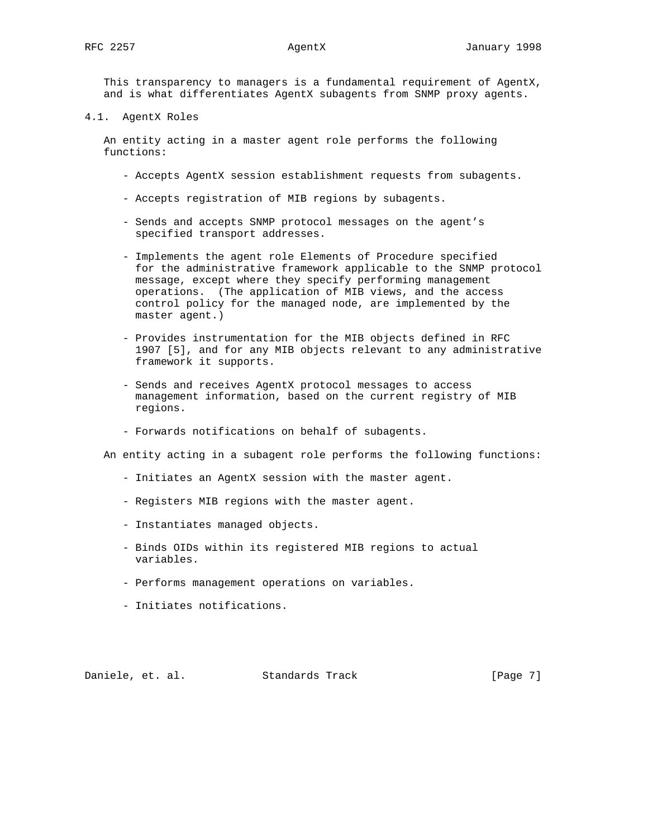This transparency to managers is a fundamental requirement of AgentX, and is what differentiates AgentX subagents from SNMP proxy agents.

4.1. AgentX Roles

 An entity acting in a master agent role performs the following functions:

- Accepts AgentX session establishment requests from subagents.
- Accepts registration of MIB regions by subagents.
- Sends and accepts SNMP protocol messages on the agent's specified transport addresses.
- Implements the agent role Elements of Procedure specified for the administrative framework applicable to the SNMP protocol message, except where they specify performing management operations. (The application of MIB views, and the access control policy for the managed node, are implemented by the master agent.)
- Provides instrumentation for the MIB objects defined in RFC 1907 [5], and for any MIB objects relevant to any administrative framework it supports.
- Sends and receives AgentX protocol messages to access management information, based on the current registry of MIB regions.
- Forwards notifications on behalf of subagents.

An entity acting in a subagent role performs the following functions:

- Initiates an AgentX session with the master agent.
- Registers MIB regions with the master agent.
- Instantiates managed objects.
- Binds OIDs within its registered MIB regions to actual variables.
- Performs management operations on variables.
- Initiates notifications.

Daniele, et. al. Standards Track [Page 7]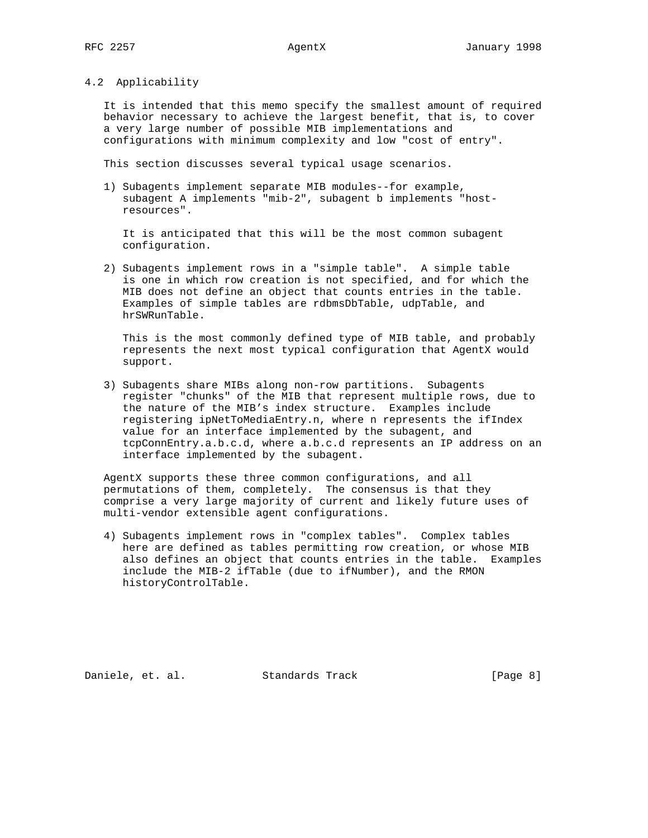## 4.2 Applicability

 It is intended that this memo specify the smallest amount of required behavior necessary to achieve the largest benefit, that is, to cover a very large number of possible MIB implementations and configurations with minimum complexity and low "cost of entry".

This section discusses several typical usage scenarios.

 1) Subagents implement separate MIB modules--for example, subagent A implements "mib-2", subagent b implements "host resources".

 It is anticipated that this will be the most common subagent configuration.

 2) Subagents implement rows in a "simple table". A simple table is one in which row creation is not specified, and for which the MIB does not define an object that counts entries in the table. Examples of simple tables are rdbmsDbTable, udpTable, and hrSWRunTable.

 This is the most commonly defined type of MIB table, and probably represents the next most typical configuration that AgentX would support.

 3) Subagents share MIBs along non-row partitions. Subagents register "chunks" of the MIB that represent multiple rows, due to the nature of the MIB's index structure. Examples include registering ipNetToMediaEntry.n, where n represents the ifIndex value for an interface implemented by the subagent, and tcpConnEntry.a.b.c.d, where a.b.c.d represents an IP address on an interface implemented by the subagent.

 AgentX supports these three common configurations, and all permutations of them, completely. The consensus is that they comprise a very large majority of current and likely future uses of multi-vendor extensible agent configurations.

 4) Subagents implement rows in "complex tables". Complex tables here are defined as tables permitting row creation, or whose MIB also defines an object that counts entries in the table. Examples include the MIB-2 ifTable (due to ifNumber), and the RMON historyControlTable.

Daniele, et. al. Standards Track [Page 8]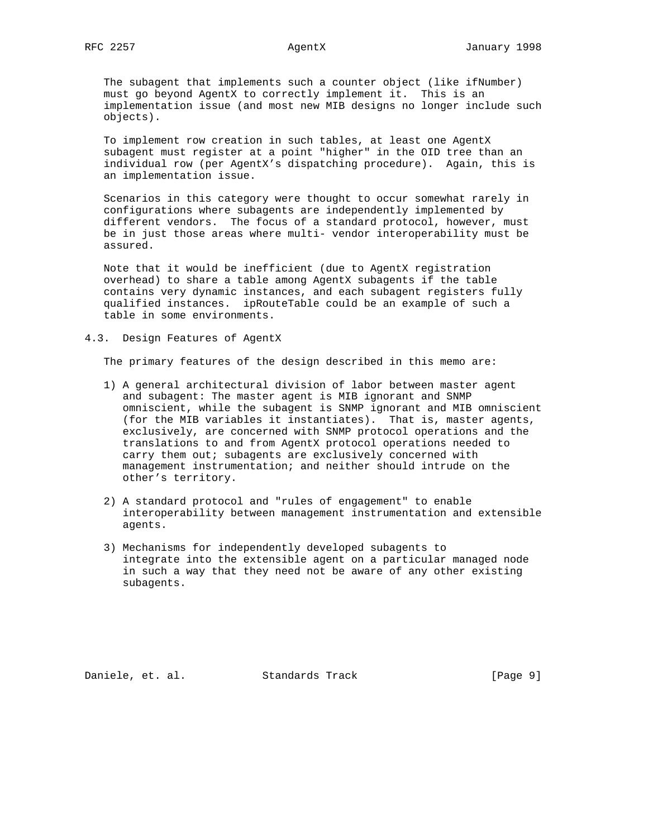The subagent that implements such a counter object (like ifNumber) must go beyond AgentX to correctly implement it. This is an implementation issue (and most new MIB designs no longer include such objects).

 To implement row creation in such tables, at least one AgentX subagent must register at a point "higher" in the OID tree than an individual row (per AgentX's dispatching procedure). Again, this is an implementation issue.

 Scenarios in this category were thought to occur somewhat rarely in configurations where subagents are independently implemented by different vendors. The focus of a standard protocol, however, must be in just those areas where multi- vendor interoperability must be assured.

 Note that it would be inefficient (due to AgentX registration overhead) to share a table among AgentX subagents if the table contains very dynamic instances, and each subagent registers fully qualified instances. ipRouteTable could be an example of such a table in some environments.

4.3. Design Features of AgentX

The primary features of the design described in this memo are:

- 1) A general architectural division of labor between master agent and subagent: The master agent is MIB ignorant and SNMP omniscient, while the subagent is SNMP ignorant and MIB omniscient (for the MIB variables it instantiates). That is, master agents, exclusively, are concerned with SNMP protocol operations and the translations to and from AgentX protocol operations needed to carry them out; subagents are exclusively concerned with management instrumentation; and neither should intrude on the other's territory.
- 2) A standard protocol and "rules of engagement" to enable interoperability between management instrumentation and extensible agents.
- 3) Mechanisms for independently developed subagents to integrate into the extensible agent on a particular managed node in such a way that they need not be aware of any other existing subagents.

Daniele, et. al. Standards Track [Page 9]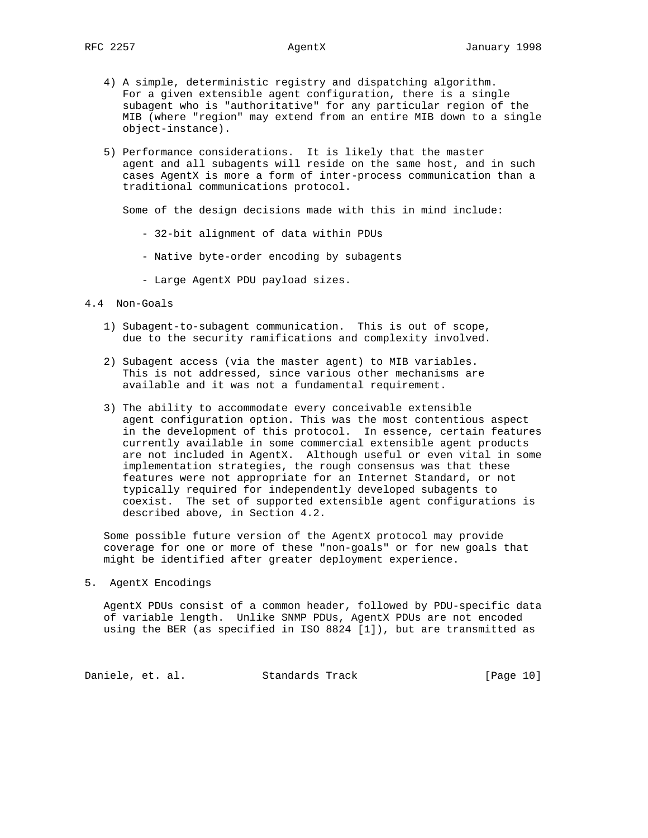- 4) A simple, deterministic registry and dispatching algorithm. For a given extensible agent configuration, there is a single subagent who is "authoritative" for any particular region of the MIB (where "region" may extend from an entire MIB down to a single object-instance).
- 5) Performance considerations. It is likely that the master agent and all subagents will reside on the same host, and in such cases AgentX is more a form of inter-process communication than a traditional communications protocol.

Some of the design decisions made with this in mind include:

- 32-bit alignment of data within PDUs
- Native byte-order encoding by subagents
- Large AgentX PDU payload sizes.
- 4.4 Non-Goals
	- 1) Subagent-to-subagent communication. This is out of scope, due to the security ramifications and complexity involved.
	- 2) Subagent access (via the master agent) to MIB variables. This is not addressed, since various other mechanisms are available and it was not a fundamental requirement.
	- 3) The ability to accommodate every conceivable extensible agent configuration option. This was the most contentious aspect in the development of this protocol. In essence, certain features currently available in some commercial extensible agent products are not included in AgentX. Although useful or even vital in some implementation strategies, the rough consensus was that these features were not appropriate for an Internet Standard, or not typically required for independently developed subagents to coexist. The set of supported extensible agent configurations is described above, in Section 4.2.

 Some possible future version of the AgentX protocol may provide coverage for one or more of these "non-goals" or for new goals that might be identified after greater deployment experience.

5. AgentX Encodings

 AgentX PDUs consist of a common header, followed by PDU-specific data of variable length. Unlike SNMP PDUs, AgentX PDUs are not encoded using the BER (as specified in ISO 8824 [1]), but are transmitted as

Daniele, et. al. Standards Track [Page 10]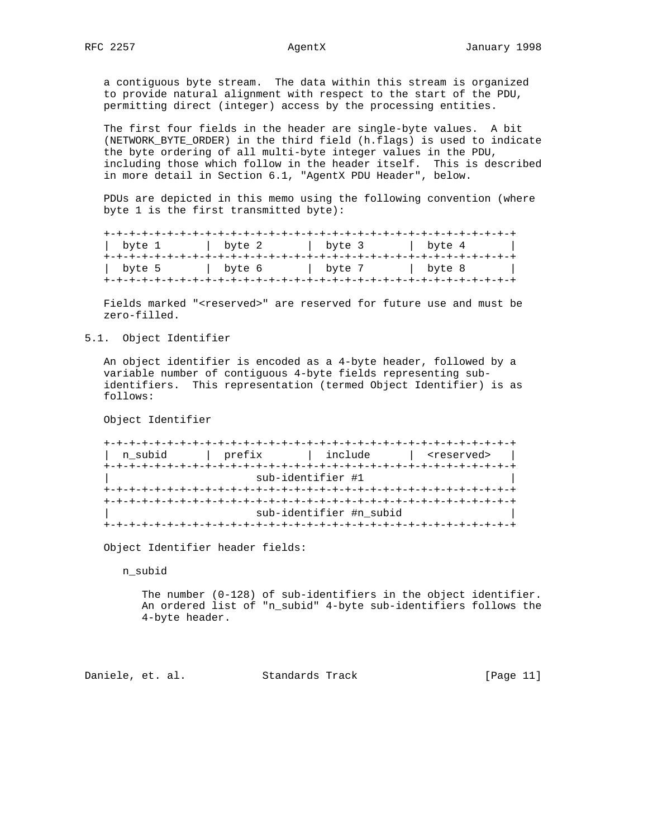a contiguous byte stream. The data within this stream is organized to provide natural alignment with respect to the start of the PDU, permitting direct (integer) access by the processing entities.

 The first four fields in the header are single-byte values. A bit (NETWORK\_BYTE\_ORDER) in the third field (h.flags) is used to indicate the byte ordering of all multi-byte integer values in the PDU, including those which follow in the header itself. This is described in more detail in Section 6.1, "AgentX PDU Header", below.

 PDUs are depicted in this memo using the following convention (where byte 1 is the first transmitted byte):

| byte 1 | byte 2 | byte 3 | byte 4 |
|--------|--------|--------|--------|
| byte 5 | byte 6 | byte 7 | byte 8 |

Fields marked "<reserved>" are reserved for future use and must be zero-filled.

5.1. Object Identifier

 An object identifier is encoded as a 4-byte header, followed by a variable number of contiguous 4-byte fields representing sub identifiers. This representation (termed Object Identifier) is as follows:

Object Identifier

| prefix | include | <reserved></reserved>                        |
|--------|---------|----------------------------------------------|
|        |         |                                              |
|        |         |                                              |
|        |         |                                              |
|        |         |                                              |
|        |         |                                              |
|        |         | sub-identifier #1<br>sub-identifier #n_subid |

Object Identifier header fields:

n\_subid

 The number (0-128) of sub-identifiers in the object identifier. An ordered list of "n\_subid" 4-byte sub-identifiers follows the 4-byte header.

Daniele, et. al. Standards Track [Page 11]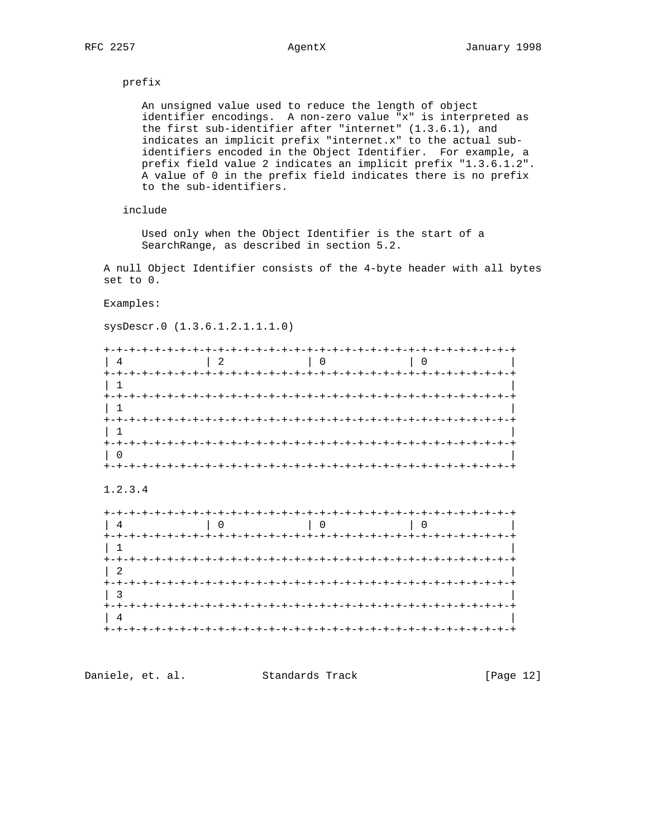## prefix

 An unsigned value used to reduce the length of object identifier encodings. A non-zero value "x" is interpreted as the first sub-identifier after "internet" (1.3.6.1), and indicates an implicit prefix "internet.x" to the actual sub identifiers encoded in the Object Identifier. For example, a prefix field value 2 indicates an implicit prefix "1.3.6.1.2". A value of 0 in the prefix field indicates there is no prefix to the sub-identifiers.

# include

 Used only when the Object Identifier is the start of a SearchRange, as described in section 5.2.

 A null Object Identifier consists of the 4-byte header with all bytes set to 0.

## Examples:

sysDescr.0 (1.3.6.1.2.1.1.1.0)

|                           |                |                                    |                | $-+$ |
|---------------------------|----------------|------------------------------------|----------------|------|
|                           | $\overline{2}$ | $\begin{array}{ccc} \n\end{array}$ | $\overline{0}$ |      |
| $+-+$                     |                |                                    |                |      |
|                           |                |                                    |                |      |
| $+-+ - +$                 |                |                                    |                |      |
| $+ - + - + - + - + - + -$ |                |                                    |                |      |
| $+-+ - +$                 |                |                                    |                |      |
|                           |                |                                    |                |      |

## 1.2.3.4

| $+-+$          |                |                 |  |
|----------------|----------------|-----------------|--|
| 4              | $\overline{0}$ | $\overline{0}$  |  |
| $+ - + -$      |                | +-+-+-+-+-+-+-+ |  |
|                |                |                 |  |
| +-+-+-+-+-+-+  |                |                 |  |
| 2              |                |                 |  |
| ナーナーナーナー       |                |                 |  |
| +-+-+-+-+-+-+- |                |                 |  |
|                |                |                 |  |
|                |                |                 |  |

| Daniele, et. al. | Standards Track | [Page 12] |  |
|------------------|-----------------|-----------|--|
|                  |                 |           |  |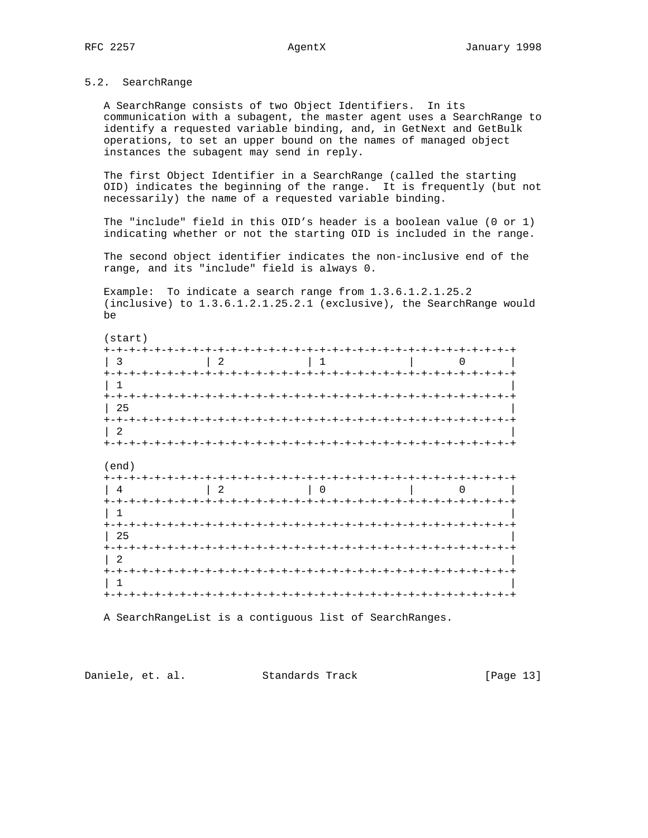# 5.2. SearchRange

 A SearchRange consists of two Object Identifiers. In its communication with a subagent, the master agent uses a SearchRange to identify a requested variable binding, and, in GetNext and GetBulk operations, to set an upper bound on the names of managed object instances the subagent may send in reply.

 The first Object Identifier in a SearchRange (called the starting OID) indicates the beginning of the range. It is frequently (but not necessarily) the name of a requested variable binding.

 The "include" field in this OID's header is a boolean value (0 or 1) indicating whether or not the starting OID is included in the range.

 The second object identifier indicates the non-inclusive end of the range, and its "include" field is always 0.

 Example: To indicate a search range from 1.3.6.1.2.1.25.2 (inclusive) to 1.3.6.1.2.1.25.2.1 (exclusive), the SearchRange would be

| $\cdot$ 3       | $\begin{array}{c c c c c c c} \hline 2 & 1 & 0 \\ \hline \end{array}$ |  |
|-----------------|-----------------------------------------------------------------------|--|
|                 |                                                                       |  |
| 25              |                                                                       |  |
| $+ - + - + - +$ |                                                                       |  |
|                 |                                                                       |  |

| 4                       | $\overline{2}$ |                                         |                          |
|-------------------------|----------------|-----------------------------------------|--------------------------|
| $+-+$                   |                |                                         | <b>- - + - + - + - +</b> |
|                         |                |                                         |                          |
| $+-+ - +$               |                | -+-+-+-+-+-+-+-+-+-+-+-+-+-+-+-+-+-+-+- |                          |
| 25                      |                |                                         |                          |
| $+ - + - +$             |                |                                         |                          |
| - 2                     |                |                                         |                          |
| $+-+ - +$               |                |                                         |                          |
|                         |                |                                         |                          |
| $+ - + - + - + - + - +$ |                | +-+-+-+-+-+-+-+-+-+-+-+-+-+-+-+-+-+-+   |                          |

A SearchRangeList is a contiguous list of SearchRanges.

Daniele, et. al. Standards Track [Page 13]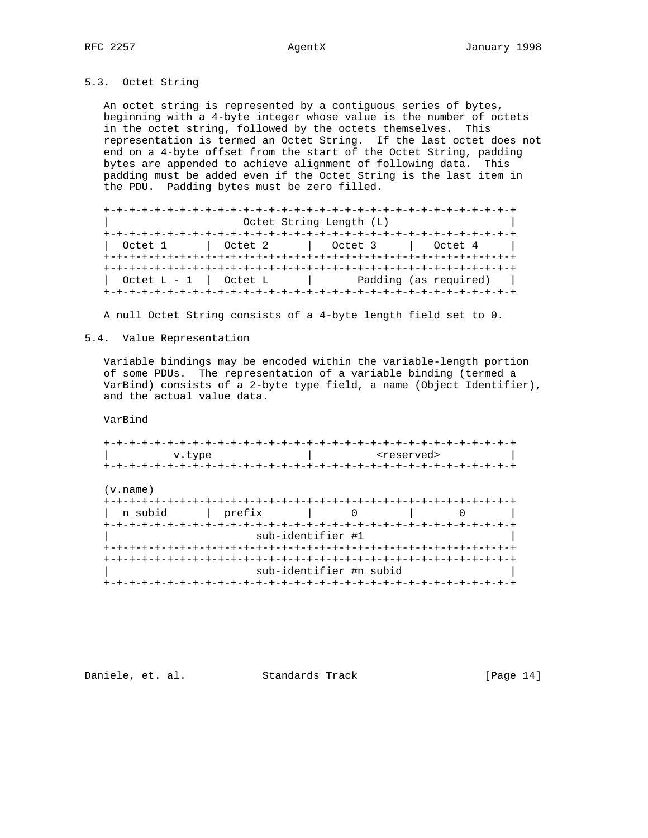# 5.3. Octet String

 An octet string is represented by a contiguous series of bytes, beginning with a 4-byte integer whose value is the number of octets in the octet string, followed by the octets themselves. This representation is termed an Octet String. If the last octet does not end on a 4-byte offset from the start of the Octet String, padding bytes are appended to achieve alignment of following data. This padding must be added even if the Octet String is the last item in the PDU. Padding bytes must be zero filled.

 +-+-+-+-+-+-+-+-+-+-+-+-+-+-+-+-+-+-+-+-+-+-+-+-+-+-+-+-+-+-+-+-+ Octet String Length (L) +-+-+-+-+-+-+-+-+-+-+-+-+-+-+-+-+-+-+-+-+-+-+-+-+-+-+-+-+-+-+-+-+ | Octet 1 | Octet 2 | Octet 3 | Octet 4 | +-+-+-+-+-+-+-+-+-+-+-+-+-+-+-+-+-+-+-+-+-+-+-+-+-+-+-+-+-+-+-+-+ +-+-+-+-+-+-+-+-+-+-+-+-+-+-+-+-+-+-+-+-+-+-+-+-+-+-+-+-+-+-+-+-+ | Octet L - 1 | Octet L | Padding (as required) | +-+-+-+-+-+-+-+-+-+-+-+-+-+-+-+-+-+-+-+-+-+-+-+-+-+-+-+-+-+-+-+-+

A null Octet String consists of a 4-byte length field set to 0.

## 5.4. Value Representation

 Variable bindings may be encoded within the variable-length portion of some PDUs. The representation of a variable binding (termed a VarBind) consists of a 2-byte type field, a name (Object Identifier), and the actual value data.

VarBind

| v.type            |                                     | <reserved></reserved> |  |
|-------------------|-------------------------------------|-----------------------|--|
|                   |                                     |                       |  |
| (v.name)          |                                     |                       |  |
| prefix<br>n subid | $\Omega$<br>the control of the con- |                       |  |
|                   | sub-identifier #1                   |                       |  |
|                   |                                     |                       |  |
|                   |                                     |                       |  |
|                   | sub-identifier #n_subid             |                       |  |
|                   | +-+-+-+-+-+-+-+-+-                  |                       |  |

Daniele, et. al. Standards Track [Page 14]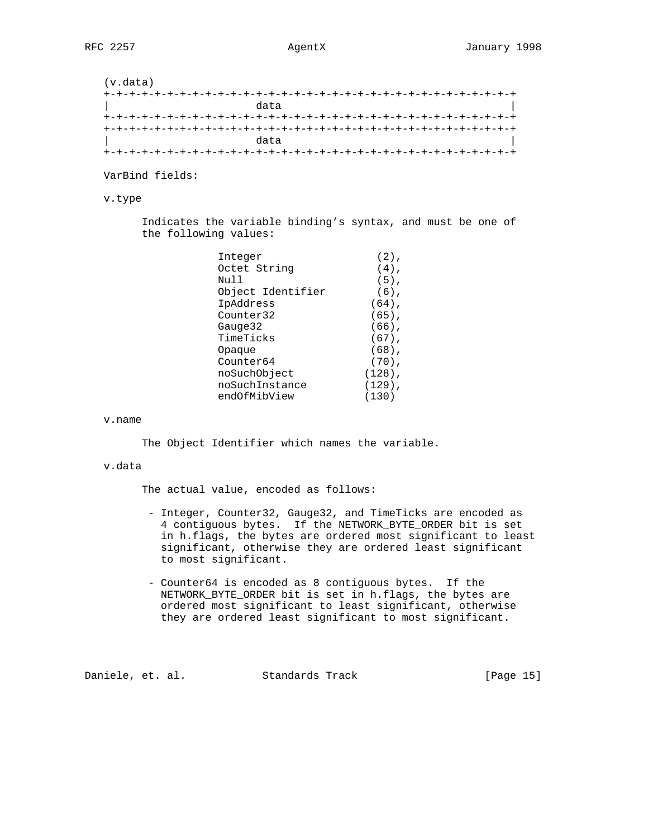(v.data) +-+-+-+-+-+-+-+-+-+-+-+-+-+-+-+-+-+-+-+-+-+-+-+-+-+-+-+-+-+-+-+-+ | data | data | data | data | data | data | data | data | data | data | data | data | data | data | data | dat +-+-+-+-+-+-+-+-+-+-+-+-+-+-+-+-+-+-+-+-+-+-+-+-+-+-+-+-+-+-+-+-+ +-+-+-+-+-+-+-+-+-+-+-+-+-+-+-+-+-+-+-+-+-+-+-+-+-+-+-+-+-+-+-+-+ | data | data | data | data | data | data | data | data | data | data | data | data | data | data | data | dat +-+-+-+-+-+-+-+-+-+-+-+-+-+-+-+-+-+-+-+-+-+-+-+-+-+-+-+-+-+-+-+-+

VarBind fields:

v.type

 Indicates the variable binding's syntax, and must be one of the following values:

| $(2)$ ,   |
|-----------|
| $(4)$ ,   |
| $(5)$ ,   |
| $(6)$ ,   |
| $(64)$ ,  |
| $(65)$ ,  |
| $(66)$ ,  |
| $(67)$ ,  |
| $(68)$ ,  |
| $(70)$ .  |
| $(128)$ , |
| $(129)$ , |
| (130)     |
|           |

v.name

The Object Identifier which names the variable.

## v.data

The actual value, encoded as follows:

- Integer, Counter32, Gauge32, and TimeTicks are encoded as 4 contiguous bytes. If the NETWORK\_BYTE\_ORDER bit is set in h.flags, the bytes are ordered most significant to least significant, otherwise they are ordered least significant to most significant.
- Counter64 is encoded as 8 contiguous bytes. If the NETWORK\_BYTE\_ORDER bit is set in h.flags, the bytes are ordered most significant to least significant, otherwise they are ordered least significant to most significant.

Daniele, et. al. Standards Track [Page 15]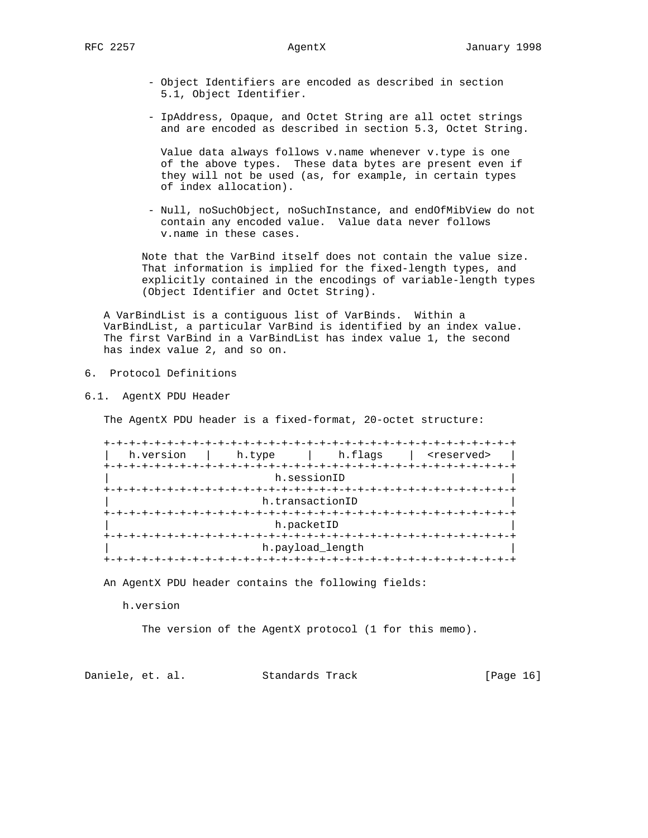- Object Identifiers are encoded as described in section 5.1, Object Identifier.
- IpAddress, Opaque, and Octet String are all octet strings and are encoded as described in section 5.3, Octet String.

 Value data always follows v.name whenever v.type is one of the above types. These data bytes are present even if they will not be used (as, for example, in certain types of index allocation).

 - Null, noSuchObject, noSuchInstance, and endOfMibView do not contain any encoded value. Value data never follows v.name in these cases.

 Note that the VarBind itself does not contain the value size. That information is implied for the fixed-length types, and explicitly contained in the encodings of variable-length types (Object Identifier and Octet String).

 A VarBindList is a contiguous list of VarBinds. Within a VarBindList, a particular VarBind is identified by an index value. The first VarBind in a VarBindList has index value 1, the second has index value 2, and so on.

- 6. Protocol Definitions
- 6.1. AgentX PDU Header

The AgentX PDU header is a fixed-format, 20-octet structure:

| h.version | h.type         | h.flags          | <reserved></reserved> |
|-----------|----------------|------------------|-----------------------|
|           |                | h.sessionID      |                       |
|           |                |                  |                       |
|           |                | h.transactionID  |                       |
|           | -+-+-+-+-+-+-+ |                  |                       |
|           | h.packetID     |                  |                       |
|           |                | h.payload_length |                       |

An AgentX PDU header contains the following fields:

h.version

The version of the AgentX protocol (1 for this memo).

Daniele, et. al. Standards Track [Page 16]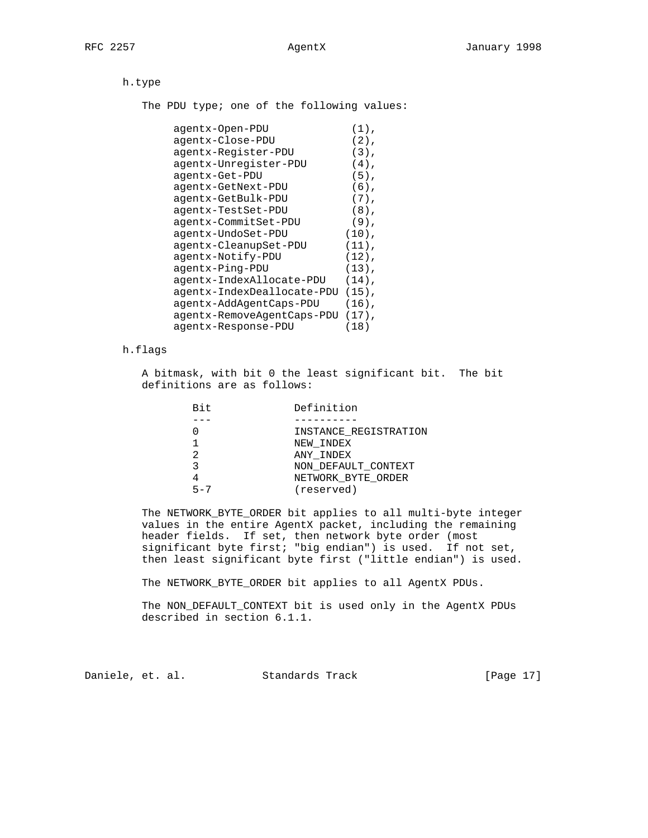h.type

The PDU type; one of the following values:

| agentx-Open-PDU            | $(1)$ ,  |
|----------------------------|----------|
| agentx-Close-PDU           | $(2)$ ,  |
| agentx-Register-PDU        | $(3)$ ,  |
| agentx-Unregister-PDU      | $(4)$ .  |
| agentx-Get-PDU             | $(5)$ .  |
| agentx-GetNext-PDU         | $(6)$ .  |
| agentx-GetBulk-PDU         | $(7)$ .  |
| agentx-TestSet-PDU         | $(8)$ .  |
| agentx-CommitSet-PDU       | $(9)$ .  |
| agentx-UndoSet-PDU         | $(10)$ , |
| agentx-CleanupSet-PDU      | $(11)$ , |
| agentx-Notify-PDU          | $(12)$ , |
| agentx-Ping-PDU            | $(13)$ , |
| agentx-IndexAllocate-PDU   | $(14)$ , |
| agentx-IndexDeallocate-PDU | $(15)$ , |
| agentx-AddAgentCaps-PDU    | $(16)$ , |
| agentx-RemoveAgentCaps-PDU | $(17)$ , |
| agentx-Response-PDU        | (18)     |

## h.flags

 A bitmask, with bit 0 the least significant bit. The bit definitions are as follows:

| Bit     | Definition            |
|---------|-----------------------|
|         |                       |
|         | INSTANCE REGISTRATION |
|         | NEW INDEX             |
|         | ANY INDEX             |
|         | NON DEFAULT CONTEXT   |
|         | NETWORK BYTE ORDER    |
| $5 - 7$ | (reserved)            |
|         |                       |

 The NETWORK\_BYTE\_ORDER bit applies to all multi-byte integer values in the entire AgentX packet, including the remaining header fields. If set, then network byte order (most significant byte first; "big endian") is used. If not set, then least significant byte first ("little endian") is used.

The NETWORK\_BYTE\_ORDER bit applies to all AgentX PDUs.

 The NON\_DEFAULT\_CONTEXT bit is used only in the AgentX PDUs described in section 6.1.1.

Daniele, et. al. Standards Track [Page 17]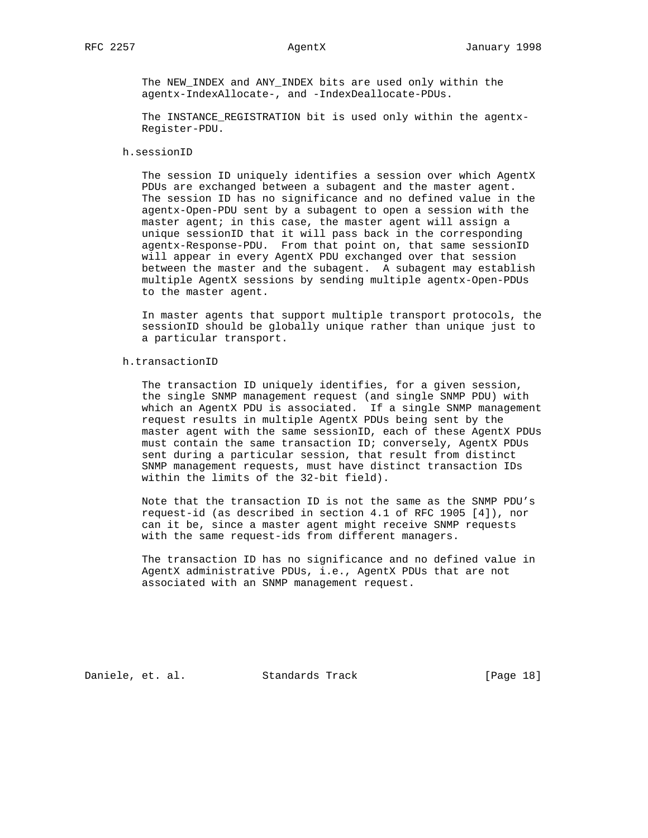The NEW\_INDEX and ANY\_INDEX bits are used only within the agentx-IndexAllocate-, and -IndexDeallocate-PDUs.

The INSTANCE REGISTRATION bit is used only within the agentx-Register-PDU.

## h.sessionID

 The session ID uniquely identifies a session over which AgentX PDUs are exchanged between a subagent and the master agent. The session ID has no significance and no defined value in the agentx-Open-PDU sent by a subagent to open a session with the master agent; in this case, the master agent will assign a unique sessionID that it will pass back in the corresponding agentx-Response-PDU. From that point on, that same sessionID will appear in every AgentX PDU exchanged over that session between the master and the subagent. A subagent may establish multiple AgentX sessions by sending multiple agentx-Open-PDUs to the master agent.

 In master agents that support multiple transport protocols, the sessionID should be globally unique rather than unique just to a particular transport.

h.transactionID

 The transaction ID uniquely identifies, for a given session, the single SNMP management request (and single SNMP PDU) with which an AgentX PDU is associated. If a single SNMP management request results in multiple AgentX PDUs being sent by the master agent with the same sessionID, each of these AgentX PDUs must contain the same transaction ID; conversely, AgentX PDUs sent during a particular session, that result from distinct SNMP management requests, must have distinct transaction IDs within the limits of the 32-bit field).

 Note that the transaction ID is not the same as the SNMP PDU's request-id (as described in section 4.1 of RFC 1905 [4]), nor can it be, since a master agent might receive SNMP requests with the same request-ids from different managers.

 The transaction ID has no significance and no defined value in AgentX administrative PDUs, i.e., AgentX PDUs that are not associated with an SNMP management request.

Daniele, et. al. Standards Track [Page 18]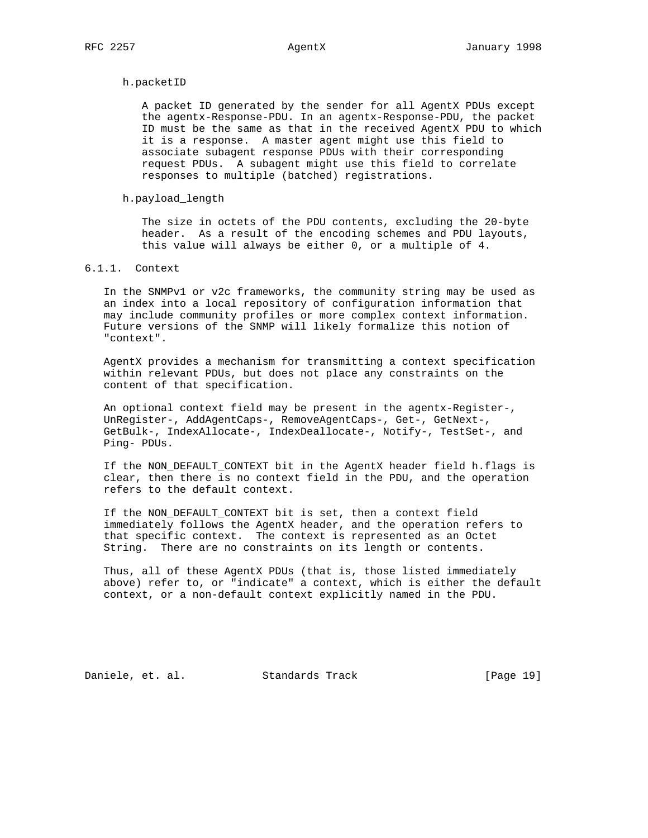### h.packetID

 A packet ID generated by the sender for all AgentX PDUs except the agentx-Response-PDU. In an agentx-Response-PDU, the packet ID must be the same as that in the received AgentX PDU to which it is a response. A master agent might use this field to associate subagent response PDUs with their corresponding request PDUs. A subagent might use this field to correlate responses to multiple (batched) registrations.

## h.payload\_length

 The size in octets of the PDU contents, excluding the 20-byte header. As a result of the encoding schemes and PDU layouts, this value will always be either 0, or a multiple of 4.

## 6.1.1. Context

 In the SNMPv1 or v2c frameworks, the community string may be used as an index into a local repository of configuration information that may include community profiles or more complex context information. Future versions of the SNMP will likely formalize this notion of "context".

 AgentX provides a mechanism for transmitting a context specification within relevant PDUs, but does not place any constraints on the content of that specification.

 An optional context field may be present in the agentx-Register-, UnRegister-, AddAgentCaps-, RemoveAgentCaps-, Get-, GetNext-, GetBulk-, IndexAllocate-, IndexDeallocate-, Notify-, TestSet-, and Ping- PDUs.

If the NON DEFAULT CONTEXT bit in the AgentX header field h.flags is clear, then there is no context field in the PDU, and the operation refers to the default context.

 If the NON\_DEFAULT\_CONTEXT bit is set, then a context field immediately follows the AgentX header, and the operation refers to that specific context. The context is represented as an Octet String. There are no constraints on its length or contents.

 Thus, all of these AgentX PDUs (that is, those listed immediately above) refer to, or "indicate" a context, which is either the default context, or a non-default context explicitly named in the PDU.

Daniele, et. al. Standards Track [Page 19]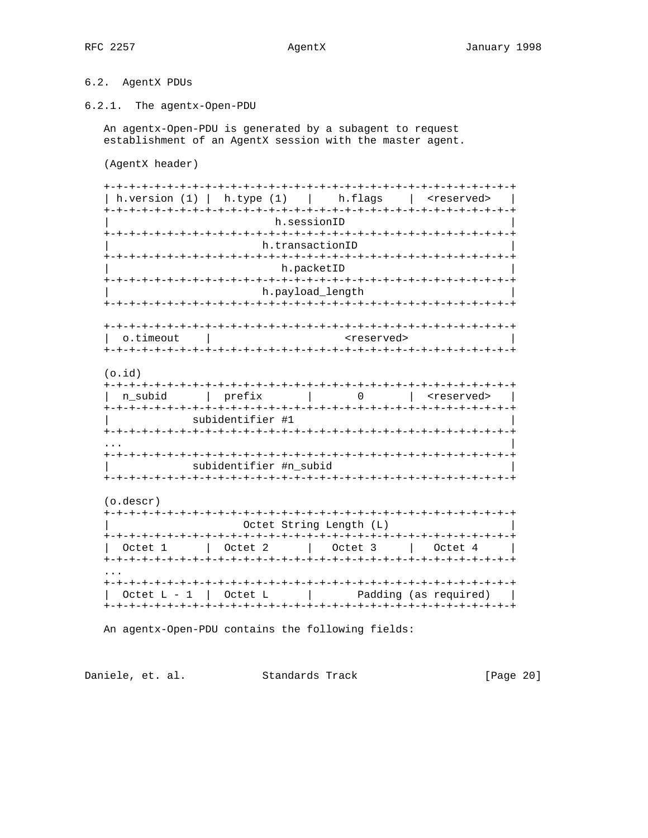# 6.2. AgentX PDUs

6.2.1. The agentx-Open-PDU

An agentx-Open-PDU is generated by a subagent to request establishment of an AgentX session with the master agent.

(AgentX header)

| h.version (1) | h.type (1) | h.flags | <reserved> | h.sessionID h.transactionID h.packetID h.payload\_length  $\circ$ .timeout | <reserved>  $(o.id)$ | n\_subid | prefix | 0 | <reserved> | subidentifier #1 subidentifier #n subid (o.descr) Octet String Length (L)  $\hbox{\rm Octet}$  1  $\hbox{\rm l}$   $\hbox{\rm Octet}$  2  $\hbox{\rm l}$  Octet 3  $\hbox{\rm l}$  Octet 4 | Octet L - 1 | Octet L | Padding (as required) |

An agentx-Open-PDU contains the following fields:

Daniele, et. al. Standards Track [Page 20]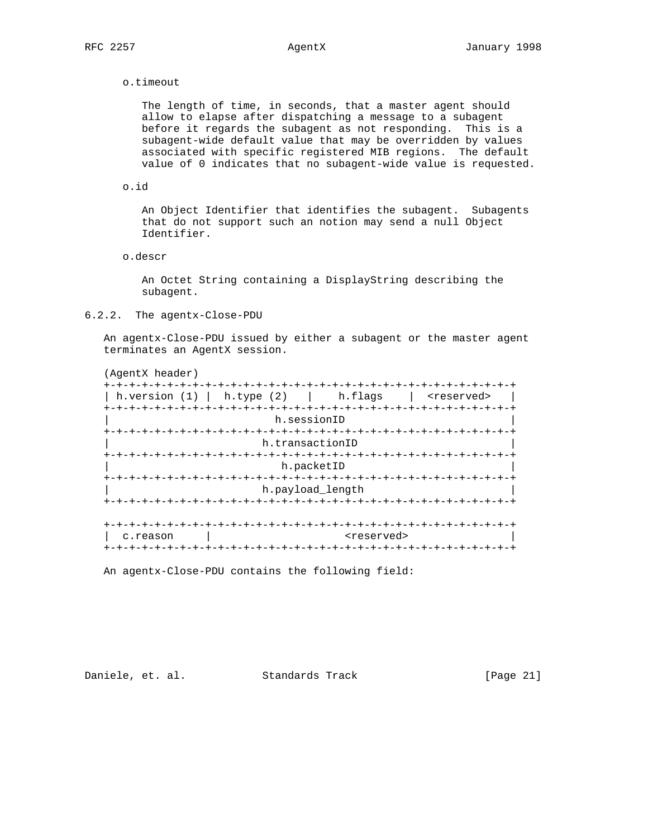### o.timeout

 The length of time, in seconds, that a master agent should allow to elapse after dispatching a message to a subagent before it regards the subagent as not responding. This is a subagent-wide default value that may be overridden by values associated with specific registered MIB regions. The default value of 0 indicates that no subagent-wide value is requested.

### o.id

 An Object Identifier that identifies the subagent. Subagents that do not support such an notion may send a null Object Identifier.

### o.descr

 An Octet String containing a DisplayString describing the subagent.

## 6.2.2. The agentx-Close-PDU

 An agentx-Close-PDU issued by either a subagent or the master agent terminates an AgentX session.

 (AgentX header) +-+-+-+-+-+-+-+-+-+-+-+-+-+-+-+-+-+-+-+-+-+-+-+-+-+-+-+-+-+-+-+-+ | h.version (1) | h.type (2) | h.flags | <reserved> | +-+-+-+-+-+-+-+-+-+-+-+-+-+-+-+-+-+-+-+-+-+-+-+-+-+-+-+-+-+-+-+-+ h.sessionID +-+-+-+-+-+-+-+-+-+-+-+-+-+-+-+-+-+-+-+-+-+-+-+-+-+-+-+-+-+-+-+-+ h.transactionID +-+-+-+-+-+-+-+-+-+-+-+-+-+-+-+-+-+-+-+-+-+-+-+-+-+-+-+-+-+-+-+-+ h.packetID +-+-+-+-+-+-+-+-+-+-+-+-+-+-+-+-+-+-+-+-+-+-+-+-+-+-+-+-+-+-+-+-+ h.payload\_length +-+-+-+-+-+-+-+-+-+-+-+-+-+-+-+-+-+-+-+-+-+-+-+-+-+-+-+-+-+-+-+-+ +-+-+-+-+-+-+-+-+-+-+-+-+-+-+-+-+-+-+-+-+-+-+-+-+-+-+-+-+-+-+-+-+ | c.reason | <teserved> +-+-+-+-+-+-+-+-+-+-+-+-+-+-+-+-+-+-+-+-+-+-+-+-+-+-+-+-+-+-+-+-+

An agentx-Close-PDU contains the following field:

Daniele, et. al. Standards Track [Page 21]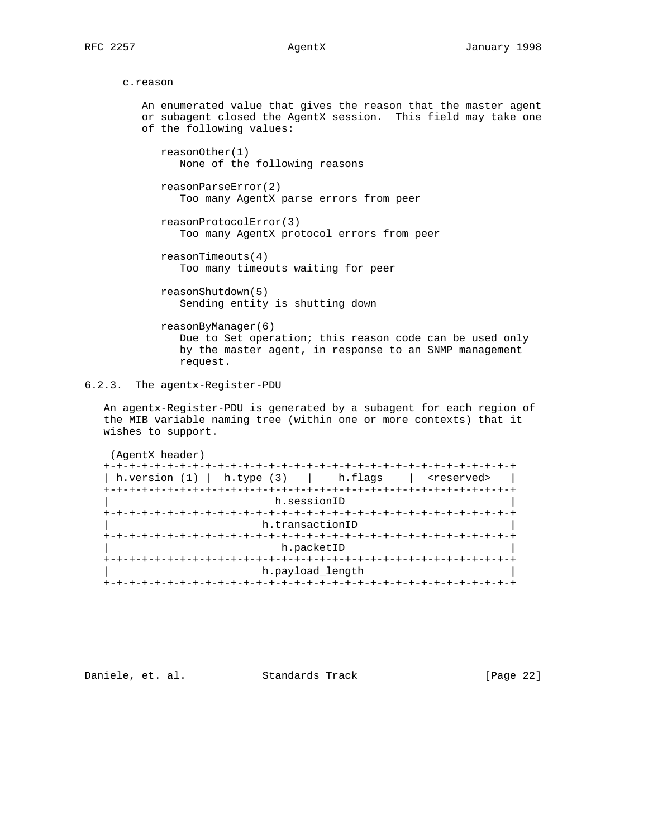```
 c.reason
```
 An enumerated value that gives the reason that the master agent or subagent closed the AgentX session. This field may take one of the following values: reasonOther(1) None of the following reasons reasonParseError(2) Too many AgentX parse errors from peer reasonProtocolError(3) Too many AgentX protocol errors from peer reasonTimeouts(4) Too many timeouts waiting for peer reasonShutdown(5) Sending entity is shutting down reasonByManager(6) Due to Set operation; this reason code can be used only by the master agent, in response to an SNMP management request.

6.2.3. The agentx-Register-PDU

 An agentx-Register-PDU is generated by a subagent for each region of the MIB variable naming tree (within one or more contexts) that it wishes to support.

(AgentX header)

| h.version $(1)$   h.type $(3)$   h.flags |                                         | <reserved></reserved> |
|------------------------------------------|-----------------------------------------|-----------------------|
|                                          | +-+-+-+-+-+-+-+-+-+-+-+-+-+-+-+-+-+-+-+ |                       |
| h.sessionID                              |                                         |                       |
| +-+-+-+-+-+-+-+-+-+                      |                                         |                       |
| h.transactionID                          |                                         |                       |
|                                          |                                         |                       |
|                                          | h.packetID                              |                       |
|                                          |                                         | -+-+-+-+-+-+-+-+-+-   |
|                                          | h.payload_length                        |                       |
|                                          |                                         |                       |

Daniele, et. al. Standards Track [Page 22]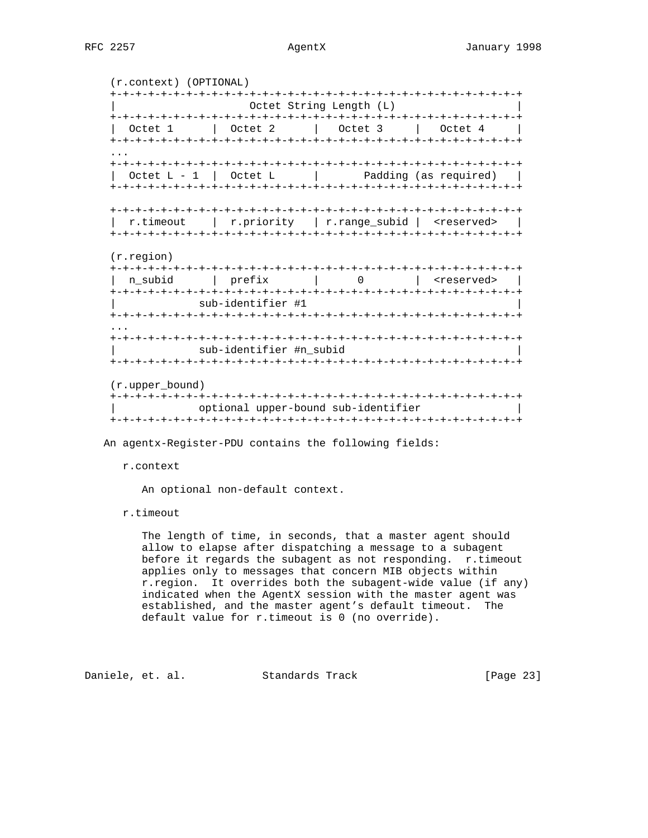(r.context) (OPTIONAL) +-+-+-+-+-+-+-+-+-+-+-+-+-+-+-+-+-+-+-+-+-+-+-+-+-+-+-+-+-+-+-+-+ Octet String Length (L) +-+-+-+-+-+-+-+-+-+-+-+-+-+-+-+-+-+-+-+-+-+-+-+-+-+-+-+-+-+-+-+-+ | Octet 1 | Octet 2 | Octet 3 | Octet 4 | +-+-+-+-+-+-+-+-+-+-+-+-+-+-+-+-+-+-+-+-+-+-+-+-+-+-+-+-+-+-+-+-+ ... +-+-+-+-+-+-+-+-+-+-+-+-+-+-+-+-+-+-+-+-+-+-+-+-+-+-+-+-+-+-+-+-+  $\text{Octet L - 1}$   $\text{Octet L}$  | Padding (as required) | +-+-+-+-+-+-+-+-+-+-+-+-+-+-+-+-+-+-+-+-+-+-+-+-+-+-+-+-+-+-+-+-+ +-+-+-+-+-+-+-+-+-+-+-+-+-+-+-+-+-+-+-+-+-+-+-+-+-+-+-+-+-+-+-+-+ | r.timeout | r.priority | r.range\_subid | <reserved> | +-+-+-+-+-+-+-+-+-+-+-+-+-+-+-+-+-+-+-+-+-+-+-+-+-+-+-+-+-+-+-+-+ (r.region) +-+-+-+-+-+-+-+-+-+-+-+-+-+-+-+-+-+-+-+-+-+-+-+-+-+-+-+-+-+-+-+-+ | n\_subid | prefix | 0 | <reserved> | +-+-+-+-+-+-+-+-+-+-+-+-+-+-+-+-+-+-+-+-+-+-+-+-+-+-+-+-+-+-+-+-+ sub-identifier #1 +-+-+-+-+-+-+-+-+-+-+-+-+-+-+-+-+-+-+-+-+-+-+-+-+-+-+-+-+-+-+-+-+ ... +-+-+-+-+-+-+-+-+-+-+-+-+-+-+-+-+-+-+-+-+-+-+-+-+-+-+-+-+-+-+-+-+ sub-identifier #n\_subid +-+-+-+-+-+-+-+-+-+-+-+-+-+-+-+-+-+-+-+-+-+-+-+-+-+-+-+-+-+-+-+-+ (r.upper\_bound) +-+-+-+-+-+-+-+-+-+-+-+-+-+-+-+-+-+-+-+-+-+-+-+-+-+-+-+-+-+-+-+-+ | optional upper-bound sub-identifier | +-+-+-+-+-+-+-+-+-+-+-+-+-+-+-+-+-+-+-+-+-+-+-+-+-+-+-+-+-+-+-+-+

An agentx-Register-PDU contains the following fields:

### r.context

An optional non-default context.

r.timeout

 The length of time, in seconds, that a master agent should allow to elapse after dispatching a message to a subagent before it regards the subagent as not responding. r.timeout applies only to messages that concern MIB objects within r.region. It overrides both the subagent-wide value (if any) indicated when the AgentX session with the master agent was established, and the master agent's default timeout. The default value for r.timeout is 0 (no override).

Daniele, et. al. Standards Track [Page 23]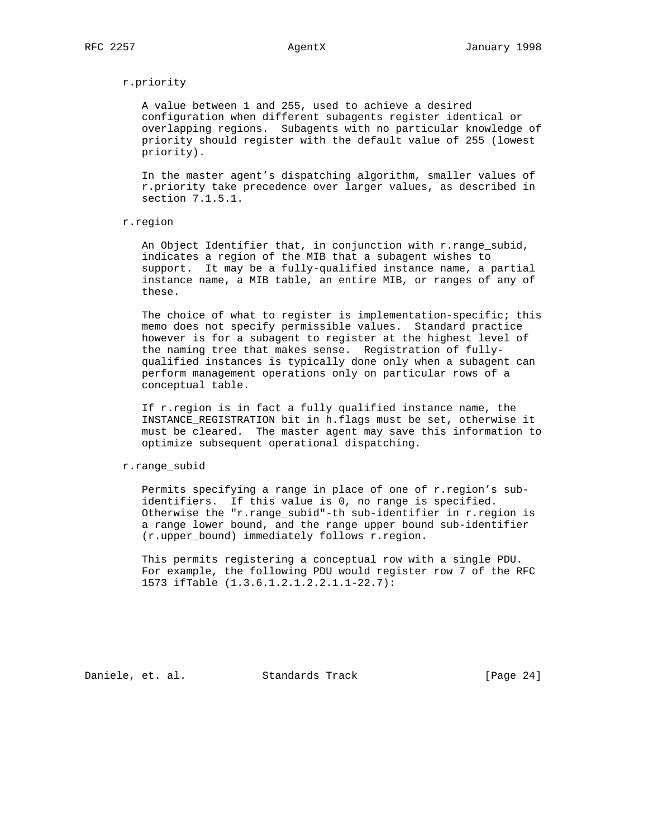## r.priority

 A value between 1 and 255, used to achieve a desired configuration when different subagents register identical or overlapping regions. Subagents with no particular knowledge of priority should register with the default value of 255 (lowest priority).

 In the master agent's dispatching algorithm, smaller values of r.priority take precedence over larger values, as described in section 7.1.5.1.

### r.region

 An Object Identifier that, in conjunction with r.range\_subid, indicates a region of the MIB that a subagent wishes to support. It may be a fully-qualified instance name, a partial instance name, a MIB table, an entire MIB, or ranges of any of these.

The choice of what to register is implementation-specific; this memo does not specify permissible values. Standard practice however is for a subagent to register at the highest level of the naming tree that makes sense. Registration of fully qualified instances is typically done only when a subagent can perform management operations only on particular rows of a conceptual table.

 If r.region is in fact a fully qualified instance name, the INSTANCE\_REGISTRATION bit in h.flags must be set, otherwise it must be cleared. The master agent may save this information to optimize subsequent operational dispatching.

### r.range\_subid

 Permits specifying a range in place of one of r.region's sub identifiers. If this value is 0, no range is specified. Otherwise the "r.range\_subid"-th sub-identifier in r.region is a range lower bound, and the range upper bound sub-identifier (r.upper\_bound) immediately follows r.region.

 This permits registering a conceptual row with a single PDU. For example, the following PDU would register row 7 of the RFC 1573 ifTable (1.3.6.1.2.1.2.2.1.1-22.7):

Daniele, et. al. Standards Track [Page 24]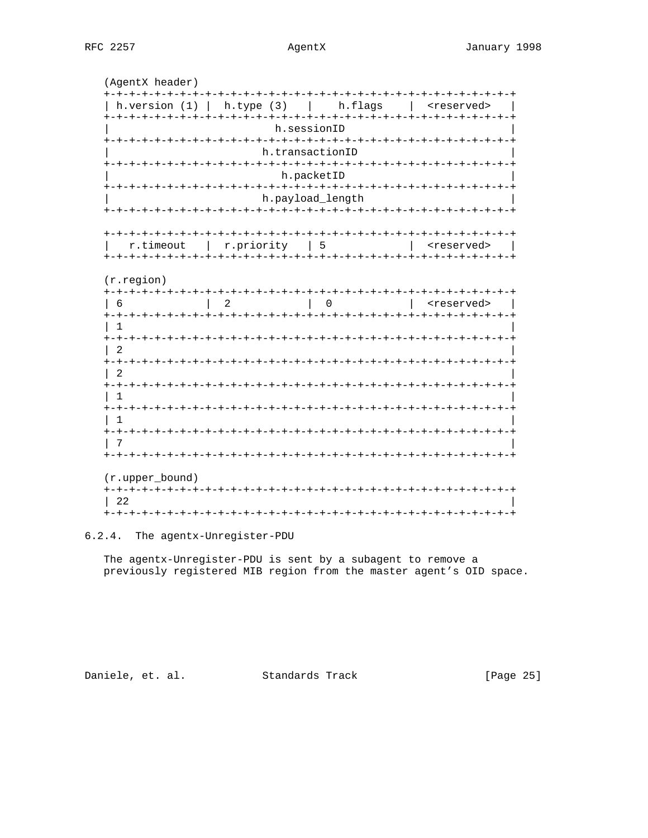## AgentX

| (AgentX header)                |                     |                        |                                             |
|--------------------------------|---------------------|------------------------|---------------------------------------------|
| h.version $(1)$                | h. type (3)         | h.flags                | <reserved></reserved>                       |
|                                |                     | h.sessionID            |                                             |
|                                |                     | h.transactionID        |                                             |
|                                |                     | h.packetID             |                                             |
|                                |                     | h.payload_length       |                                             |
|                                |                     |                        |                                             |
| +-+-+-+-+-+-+-+-+<br>r.timeout | r.priority          | 5                      | <reserved><br/>+-+-+-+-+-+-+-+-+</reserved> |
| $(r.\text{region})$            |                     |                        |                                             |
| 6                              | 2                   | 0                      | <reserved></reserved>                       |
|                                | - + – + – + – + – + |                        | -+-+-+-+-+-+-+-+-+-+-+-+-+-+-+-             |
| 2                              |                     |                        |                                             |
|                                |                     |                        |                                             |
| <b>ナーナーナーナーナーナーナーナーナ</b>       |                     |                        |                                             |
| 1                              |                     |                        | -+-+-+-+-+-+-+-+-+-+-+-+-+-+-               |
|                                |                     |                        |                                             |
| (r.upper_bound)                |                     | -+-+-+-+-+-+-+-+-+-+-+ |                                             |
| <b>+-+-+-+-+-+-+-+-+</b><br>22 |                     |                        |                                             |
|                                |                     |                        |                                             |

6.2.4. The agentx-Unregister-PDU

The agentx-Unregister-PDU is sent by a subagent to remove a previously registered MIB region from the master agent's OID space.

Daniele, et. al. Standards Track

[Page 25]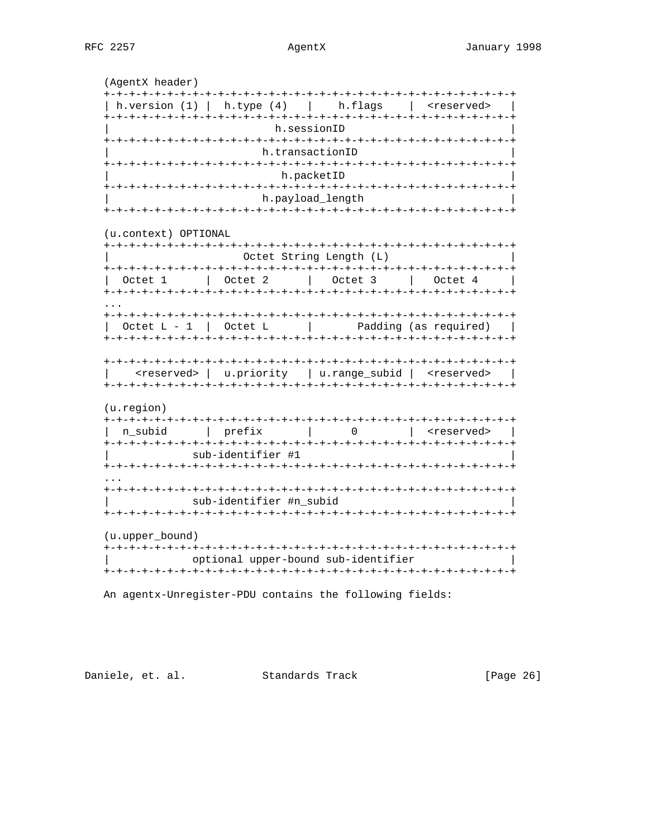## AgentX

(AgentX header) | h.version (1) | h.type (4) | h.flags | <reserved> | h.sessionID h.transactionID h.packetID h.payload\_length (u.context) OPTIONAL Octet String Length (L) | <reserved> | u.priority | u.range\_subid | <reserved> |  $(u.\text{region})$ | n\_subid | prefix | 0 | <reserved> | sub-identifier #1 sub-identifier #n subid (u.upper\_bound) optional upper-bound sub-identifier 

An agentx-Unregister-PDU contains the following fields:

Daniele, et. al. Standards Track

[Page 26]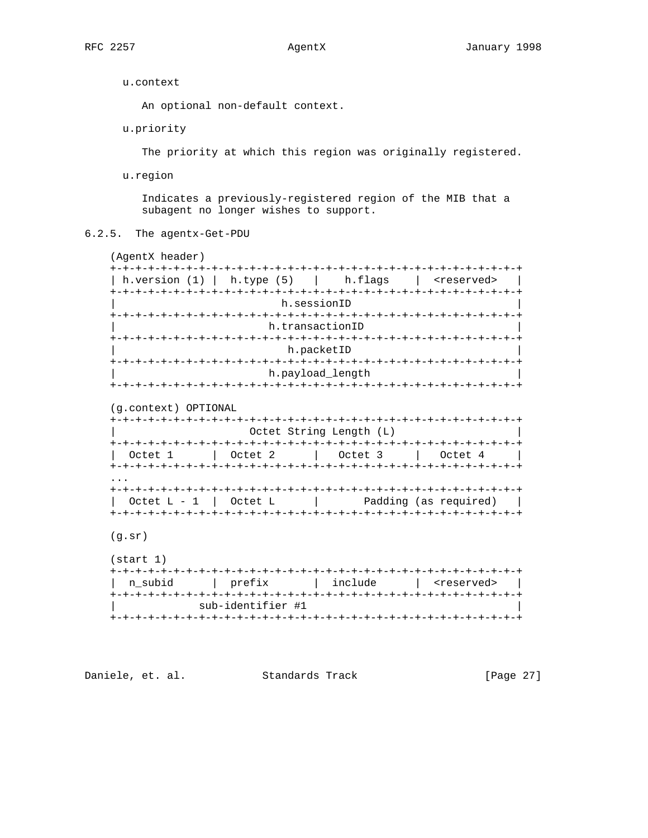u.context

An optional non-default context.

u.priority

The priority at which this region was originally registered.

u.region

 Indicates a previously-registered region of the MIB that a subagent no longer wishes to support.

6.2.5. The agentx-Get-PDU

 (AgentX header) +-+-+-+-+-+-+-+-+-+-+-+-+-+-+-+-+-+-+-+-+-+-+-+-+-+-+-+-+-+-+-+-+ | h.version (1) | h.type (5) | h.flags | <reserved> | +-+-+-+-+-+-+-+-+-+-+-+-+-+-+-+-+-+-+-+-+-+-+-+-+-+-+-+-+-+-+-+-+ h.sessionID +-+-+-+-+-+-+-+-+-+-+-+-+-+-+-+-+-+-+-+-+-+-+-+-+-+-+-+-+-+-+-+-+ h.transactionID +-+-+-+-+-+-+-+-+-+-+-+-+-+-+-+-+-+-+-+-+-+-+-+-+-+-+-+-+-+-+-+-+ h.packetID +-+-+-+-+-+-+-+-+-+-+-+-+-+-+-+-+-+-+-+-+-+-+-+-+-+-+-+-+-+-+-+-+ h.payload\_length +-+-+-+-+-+-+-+-+-+-+-+-+-+-+-+-+-+-+-+-+-+-+-+-+-+-+-+-+-+-+-+-+ (g.context) OPTIONAL +-+-+-+-+-+-+-+-+-+-+-+-+-+-+-+-+-+-+-+-+-+-+-+-+-+-+-+-+-+-+-+-+ Octet String Length (L) +-+-+-+-+-+-+-+-+-+-+-+-+-+-+-+-+-+-+-+-+-+-+-+-+-+-+-+-+-+-+-+-+ 0ctet 1 | Octet 2 | Octet 3 | Octet 4 | +-+-+-+-+-+-+-+-+-+-+-+-+-+-+-+-+-+-+-+-+-+-+-+-+-+-+-+-+-+-+-+-+ ... +-+-+-+-+-+-+-+-+-+-+-+-+-+-+-+-+-+-+-+-+-+-+-+-+-+-+-+-+-+-+-+-+  $\text{Octet } L - 1$  | Octet L | Padding (as required) | +-+-+-+-+-+-+-+-+-+-+-+-+-+-+-+-+-+-+-+-+-+-+-+-+-+-+-+-+-+-+-+-+ (g.sr) (start 1) +-+-+-+-+-+-+-+-+-+-+-+-+-+-+-+-+-+-+-+-+-+-+-+-+-+-+-+-+-+-+-+-+ | n\_subid | prefix | include | <reserved> |

 +-+-+-+-+-+-+-+-+-+-+-+-+-+-+-+-+-+-+-+-+-+-+-+-+-+-+-+-+-+-+-+-+ sub-identifier #1 +-+-+-+-+-+-+-+-+-+-+-+-+-+-+-+-+-+-+-+-+-+-+-+-+-+-+-+-+-+-+-+-+

Daniele, et. al. Standards Track [Page 27]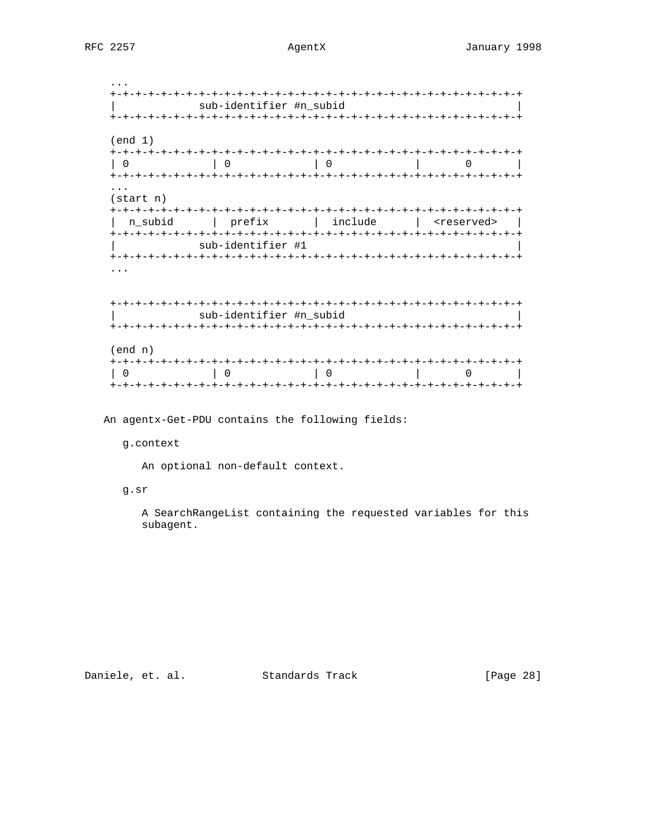## AgentX

|                                  | sub-identifier #n_subid                  |                                           |  |
|----------------------------------|------------------------------------------|-------------------------------------------|--|
| (end 1)<br>$\Omega$              | 0                                        | $\begin{array}{ccc} \hline \end{array}$ 0 |  |
| $(\text{start} \; n)$<br>n subid | prefix   include   <reserved></reserved> |                                           |  |
|                                  | sub-identifier #1                        |                                           |  |
|                                  | sub-identifier #n subid                  |                                           |  |

| (end n) |  |  |  |
|---------|--|--|--|
|         |  |  |  |
|         |  |  |  |
|         |  |  |  |

An agentx-Get-PDU contains the following fields:

## g.context

An optional non-default context.

## g.sr

A SearchRangeList containing the requested variables for this subagent.

Daniele, et. al. Standards Track

[Page 28]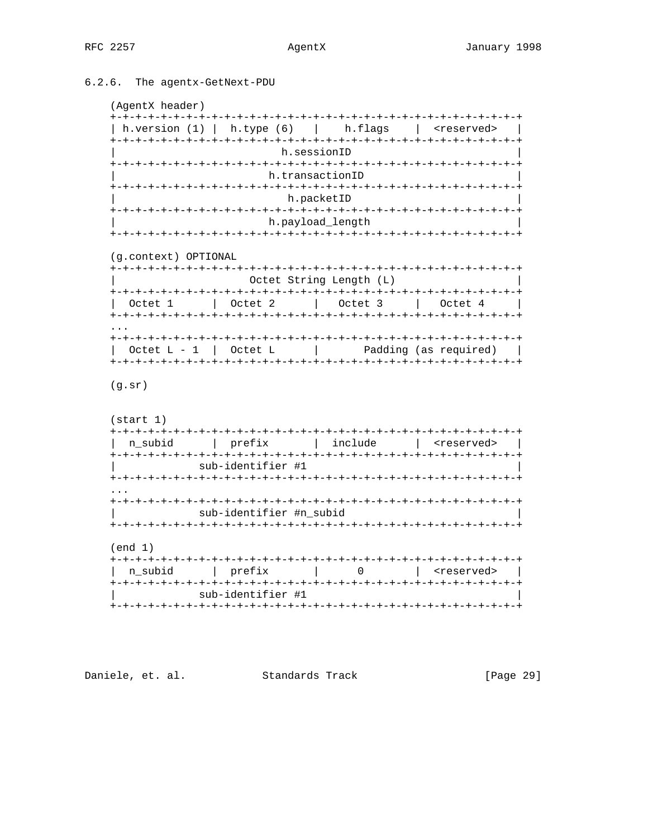# 6.2.6. The agentx-GetNext-PDU

```
(AgentX header)
```

| I GACTICY TICANCT !                   |                         |                                                   |                                                                |
|---------------------------------------|-------------------------|---------------------------------------------------|----------------------------------------------------------------|
|                                       |                         |                                                   | h.version (1)   h.type (6)   h.flags   <reserved>  </reserved> |
|                                       | h.sessionID             |                                                   |                                                                |
|                                       |                         | h.transactionID                                   |                                                                |
|                                       |                         | h.packetID                                        |                                                                |
|                                       |                         | h.payload_length                                  |                                                                |
|                                       |                         |                                                   |                                                                |
| (g.context) OPTIONAL                  |                         |                                                   |                                                                |
|                                       |                         | Octet String Length (L)                           |                                                                |
| Octet 1   Octet 2   Octet 3   Octet 4 |                         |                                                   |                                                                |
|                                       |                         |                                                   |                                                                |
|                                       |                         | Octet $L - 1$   Octet $L$   Padding (as required) |                                                                |
| (g.sr)                                |                         |                                                   |                                                                |
| (stat 1)                              |                         |                                                   |                                                                |
|                                       |                         |                                                   |                                                                |
|                                       | sub-identifier #1       |                                                   |                                                                |
|                                       |                         |                                                   |                                                                |
|                                       | sub-identifier #n_subid |                                                   |                                                                |
| (end 1)                               |                         |                                                   |                                                                |
| n subid                               |                         | prefix   0   <reserved></reserved>                |                                                                |
|                                       | sub-identifier #1       |                                                   |                                                                |
|                                       |                         |                                                   |                                                                |

Daniele, et. al. Standards Track

[Page 29]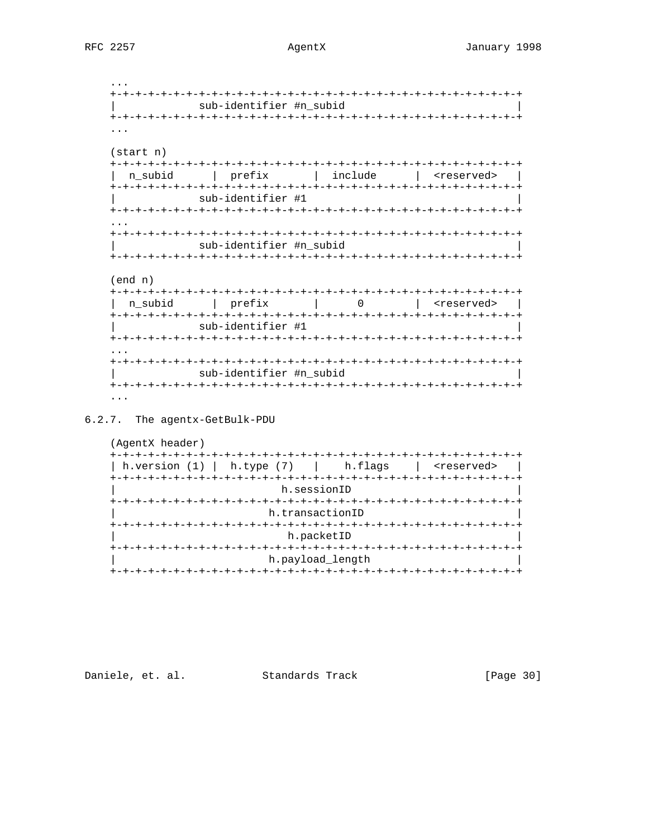# AgentX

|                       | sub-identifier #n_subid      |                                                                                 |                                   |
|-----------------------|------------------------------|---------------------------------------------------------------------------------|-----------------------------------|
|                       |                              |                                                                                 |                                   |
|                       |                              |                                                                                 |                                   |
|                       |                              |                                                                                 |                                   |
| $(\text{start} \; n)$ |                              |                                                                                 |                                   |
|                       |                              |                                                                                 |                                   |
|                       |                              |                                                                                 |                                   |
| n subid               | prefix                       | include                                                                         | <reserved></reserved>             |
|                       |                              |                                                                                 |                                   |
|                       | sub-identifier #1            |                                                                                 |                                   |
|                       |                              |                                                                                 |                                   |
|                       |                              |                                                                                 |                                   |
|                       |                              |                                                                                 |                                   |
|                       | sub-identifier #n_subid      |                                                                                 |                                   |
|                       | -+-+-+-+-+-+-+-+-+-+-+-+-+-  |                                                                                 | -+-+-+-+-+-+-+-+-+-+-+-+-+-+-     |
|                       |                              |                                                                                 |                                   |
|                       |                              |                                                                                 |                                   |
| (end n)               |                              |                                                                                 |                                   |
|                       |                              |                                                                                 |                                   |
| n_subid               | prefix                       | $\begin{array}{ccc} \hline \end{array}$ $\begin{array}{ccc} \hline \end{array}$ | <reserved></reserved>             |
|                       |                              |                                                                                 |                                   |
|                       | sub-identifier #1            |                                                                                 |                                   |
|                       | +-+-+-+-+-+-+-+-+-+-+-+-+-+- |                                                                                 | -+-+-+-+-+-+-+-+-+-+-+-+-+-+-+-+- |
|                       |                              |                                                                                 |                                   |
|                       |                              |                                                                                 |                                   |
|                       | sub-identifier #n_subid      |                                                                                 |                                   |
|                       |                              |                                                                                 |                                   |
|                       |                              |                                                                                 |                                   |
| .                     |                              |                                                                                 |                                   |

6.2.7. The agentx-GetBulk-PDU

| (AgentX header)                          |                  |                       |
|------------------------------------------|------------------|-----------------------|
|                                          |                  |                       |
| h.version $(1)$   h.type $(7)$   h.flags |                  | <reserved></reserved> |
|                                          |                  |                       |
|                                          | h.sessionID      |                       |
| +-+-+-+-                                 |                  |                       |
|                                          | h.transactionID  |                       |
|                                          |                  |                       |
|                                          | h.packetID       |                       |
|                                          |                  |                       |
|                                          | h.payload length |                       |
|                                          |                  |                       |

Daniele, et. al. Standards Track

[Page 30]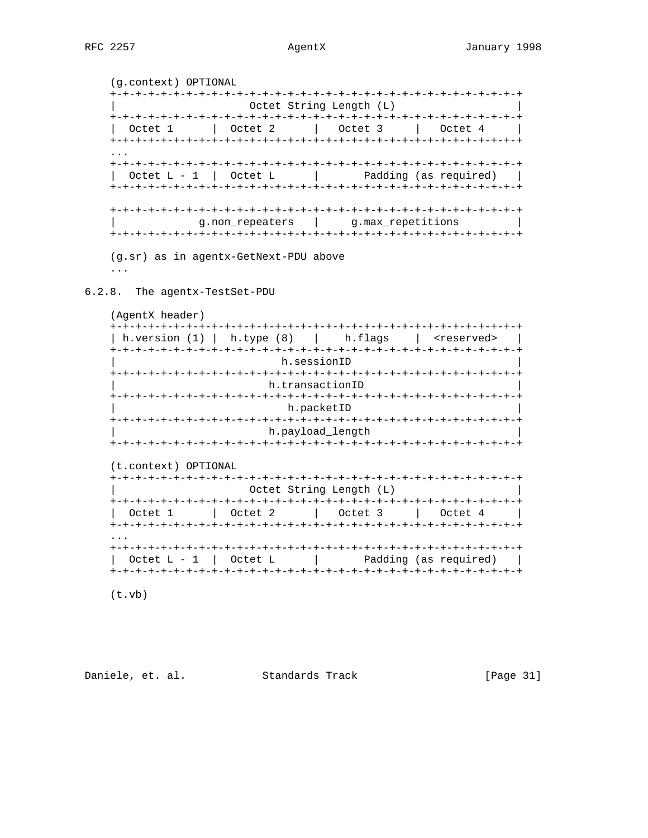```
(g.context) OPTIONAL
Octet String Length (L)
\ddotscOctet L - 1 | Octet L\mathcal{L} = \mathcal{L}Padding (as required) |
g.non_repeaters | g.max_repetitions
\mathbb{L}(g.sr) as in agentx-GetNext-PDU above
\sim 100 km ^{-1}
```
6.2.8. The agentx-TestSet-PDU

(AgentX header)

| h.version (1)   h.type (8)   h.flags   <reserved></reserved> |
|--------------------------------------------------------------|
|                                                              |
| h.sessionID                                                  |
|                                                              |
| h.transactionID                                              |
|                                                              |
| h.packetID                                                   |
| +-+-+-+-+-+-+-+-+-+-+-+-+-+                                  |
| h.payload length                                             |
|                                                              |
|                                                              |
| $(t.\text{context})$<br>OPTIONAL                             |

|          | Octet String Length (L)               |                                                 |
|----------|---------------------------------------|-------------------------------------------------|
|          | Octet 1   Octet 2   Octet 3   Octet 4 |                                                 |
| $\cdots$ |                                       |                                                 |
|          |                                       | Octet $L - 1$ Octet $L$   Padding (as required) |

 $(t.vb)$ 

Daniele, et. al. Standards Track

[Page 31]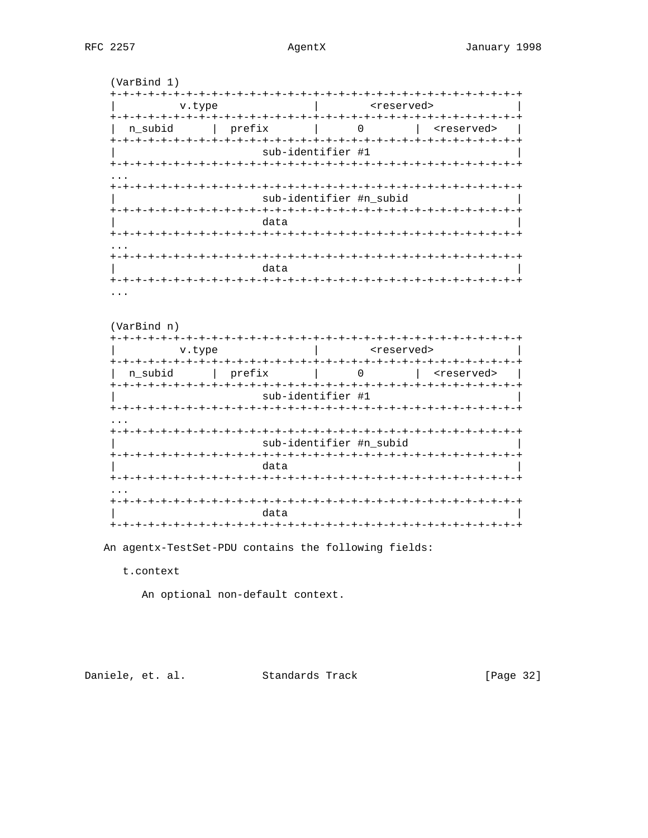## AgentX

 $(VarBind 1)$ | creserved> v.type | n\_subid | prefix | 0 | <reserved> sub-identifier #1 sub-identifier #n\_subid data  $\cdot$   $\cdot$   $\cdot$ data  $\ddotsc$ (VarBind n) state of the state of the state of the state of the state of the state of the state of the state of the state o v.type | n\_subid | prefix | 0 | <reserved> | sub-identifier #1 sub-identifier #n\_subid  $+ - +$ data 

data 

An agentx-TestSet-PDU contains the following fields:

t.context

An optional non-default context.

Daniele, et. al. Standards Track

[Page 32]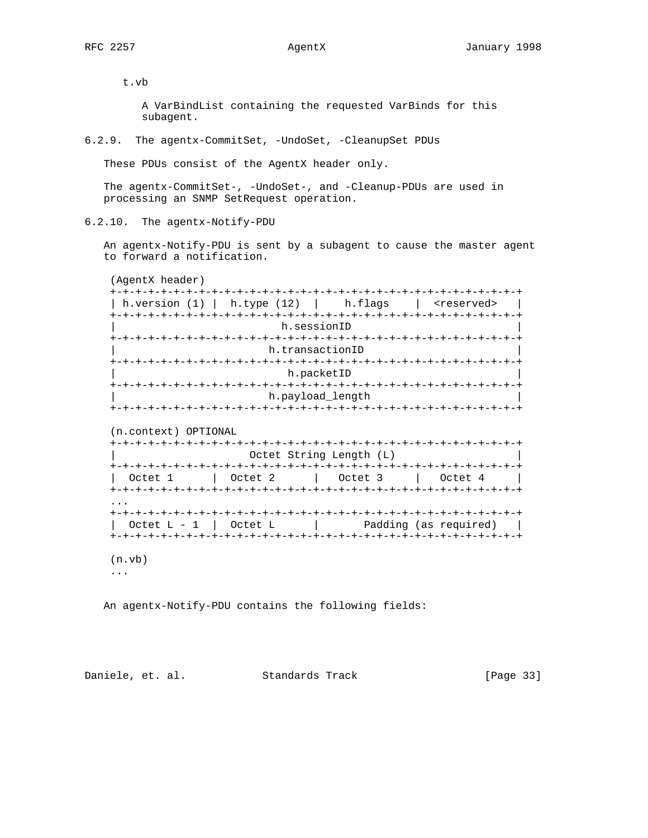t.vb

 A VarBindList containing the requested VarBinds for this subagent.

6.2.9. The agentx-CommitSet, -UndoSet, -CleanupSet PDUs

These PDUs consist of the AgentX header only.

 The agentx-CommitSet-, -UndoSet-, and -Cleanup-PDUs are used in processing an SNMP SetRequest operation.

6.2.10. The agentx-Notify-PDU

 An agentx-Notify-PDU is sent by a subagent to cause the master agent to forward a notification.

(AgentX header)

| h.version (1)        | h.type $(12)$ | h.flags                        | <reserved></reserved> |
|----------------------|---------------|--------------------------------|-----------------------|
|                      |               | h.sessionID                    |                       |
|                      |               | h.transactionID                |                       |
|                      |               | h.packetID                     |                       |
|                      |               |                                |                       |
|                      |               |                                |                       |
|                      | -+-+-+-+-+-+  | h.payload_length<br>-+-+-+-+-+ |                       |
|                      |               |                                |                       |
| (n.context) OPTIONAL |               |                                |                       |
|                      |               | Octet String Length (L)        |                       |
| Octet 1              | Octet 2       | Octet 3                        | Octet 4               |
|                      |               |                                |                       |
|                      |               |                                |                       |

 (n.vb) ...

An agentx-Notify-PDU contains the following fields:

Daniele, et. al. Standards Track [Page 33]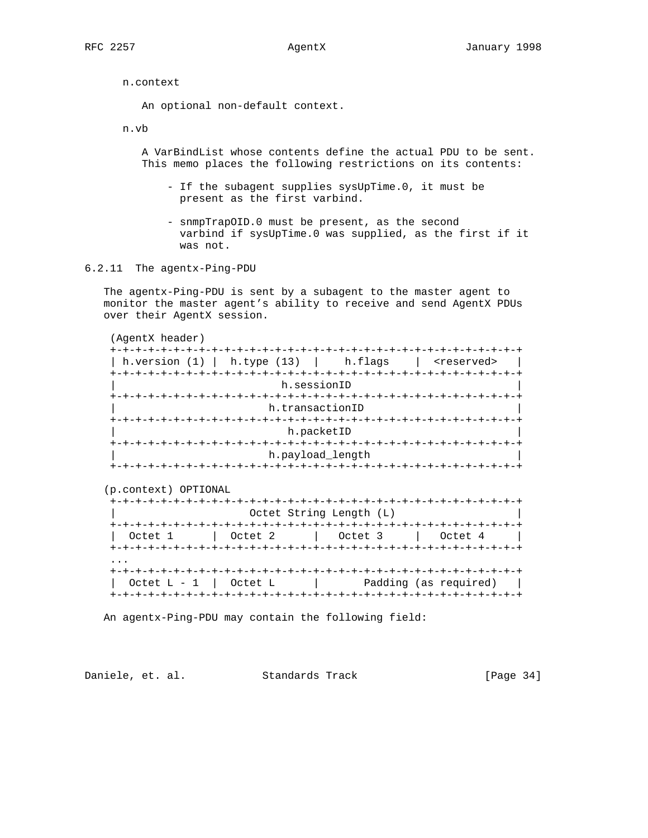n.context

An optional non-default context.

n.vb

 A VarBindList whose contents define the actual PDU to be sent. This memo places the following restrictions on its contents:

- If the subagent supplies sysUpTime.0, it must be present as the first varbind.
- snmpTrapOID.0 must be present, as the second varbind if sysUpTime.0 was supplied, as the first if it was not.
- 6.2.11 The agentx-Ping-PDU

 The agentx-Ping-PDU is sent by a subagent to the master agent to monitor the master agent's ability to receive and send AgentX PDUs over their AgentX session.

| (AgentX header) |                                     |                       |  |
|-----------------|-------------------------------------|-----------------------|--|
|                 |                                     |                       |  |
| h.version (1)   | $\vert$ h.type (13) $\vert$ h.flags | <reserved></reserved> |  |
|                 |                                     |                       |  |
|                 | h.sessionID                         |                       |  |
|                 |                                     |                       |  |
|                 | h.transactionID                     |                       |  |
|                 |                                     |                       |  |
|                 | h.packetID                          |                       |  |
|                 |                                     |                       |  |
|                 | h.payload_length                    |                       |  |
|                 |                                     |                       |  |

(p.context) OPTIONAL

|                           |         | +-+-+-+-+-+-+-+-+-+-+-  |         |
|---------------------------|---------|-------------------------|---------|
|                           |         | Octet String Length (L) |         |
|                           |         |                         |         |
| Octet 1                   | Octet 2 | Octet 3                 | Octet 4 |
|                           |         |                         |         |
|                           |         |                         |         |
|                           |         |                         |         |
| $\cdot$                   |         |                         |         |
| Octet $L - 1$   Octet $L$ |         | Padding (as required)   |         |

An agentx-Ping-PDU may contain the following field:

Daniele, et. al. Standards Track [Page 34]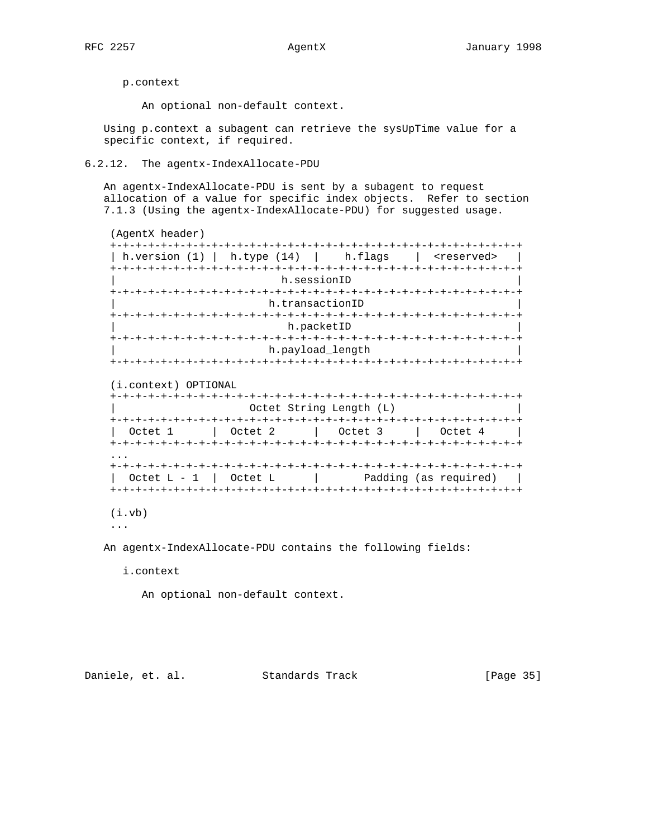p.context

An optional non-default context.

 Using p.context a subagent can retrieve the sysUpTime value for a specific context, if required.

## 6.2.12. The agentx-IndexAllocate-PDU

 An agentx-IndexAllocate-PDU is sent by a subagent to request allocation of a value for specific index objects. Refer to section 7.1.3 (Using the agentx-IndexAllocate-PDU) for suggested usage.

```
 (AgentX header)
 +-+-+-+-+-+-+-+-+-+-+-+-+-+-+-+-+-+-+-+-+-+-+-+-+-+-+-+-+-+-+-+-+
| h.version (1) | h.type (14) | h.flags | <reserved> |
 +-+-+-+-+-+-+-+-+-+-+-+-+-+-+-+-+-+-+-+-+-+-+-+-+-+-+-+-+-+-+-+-+
                          h.sessionID
 +-+-+-+-+-+-+-+-+-+-+-+-+-+-+-+-+-+-+-+-+-+-+-+-+-+-+-+-+-+-+-+-+
                       h.transactionID
 +-+-+-+-+-+-+-+-+-+-+-+-+-+-+-+-+-+-+-+-+-+-+-+-+-+-+-+-+-+-+-+-+
                          h.packetID
 +-+-+-+-+-+-+-+-+-+-+-+-+-+-+-+-+-+-+-+-+-+-+-+-+-+-+-+-+-+-+-+-+
                       h.payload_length
 +-+-+-+-+-+-+-+-+-+-+-+-+-+-+-+-+-+-+-+-+-+-+-+-+-+-+-+-+-+-+-+-+
```
(i.context) OPTIONAL

```
 +-+-+-+-+-+-+-+-+-+-+-+-+-+-+-+-+-+-+-+-+-+-+-+-+-+-+-+-+-+-+-+-+
                       Octet String Length (L)
    +-+-+-+-+-+-+-+-+-+-+-+-+-+-+-+-+-+-+-+-+-+-+-+-+-+-+-+-+-+-+-+-+
      | Octet 1 | Octet 2 | Octet 3 | Octet 4 |
    +-+-+-+-+-+-+-+-+-+-+-+-+-+-+-+-+-+-+-+-+-+-+-+-+-+-+-+-+-+-+-+-+
 ...
    +-+-+-+-+-+-+-+-+-+-+-+-+-+-+-+-+-+-+-+-+-+-+-+-+-+-+-+-+-+-+-+-+
     \text{Octet } L - 1 | Octet L | Padding (as required) |
    +-+-+-+-+-+-+-+-+-+-+-+-+-+-+-+-+-+-+-+-+-+-+-+-+-+-+-+-+-+-+-+-+
```
(i.vb)

...

An agentx-IndexAllocate-PDU contains the following fields:

i.context

An optional non-default context.

Daniele, et. al. Standards Track [Page 35]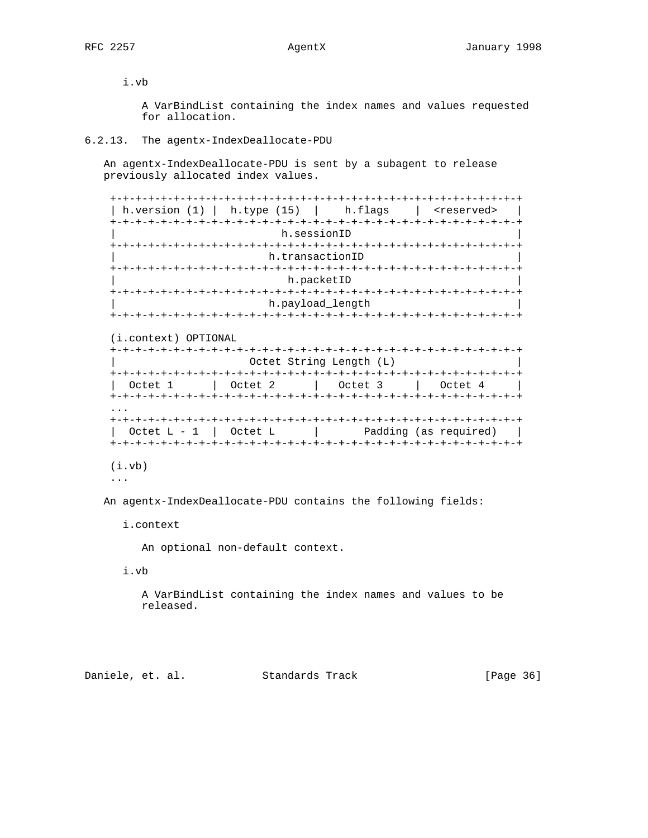i.vb

 A VarBindList containing the index names and values requested for allocation.

## 6.2.13. The agentx-IndexDeallocate-PDU

 An agentx-IndexDeallocate-PDU is sent by a subagent to release previously allocated index values.

| h.version (1) |  |                 | $\vert$ h.type (15) $\vert$ h.flags | <reserved></reserved> |
|---------------|--|-----------------|-------------------------------------|-----------------------|
|               |  |                 |                                     |                       |
|               |  |                 | h.sessionID                         |                       |
|               |  | +-+-+-+-+-+-+-+ |                                     |                       |
|               |  |                 | h.transactionID                     |                       |
|               |  |                 |                                     |                       |
|               |  |                 | h.packetID                          |                       |
|               |  |                 |                                     |                       |
|               |  |                 | h.payload_length                    |                       |
|               |  |                 | +-+-+-+-+-+-+-+-+-+-+-+-+-+-+-+-    |                       |

(i.context) OPTIONAL

| +-+-+-+-+-+-+-+-+-+                        |
|--------------------------------------------|
|                                            |
| Octet 2<br>Octet 1<br>Octet 3<br>  Octet 4 |

# (i.vb)

...

An agentx-IndexDeallocate-PDU contains the following fields:

## i.context

An optional non-default context.

i.vb

 A VarBindList containing the index names and values to be released.

Daniele, et. al. Standards Track [Page 36]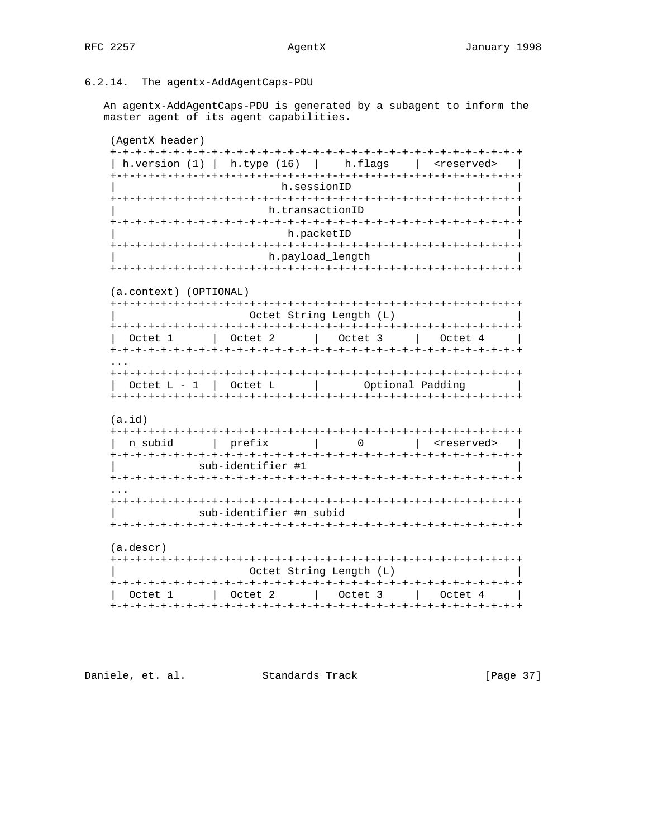### 6.2.14. The agentx-AddAgentCaps-PDU

An agentx-AddAgentCaps-PDU is generated by a subagent to inform the master agent of its agent capabilities.

(AgentX header) | h.version (1) | h.type (16) | h.flags | <reserved> | h.sessionID h.transactionID h.packetID h.payload\_length (a.context) (OPTIONAL) Octet String Length (L) Octet  $L - 1$  | Octet  $L$  | Optional Padding |  $(a.id)$ | n\_subid | prefix | 0 | <reserved> | sub-identifier #1 sub-identifier #n\_subid (a.descr) Octet String Length (L) | Octet 1 | Octet 2 | Octet 3 | Octet 4 | 

Daniele, et. al. Standards Track

[Page 37]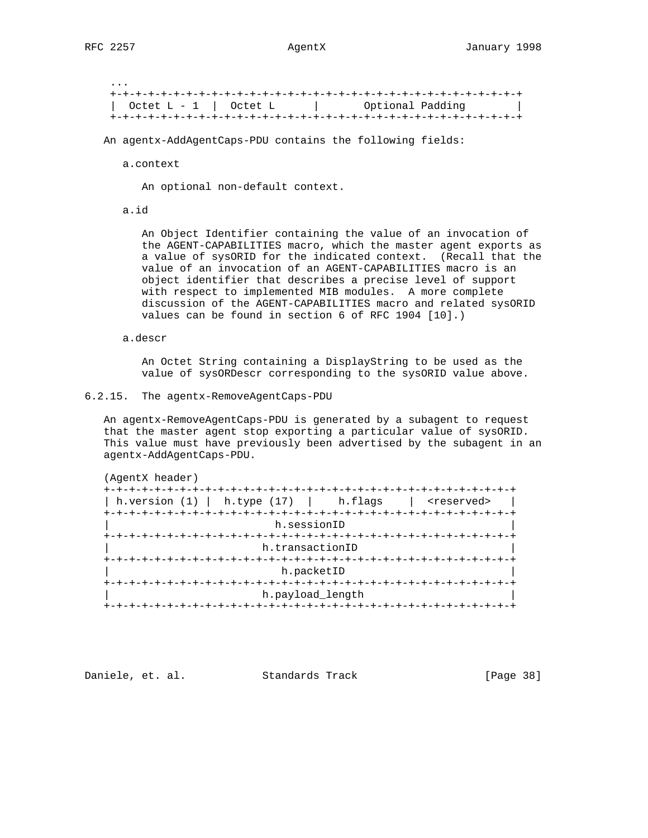...

 +-+-+-+-+-+-+-+-+-+-+-+-+-+-+-+-+-+-+-+-+-+-+-+-+-+-+-+-+-+-+-+-+  $\text{Octet L - 1}$  Octet L  $\vert$  Optional Padding | +-+-+-+-+-+-+-+-+-+-+-+-+-+-+-+-+-+-+-+-+-+-+-+-+-+-+-+-+-+-+-+-+

An agentx-AddAgentCaps-PDU contains the following fields:

a.context

An optional non-default context.

a.id

 An Object Identifier containing the value of an invocation of the AGENT-CAPABILITIES macro, which the master agent exports as a value of sysORID for the indicated context. (Recall that the value of an invocation of an AGENT-CAPABILITIES macro is an object identifier that describes a precise level of support with respect to implemented MIB modules. A more complete discussion of the AGENT-CAPABILITIES macro and related sysORID values can be found in section 6 of RFC 1904 [10].)

a.descr

 An Octet String containing a DisplayString to be used as the value of sysORDescr corresponding to the sysORID value above.

6.2.15. The agentx-RemoveAgentCaps-PDU

 An agentx-RemoveAgentCaps-PDU is generated by a subagent to request that the master agent stop exporting a particular value of sysORID. This value must have previously been advertised by the subagent in an agentx-AddAgentCaps-PDU.

| (AgentX header)                                          |                                       |                       |
|----------------------------------------------------------|---------------------------------------|-----------------------|
| +-+-+-+-+-+<br>h.version $(1)$   h.type $(17)$   h.flags |                                       | <reserved></reserved> |
|                                                          |                                       |                       |
|                                                          | h.sessionID                           |                       |
|                                                          | +-+-+-+-+-+-+-+-+-+-+-+-+-+-+-+-+-+-+ |                       |
|                                                          | h.transactionID                       |                       |
| +-+-+-+-+-+-                                             |                                       |                       |
|                                                          | h.packetID                            |                       |
|                                                          |                                       |                       |
|                                                          | h.payload length                      |                       |
|                                                          |                                       |                       |

Daniele, et. al. Standards Track [Page 38]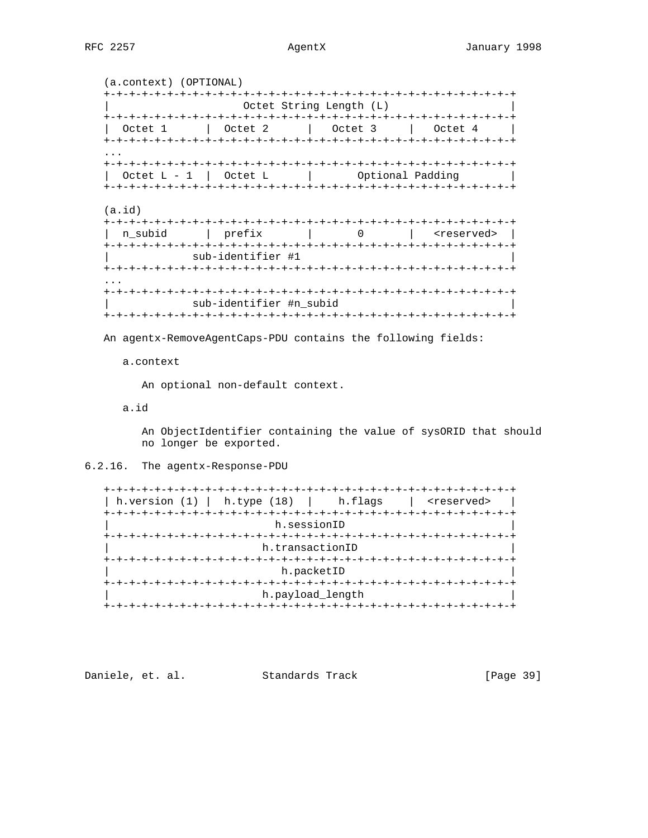## AgentX

```
(a.context) (OPTIONAL)
Octet String Length (L)
Octet 1 | Octet 2
      | Octet 3 | Octet 4
Octet L - 1 | Octet L\mathbb{R}^nOptional Padding
(a.id)| n_subid | prefix | 0 | <reserved> |
sub-identifier #1
sub-identifier #n_subid
```
An agentx-RemoveAgentCaps-PDU contains the following fields:

a.context

An optional non-default context.

a.id

An ObjectIdentifier containing the value of sysORID that should no longer be exported.

6.2.16. The agentx-Response-PDU

```
| h.version (1) | h.type (18) | h.flags | <reserved> |
h.sessionID
h.transactionID
h.packetID
h.payload_length
```

| Daniele, et. al.<br>Standards Track |  | [Page 39] |
|-------------------------------------|--|-----------|
|-------------------------------------|--|-----------|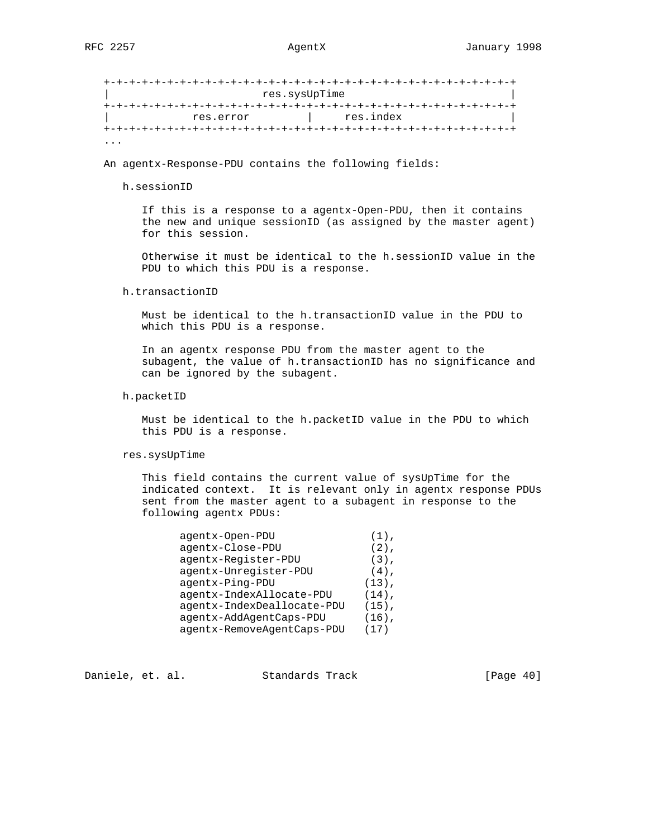|           | res.sysUpTime |  |
|-----------|---------------|--|
|           |               |  |
| res.error | res.index     |  |

An agentx-Response-PDU contains the following fields:

h.sessionID

 If this is a response to a agentx-Open-PDU, then it contains the new and unique sessionID (as assigned by the master agent) for this session.

 Otherwise it must be identical to the h.sessionID value in the PDU to which this PDU is a response.

h.transactionID

 Must be identical to the h.transactionID value in the PDU to which this PDU is a response.

 In an agentx response PDU from the master agent to the subagent, the value of h.transactionID has no significance and can be ignored by the subagent.

h.packetID

 Must be identical to the h.packetID value in the PDU to which this PDU is a response.

### res.sysUpTime

 This field contains the current value of sysUpTime for the indicated context. It is relevant only in agentx response PDUs sent from the master agent to a subagent in response to the following agentx PDUs:

| agentx-Open-PDU            | $(1)$ ,  |
|----------------------------|----------|
| agentx-Close-PDU           | $(2)$ ,  |
| agentx-Register-PDU        | $(3)$ ,  |
| agentx-Unregister-PDU      | $(4)$ ,  |
| agentx-Ping-PDU            | $(13)$ , |
| agentx-IndexAllocate-PDU   | $(14)$ , |
| agentx-IndexDeallocate-PDU | $(15)$ , |
| agentx-AddAgentCaps-PDU    | $(16)$ , |
| agentx-RemoveAgentCaps-PDU | 17)      |

Daniele, et. al. Standards Track [Page 40]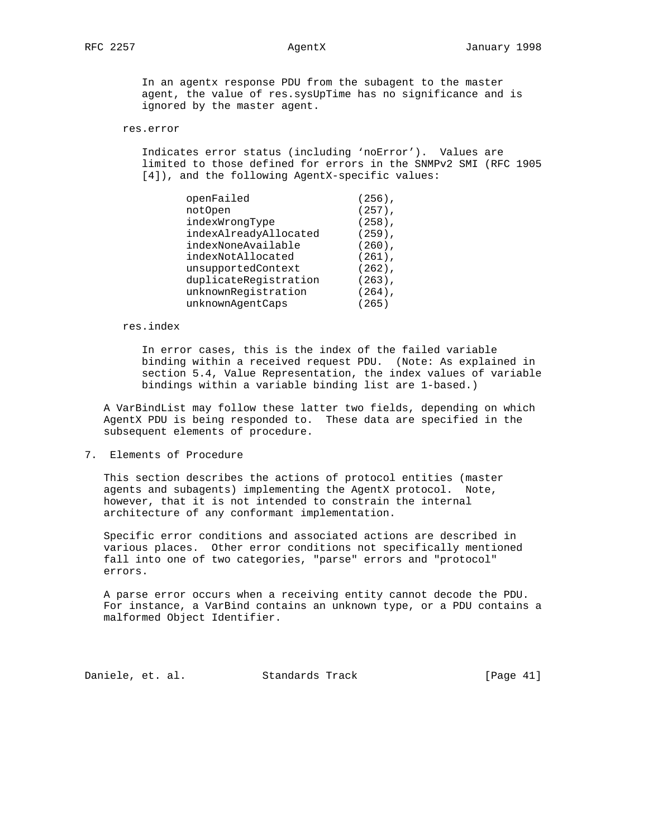In an agentx response PDU from the subagent to the master agent, the value of res.sysUpTime has no significance and is ignored by the master agent.

### res.error

 Indicates error status (including 'noError'). Values are limited to those defined for errors in the SNMPv2 SMI (RFC 1905 [4]), and the following AgentX-specific values:

| openFailed            | $(256)$ , |
|-----------------------|-----------|
| notOpen               | $(257)$ , |
| indexWrongType        | $(258)$ , |
| indexAlreadyAllocated | $(259)$ , |
| indexNoneAvailable    | $(260)$ , |
| indexNotAllocated     | $(261)$ , |
| unsupportedContext    | $(262)$ , |
| duplicateRegistration | $(263)$ , |
| unknownRegistration   | $(264)$ , |
| unknownAqentCaps      | (265)     |

res.index

 In error cases, this is the index of the failed variable binding within a received request PDU. (Note: As explained in section 5.4, Value Representation, the index values of variable bindings within a variable binding list are 1-based.)

 A VarBindList may follow these latter two fields, depending on which AgentX PDU is being responded to. These data are specified in the subsequent elements of procedure.

7. Elements of Procedure

 This section describes the actions of protocol entities (master agents and subagents) implementing the AgentX protocol. Note, however, that it is not intended to constrain the internal architecture of any conformant implementation.

 Specific error conditions and associated actions are described in various places. Other error conditions not specifically mentioned fall into one of two categories, "parse" errors and "protocol" errors.

 A parse error occurs when a receiving entity cannot decode the PDU. For instance, a VarBind contains an unknown type, or a PDU contains a malformed Object Identifier.

Daniele, et. al. Standards Track [Page 41]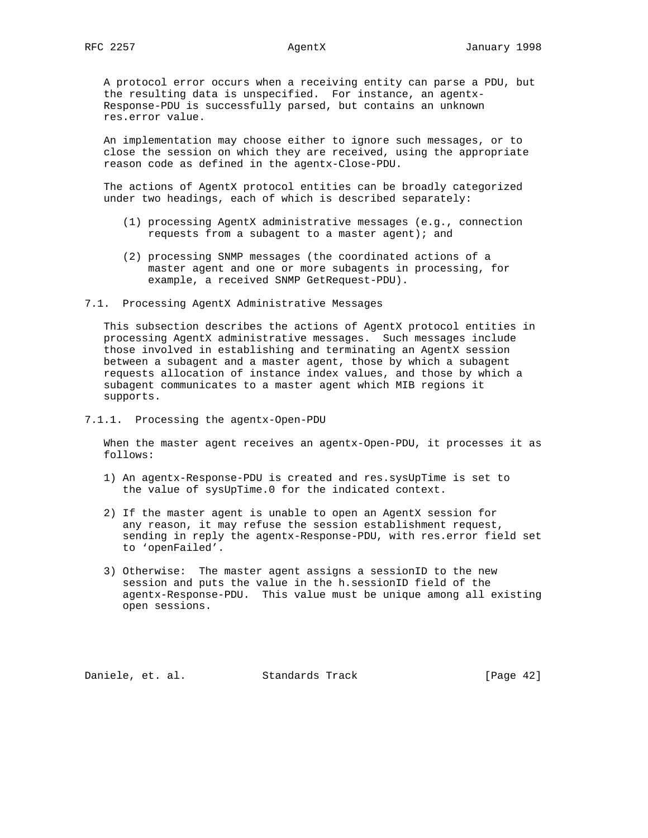A protocol error occurs when a receiving entity can parse a PDU, but the resulting data is unspecified. For instance, an agentx- Response-PDU is successfully parsed, but contains an unknown res.error value.

 An implementation may choose either to ignore such messages, or to close the session on which they are received, using the appropriate reason code as defined in the agentx-Close-PDU.

 The actions of AgentX protocol entities can be broadly categorized under two headings, each of which is described separately:

- (1) processing AgentX administrative messages (e.g., connection requests from a subagent to a master agent); and
- (2) processing SNMP messages (the coordinated actions of a master agent and one or more subagents in processing, for example, a received SNMP GetRequest-PDU).

7.1. Processing AgentX Administrative Messages

 This subsection describes the actions of AgentX protocol entities in processing AgentX administrative messages. Such messages include those involved in establishing and terminating an AgentX session between a subagent and a master agent, those by which a subagent requests allocation of instance index values, and those by which a subagent communicates to a master agent which MIB regions it supports.

7.1.1. Processing the agentx-Open-PDU

 When the master agent receives an agentx-Open-PDU, it processes it as follows:

- 1) An agentx-Response-PDU is created and res.sysUpTime is set to the value of sysUpTime.0 for the indicated context.
- 2) If the master agent is unable to open an AgentX session for any reason, it may refuse the session establishment request, sending in reply the agentx-Response-PDU, with res.error field set to 'openFailed'.
- 3) Otherwise: The master agent assigns a sessionID to the new session and puts the value in the h.sessionID field of the agentx-Response-PDU. This value must be unique among all existing open sessions.

Daniele, et. al. Standards Track [Page 42]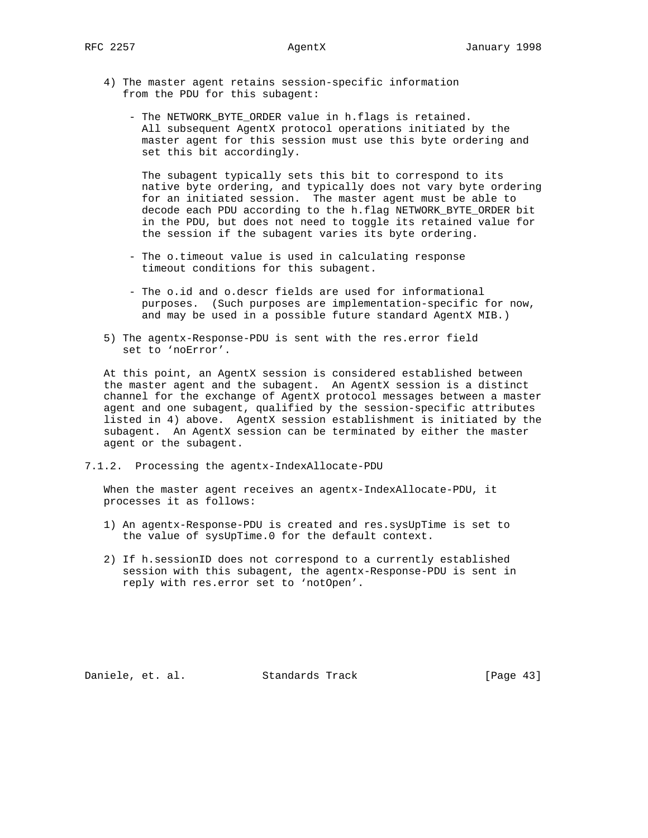- 4) The master agent retains session-specific information from the PDU for this subagent:
	- The NETWORK\_BYTE\_ORDER value in h.flags is retained. All subsequent AgentX protocol operations initiated by the master agent for this session must use this byte ordering and set this bit accordingly.

 The subagent typically sets this bit to correspond to its native byte ordering, and typically does not vary byte ordering for an initiated session. The master agent must be able to decode each PDU according to the h.flag NETWORK\_BYTE\_ORDER bit in the PDU, but does not need to toggle its retained value for the session if the subagent varies its byte ordering.

- The o.timeout value is used in calculating response timeout conditions for this subagent.
- The o.id and o.descr fields are used for informational purposes. (Such purposes are implementation-specific for now, and may be used in a possible future standard AgentX MIB.)
- 5) The agentx-Response-PDU is sent with the res.error field set to 'noError'.

 At this point, an AgentX session is considered established between the master agent and the subagent. An AgentX session is a distinct channel for the exchange of AgentX protocol messages between a master agent and one subagent, qualified by the session-specific attributes listed in 4) above. AgentX session establishment is initiated by the subagent. An AgentX session can be terminated by either the master agent or the subagent.

7.1.2. Processing the agentx-IndexAllocate-PDU

 When the master agent receives an agentx-IndexAllocate-PDU, it processes it as follows:

- 1) An agentx-Response-PDU is created and res.sysUpTime is set to the value of sysUpTime.0 for the default context.
- 2) If h.sessionID does not correspond to a currently established session with this subagent, the agentx-Response-PDU is sent in reply with res.error set to 'notOpen'.

Daniele, et. al. Standards Track [Page 43]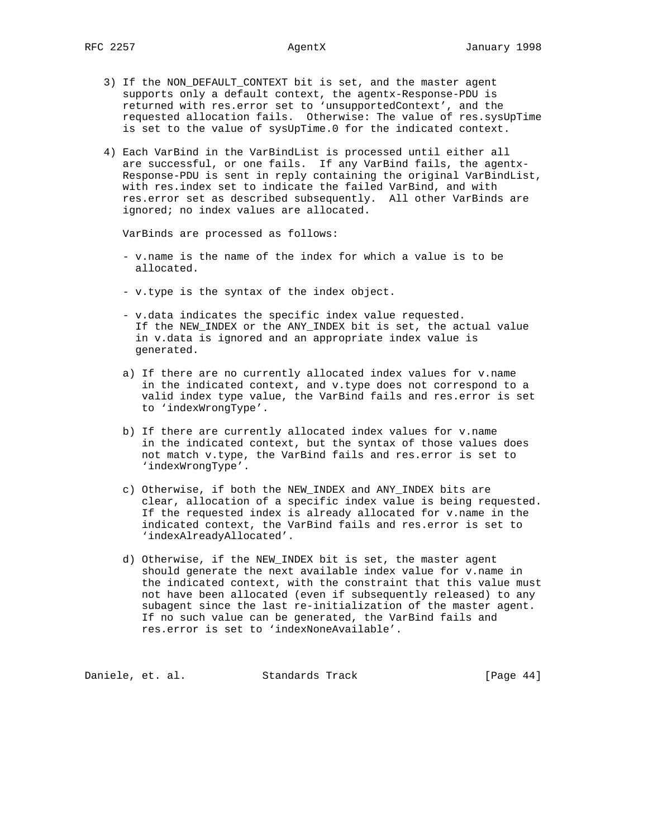- 3) If the NON\_DEFAULT\_CONTEXT bit is set, and the master agent supports only a default context, the agentx-Response-PDU is returned with res.error set to 'unsupportedContext', and the requested allocation fails. Otherwise: The value of res.sysUpTime is set to the value of sysUpTime.0 for the indicated context.
- 4) Each VarBind in the VarBindList is processed until either all are successful, or one fails. If any VarBind fails, the agentx- Response-PDU is sent in reply containing the original VarBindList, with res.index set to indicate the failed VarBind, and with res.error set as described subsequently. All other VarBinds are ignored; no index values are allocated.

VarBinds are processed as follows:

- v.name is the name of the index for which a value is to be allocated.
- v.type is the syntax of the index object.
- v.data indicates the specific index value requested. If the NEW\_INDEX or the ANY\_INDEX bit is set, the actual value in v.data is ignored and an appropriate index value is generated.
- a) If there are no currently allocated index values for v.name in the indicated context, and v.type does not correspond to a valid index type value, the VarBind fails and res.error is set to 'indexWrongType'.
- b) If there are currently allocated index values for v.name in the indicated context, but the syntax of those values does not match v.type, the VarBind fails and res.error is set to 'indexWrongType'.
- c) Otherwise, if both the NEW\_INDEX and ANY\_INDEX bits are clear, allocation of a specific index value is being requested. If the requested index is already allocated for v.name in the indicated context, the VarBind fails and res.error is set to 'indexAlreadyAllocated'.
- d) Otherwise, if the NEW\_INDEX bit is set, the master agent should generate the next available index value for v.name in the indicated context, with the constraint that this value must not have been allocated (even if subsequently released) to any subagent since the last re-initialization of the master agent. If no such value can be generated, the VarBind fails and res.error is set to 'indexNoneAvailable'.

Daniele, et. al. Standards Track [Page 44]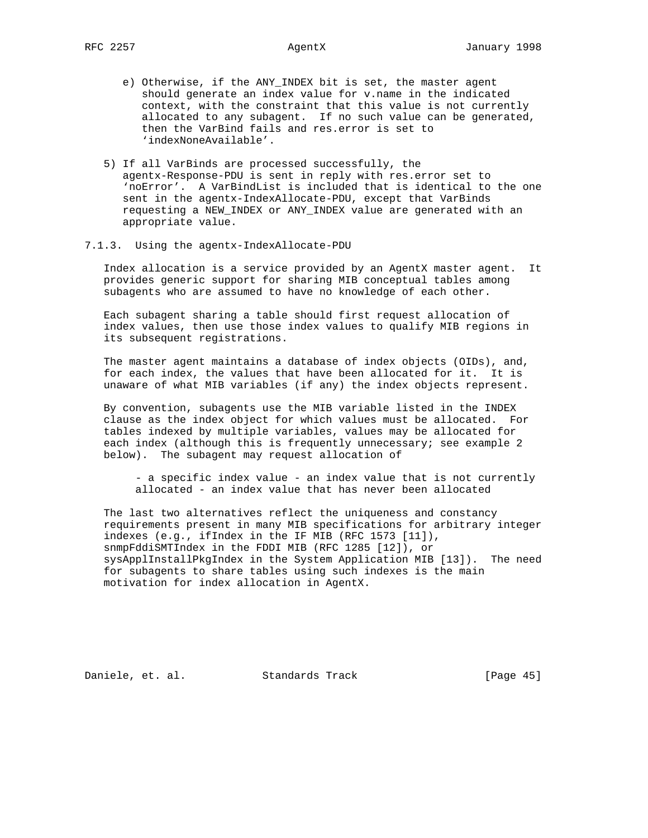- e) Otherwise, if the ANY\_INDEX bit is set, the master agent should generate an index value for v.name in the indicated context, with the constraint that this value is not currently allocated to any subagent. If no such value can be generated, then the VarBind fails and res.error is set to 'indexNoneAvailable'.
- 5) If all VarBinds are processed successfully, the agentx-Response-PDU is sent in reply with res.error set to 'noError'. A VarBindList is included that is identical to the one sent in the agentx-IndexAllocate-PDU, except that VarBinds requesting a NEW\_INDEX or ANY\_INDEX value are generated with an appropriate value.
- 7.1.3. Using the agentx-IndexAllocate-PDU

 Index allocation is a service provided by an AgentX master agent. It provides generic support for sharing MIB conceptual tables among subagents who are assumed to have no knowledge of each other.

 Each subagent sharing a table should first request allocation of index values, then use those index values to qualify MIB regions in its subsequent registrations.

 The master agent maintains a database of index objects (OIDs), and, for each index, the values that have been allocated for it. It is unaware of what MIB variables (if any) the index objects represent.

 By convention, subagents use the MIB variable listed in the INDEX clause as the index object for which values must be allocated. For tables indexed by multiple variables, values may be allocated for each index (although this is frequently unnecessary; see example 2 below). The subagent may request allocation of

 - a specific index value - an index value that is not currently allocated - an index value that has never been allocated

 The last two alternatives reflect the uniqueness and constancy requirements present in many MIB specifications for arbitrary integer indexes (e.g., ifIndex in the IF MIB (RFC 1573 [11]), snmpFddiSMTIndex in the FDDI MIB (RFC 1285 [12]), or sysApplInstallPkgIndex in the System Application MIB [13]). The need for subagents to share tables using such indexes is the main motivation for index allocation in AgentX.

Daniele, et. al. Standards Track [Page 45]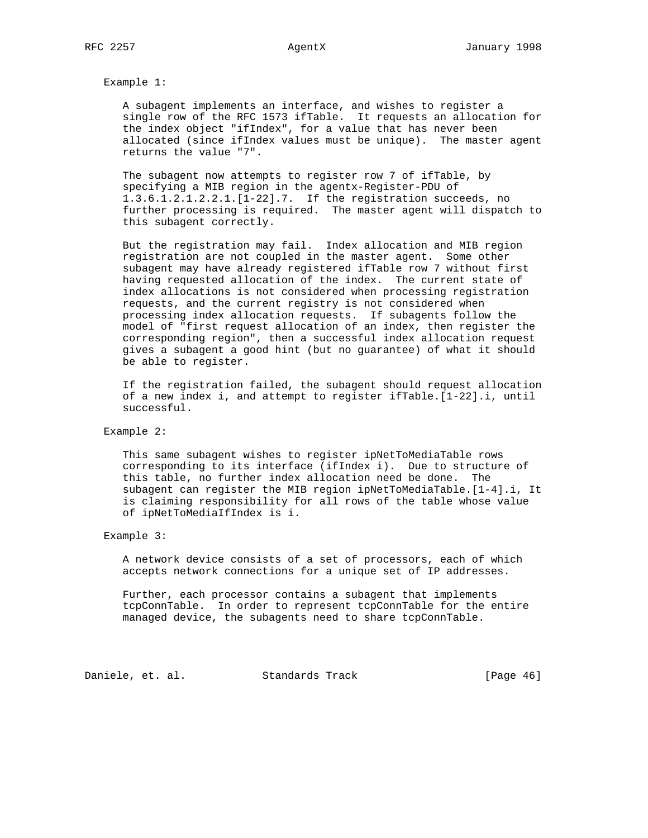Example 1:

 A subagent implements an interface, and wishes to register a single row of the RFC 1573 ifTable. It requests an allocation for the index object "ifIndex", for a value that has never been allocated (since ifIndex values must be unique). The master agent returns the value "7".

 The subagent now attempts to register row 7 of ifTable, by specifying a MIB region in the agentx-Register-PDU of 1.3.6.1.2.1.2.2.1.[1-22].7. If the registration succeeds, no further processing is required. The master agent will dispatch to this subagent correctly.

 But the registration may fail. Index allocation and MIB region registration are not coupled in the master agent. Some other subagent may have already registered ifTable row 7 without first having requested allocation of the index. The current state of index allocations is not considered when processing registration requests, and the current registry is not considered when processing index allocation requests. If subagents follow the model of "first request allocation of an index, then register the corresponding region", then a successful index allocation request gives a subagent a good hint (but no guarantee) of what it should be able to register.

 If the registration failed, the subagent should request allocation of a new index i, and attempt to register ifTable.[1-22].i, until successful.

Example 2:

 This same subagent wishes to register ipNetToMediaTable rows corresponding to its interface (ifIndex i). Due to structure of this table, no further index allocation need be done. The subagent can register the MIB region ipNetToMediaTable.[1-4].i, It is claiming responsibility for all rows of the table whose value of ipNetToMediaIfIndex is i.

Example 3:

 A network device consists of a set of processors, each of which accepts network connections for a unique set of IP addresses.

 Further, each processor contains a subagent that implements tcpConnTable. In order to represent tcpConnTable for the entire managed device, the subagents need to share tcpConnTable.

Daniele, et. al. Standards Track [Page 46]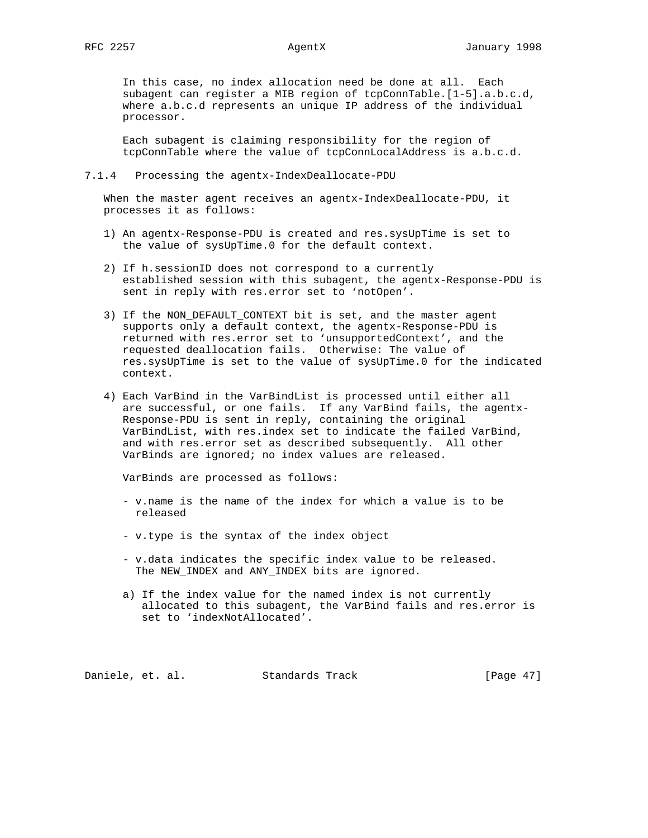In this case, no index allocation need be done at all. Each subagent can register a MIB region of tcpConnTable.[1-5].a.b.c.d, where a.b.c.d represents an unique IP address of the individual processor.

 Each subagent is claiming responsibility for the region of tcpConnTable where the value of tcpConnLocalAddress is a.b.c.d.

### 7.1.4 Processing the agentx-IndexDeallocate-PDU

 When the master agent receives an agentx-IndexDeallocate-PDU, it processes it as follows:

- 1) An agentx-Response-PDU is created and res.sysUpTime is set to the value of sysUpTime.0 for the default context.
- 2) If h.sessionID does not correspond to a currently established session with this subagent, the agentx-Response-PDU is sent in reply with res.error set to 'notOpen'.
- 3) If the NON\_DEFAULT\_CONTEXT bit is set, and the master agent supports only a default context, the agentx-Response-PDU is returned with res.error set to 'unsupportedContext', and the requested deallocation fails. Otherwise: The value of res.sysUpTime is set to the value of sysUpTime.0 for the indicated context.
- 4) Each VarBind in the VarBindList is processed until either all are successful, or one fails. If any VarBind fails, the agentx- Response-PDU is sent in reply, containing the original VarBindList, with res.index set to indicate the failed VarBind, and with res.error set as described subsequently. All other VarBinds are ignored; no index values are released.

VarBinds are processed as follows:

- v.name is the name of the index for which a value is to be released
- v.type is the syntax of the index object
- v.data indicates the specific index value to be released. The NEW\_INDEX and ANY\_INDEX bits are ignored.
- a) If the index value for the named index is not currently allocated to this subagent, the VarBind fails and res.error is set to 'indexNotAllocated'.

Daniele, et. al. Standards Track [Page 47]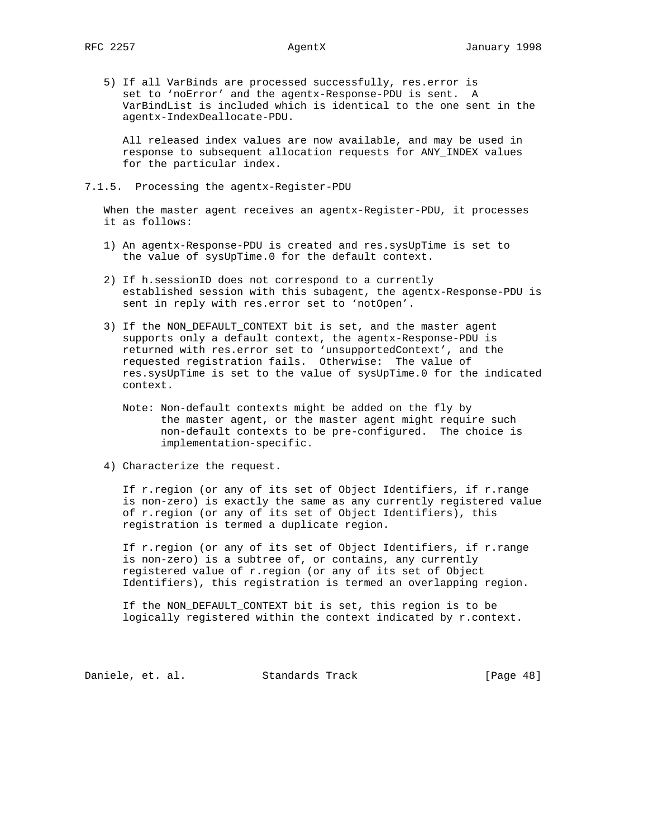5) If all VarBinds are processed successfully, res.error is set to 'noError' and the agentx-Response-PDU is sent. A VarBindList is included which is identical to the one sent in the agentx-IndexDeallocate-PDU.

 All released index values are now available, and may be used in response to subsequent allocation requests for ANY\_INDEX values for the particular index.

## 7.1.5. Processing the agentx-Register-PDU

 When the master agent receives an agentx-Register-PDU, it processes it as follows:

- 1) An agentx-Response-PDU is created and res.sysUpTime is set to the value of sysUpTime.0 for the default context.
- 2) If h.sessionID does not correspond to a currently established session with this subagent, the agentx-Response-PDU is sent in reply with res.error set to 'notOpen'.
- 3) If the NON\_DEFAULT\_CONTEXT bit is set, and the master agent supports only a default context, the agentx-Response-PDU is returned with res.error set to 'unsupportedContext', and the requested registration fails. Otherwise: The value of res.sysUpTime is set to the value of sysUpTime.0 for the indicated context.
	- Note: Non-default contexts might be added on the fly by the master agent, or the master agent might require such non-default contexts to be pre-configured. The choice is implementation-specific.
- 4) Characterize the request.

 If r.region (or any of its set of Object Identifiers, if r.range is non-zero) is exactly the same as any currently registered value of r.region (or any of its set of Object Identifiers), this registration is termed a duplicate region.

 If r.region (or any of its set of Object Identifiers, if r.range is non-zero) is a subtree of, or contains, any currently registered value of r.region (or any of its set of Object Identifiers), this registration is termed an overlapping region.

 If the NON\_DEFAULT\_CONTEXT bit is set, this region is to be logically registered within the context indicated by r.context.

Daniele, et. al. Standards Track [Page 48]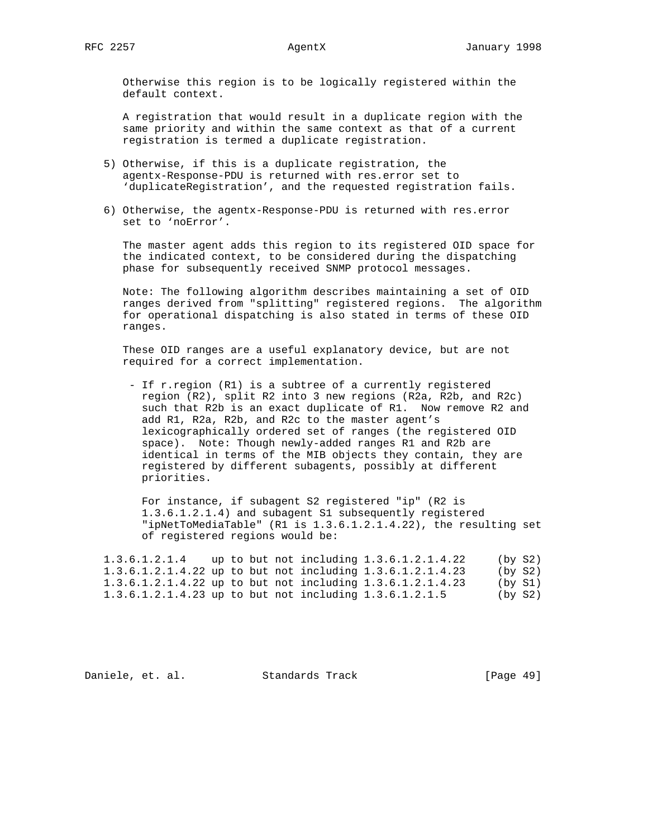Otherwise this region is to be logically registered within the default context.

 A registration that would result in a duplicate region with the same priority and within the same context as that of a current registration is termed a duplicate registration.

- 5) Otherwise, if this is a duplicate registration, the agentx-Response-PDU is returned with res.error set to 'duplicateRegistration', and the requested registration fails.
- 6) Otherwise, the agentx-Response-PDU is returned with res.error set to 'noError'.

 The master agent adds this region to its registered OID space for the indicated context, to be considered during the dispatching phase for subsequently received SNMP protocol messages.

 Note: The following algorithm describes maintaining a set of OID ranges derived from "splitting" registered regions. The algorithm for operational dispatching is also stated in terms of these OID ranges.

 These OID ranges are a useful explanatory device, but are not required for a correct implementation.

 - If r.region (R1) is a subtree of a currently registered region (R2), split R2 into 3 new regions (R2a, R2b, and R2c) such that R2b is an exact duplicate of R1. Now remove R2 and add R1, R2a, R2b, and R2c to the master agent's lexicographically ordered set of ranges (the registered OID space). Note: Though newly-added ranges R1 and R2b are identical in terms of the MIB objects they contain, they are registered by different subagents, possibly at different priorities.

 For instance, if subagent S2 registered "ip" (R2 is 1.3.6.1.2.1.4) and subagent S1 subsequently registered "ipNetToMediaTable" (R1 is 1.3.6.1.2.1.4.22), the resulting set of registered regions would be:

 1.3.6.1.2.1.4 up to but not including 1.3.6.1.2.1.4.22 (by S2) 1.3.6.1.2.1.4.22 up to but not including 1.3.6.1.2.1.4.23 (by S2) 1.3.6.1.2.1.4.22 up to but not including 1.3.6.1.2.1.4.23 (by S1) 1.3.6.1.2.1.4.23 up to but not including 1.3.6.1.2.1.5 (by S2)

Daniele, et. al. Standards Track [Page 49]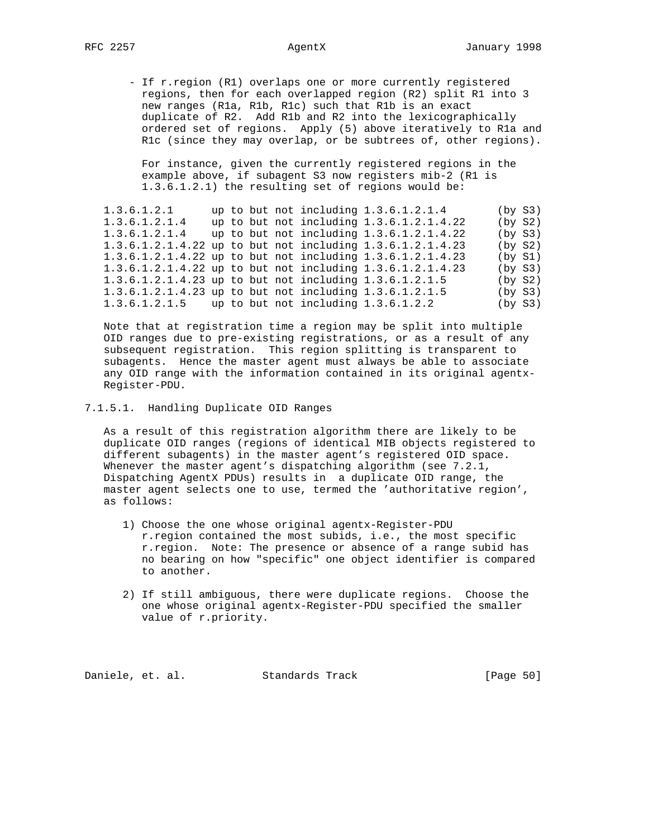- If r.region (R1) overlaps one or more currently registered regions, then for each overlapped region (R2) split R1 into 3 new ranges (R1a, R1b, R1c) such that R1b is an exact duplicate of R2. Add R1b and R2 into the lexicographically ordered set of regions. Apply (5) above iteratively to R1a and R1c (since they may overlap, or be subtrees of, other regions).

 For instance, given the currently registered regions in the example above, if subagent S3 now registers mib-2 (R1 is 1.3.6.1.2.1) the resulting set of regions would be:

1.3.6.1.2.1 up to but not including 1.3.6.1.2.1.4 (by S3)<br>1.3.6.1.2.1.4 up to but not including 1.3.6.1.2.1.4.22 (by S2) 1.3.6.1.2.1.4 up to but not including 1.3.6.1.2.1.4.22 (by S2) 1.3.6.1.2.1.4 up to but not including 1.3.6.1.2.1.4.22 (by S3) 1.3.6.1.2.1.4.22 up to but not including 1.3.6.1.2.1.4.23 (by S2) 1.3.6.1.2.1.4.22 up to but not including 1.3.6.1.2.1.4.23 1.3.6.1.2.1.4.22 up to but not including 1.3.6.1.2.1.4.23 (by S3) 1.3.6.1.2.1.4.23 up to but not including 1.3.6.1.2.1.5 (by S2) 1.3.6.1.2.1.4.23 up to but not including  $1.3.6.1.2.1.5$ <br> $\frac{1.3.6.1.2.1.4.23 \text{ up to but not including } 1.3.6.1.2.1.5}{}$ 1.3.6.1.2.1.5 up to but not including 1.3.6.1.2.2 (by S3)

 Note that at registration time a region may be split into multiple OID ranges due to pre-existing registrations, or as a result of any subsequent registration. This region splitting is transparent to subagents. Hence the master agent must always be able to associate any OID range with the information contained in its original agentx- Register-PDU.

7.1.5.1. Handling Duplicate OID Ranges

 As a result of this registration algorithm there are likely to be duplicate OID ranges (regions of identical MIB objects registered to different subagents) in the master agent's registered OID space. Whenever the master agent's dispatching algorithm (see 7.2.1, Dispatching AgentX PDUs) results in a duplicate OID range, the master agent selects one to use, termed the 'authoritative region', as follows:

- 1) Choose the one whose original agentx-Register-PDU r.region contained the most subids, i.e., the most specific r.region. Note: The presence or absence of a range subid has no bearing on how "specific" one object identifier is compared to another.
- 2) If still ambiguous, there were duplicate regions. Choose the one whose original agentx-Register-PDU specified the smaller value of r.priority.

Daniele, et. al. Standards Track [Page 50]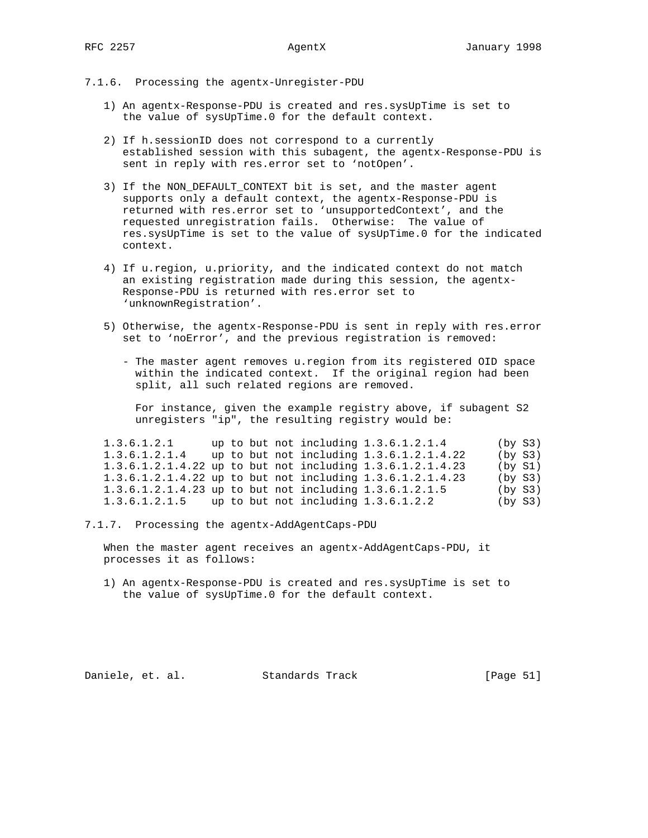- 7.1.6. Processing the agentx-Unregister-PDU
	- 1) An agentx-Response-PDU is created and res.sysUpTime is set to the value of sysUpTime.0 for the default context.
	- 2) If h.sessionID does not correspond to a currently established session with this subagent, the agentx-Response-PDU is sent in reply with res.error set to 'notOpen'.
- 3) If the NON DEFAULT CONTEXT bit is set, and the master agent supports only a default context, the agentx-Response-PDU is returned with res.error set to 'unsupportedContext', and the requested unregistration fails. Otherwise: The value of res.sysUpTime is set to the value of sysUpTime.0 for the indicated context.
	- 4) If u.region, u.priority, and the indicated context do not match an existing registration made during this session, the agentx- Response-PDU is returned with res.error set to 'unknownRegistration'.
	- 5) Otherwise, the agentx-Response-PDU is sent in reply with res.error set to 'noError', and the previous registration is removed:
		- The master agent removes u.region from its registered OID space within the indicated context. If the original region had been split, all such related regions are removed.

 For instance, given the example registry above, if subagent S2 unregisters "ip", the resulting registry would be:

| 1.3.6.1.2.1                                                |  |  | up to but not including $1.3.6.1.2.1.4$    | (by S3) |  |
|------------------------------------------------------------|--|--|--------------------------------------------|---------|--|
| 1.3.6.1.2.1.4                                              |  |  | up to but not including $1.3.6.1.2.1.4.22$ | (by S3) |  |
| 1.3.6.1.2.1.4.22 up to but not including 1.3.6.1.2.1.4.23  |  |  |                                            | (by S1) |  |
| 1.3.6.1.2.1.4.22 up to but not including 1.3.6.1.2.1.4.23  |  |  |                                            | (by S3) |  |
| $1.3.6.1.2.1.4.23$ up to but not including $1.3.6.1.2.1.5$ |  |  |                                            | (by S3) |  |
| $1.3.6.1.2.1.5$ up to but not including $1.3.6.1.2.2$      |  |  |                                            | (by S3) |  |

7.1.7. Processing the agentx-AddAgentCaps-PDU

 When the master agent receives an agentx-AddAgentCaps-PDU, it processes it as follows:

 1) An agentx-Response-PDU is created and res.sysUpTime is set to the value of sysUpTime.0 for the default context.

Daniele, et. al. Standards Track [Page 51]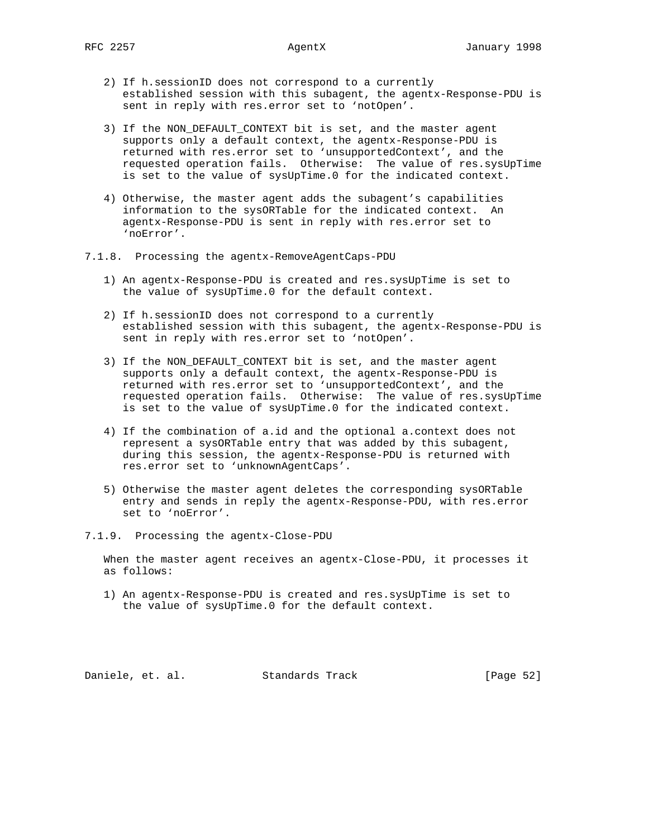- 2) If h.sessionID does not correspond to a currently established session with this subagent, the agentx-Response-PDU is sent in reply with res.error set to 'notOpen'.
- 3) If the NON\_DEFAULT\_CONTEXT bit is set, and the master agent supports only a default context, the agentx-Response-PDU is returned with res.error set to 'unsupportedContext', and the requested operation fails. Otherwise: The value of res.sysUpTime is set to the value of sysUpTime.0 for the indicated context.
- 4) Otherwise, the master agent adds the subagent's capabilities information to the sysORTable for the indicated context. An agentx-Response-PDU is sent in reply with res.error set to 'noError'.
- 7.1.8. Processing the agentx-RemoveAgentCaps-PDU
	- 1) An agentx-Response-PDU is created and res.sysUpTime is set to the value of sysUpTime.0 for the default context.
	- 2) If h.sessionID does not correspond to a currently established session with this subagent, the agentx-Response-PDU is sent in reply with res.error set to 'notOpen'.
	- 3) If the NON\_DEFAULT\_CONTEXT bit is set, and the master agent supports only a default context, the agentx-Response-PDU is returned with res.error set to 'unsupportedContext', and the requested operation fails. Otherwise: The value of res.sysUpTime is set to the value of sysUpTime.0 for the indicated context.
	- 4) If the combination of a.id and the optional a.context does not represent a sysORTable entry that was added by this subagent, during this session, the agentx-Response-PDU is returned with res.error set to 'unknownAgentCaps'.
	- 5) Otherwise the master agent deletes the corresponding sysORTable entry and sends in reply the agentx-Response-PDU, with res.error set to 'noError'.
- 7.1.9. Processing the agentx-Close-PDU

 When the master agent receives an agentx-Close-PDU, it processes it as follows:

 1) An agentx-Response-PDU is created and res.sysUpTime is set to the value of sysUpTime.0 for the default context.

Daniele, et. al. Standards Track [Page 52]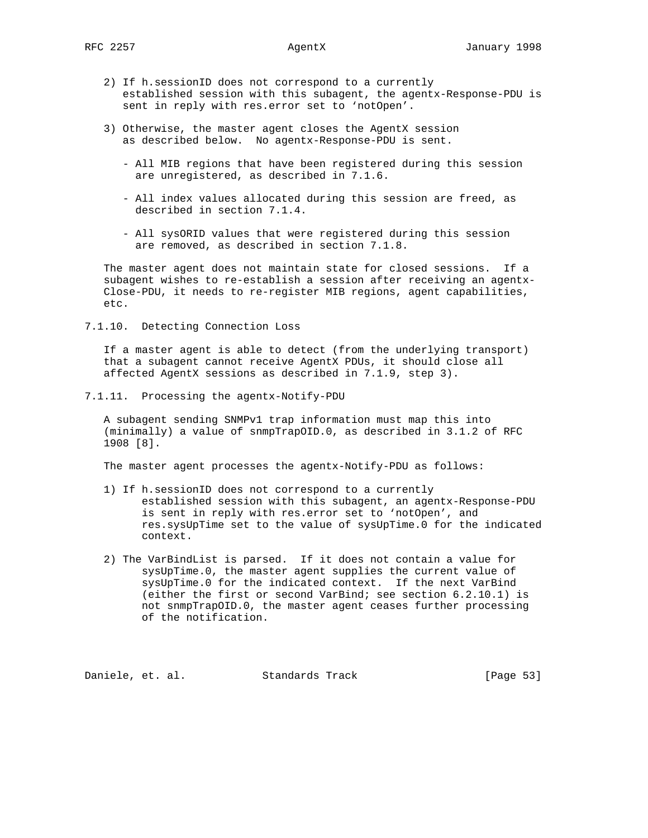- 2) If h.sessionID does not correspond to a currently established session with this subagent, the agentx-Response-PDU is sent in reply with res.error set to 'notOpen'.
- 3) Otherwise, the master agent closes the AgentX session as described below. No agentx-Response-PDU is sent.
	- All MIB regions that have been registered during this session are unregistered, as described in 7.1.6.
	- All index values allocated during this session are freed, as described in section 7.1.4.
	- All sysORID values that were registered during this session are removed, as described in section 7.1.8.

 The master agent does not maintain state for closed sessions. If a subagent wishes to re-establish a session after receiving an agentx- Close-PDU, it needs to re-register MIB regions, agent capabilities, etc.

7.1.10. Detecting Connection Loss

 If a master agent is able to detect (from the underlying transport) that a subagent cannot receive AgentX PDUs, it should close all affected AgentX sessions as described in 7.1.9, step 3).

7.1.11. Processing the agentx-Notify-PDU

 A subagent sending SNMPv1 trap information must map this into (minimally) a value of snmpTrapOID.0, as described in 3.1.2 of RFC 1908 [8].

The master agent processes the agentx-Notify-PDU as follows:

- 1) If h.sessionID does not correspond to a currently established session with this subagent, an agentx-Response-PDU is sent in reply with res.error set to 'notOpen', and res.sysUpTime set to the value of sysUpTime.0 for the indicated context.
- 2) The VarBindList is parsed. If it does not contain a value for sysUpTime.0, the master agent supplies the current value of sysUpTime.0 for the indicated context. If the next VarBind (either the first or second VarBind; see section 6.2.10.1) is not snmpTrapOID.0, the master agent ceases further processing of the notification.

Daniele, et. al. Standards Track [Page 53]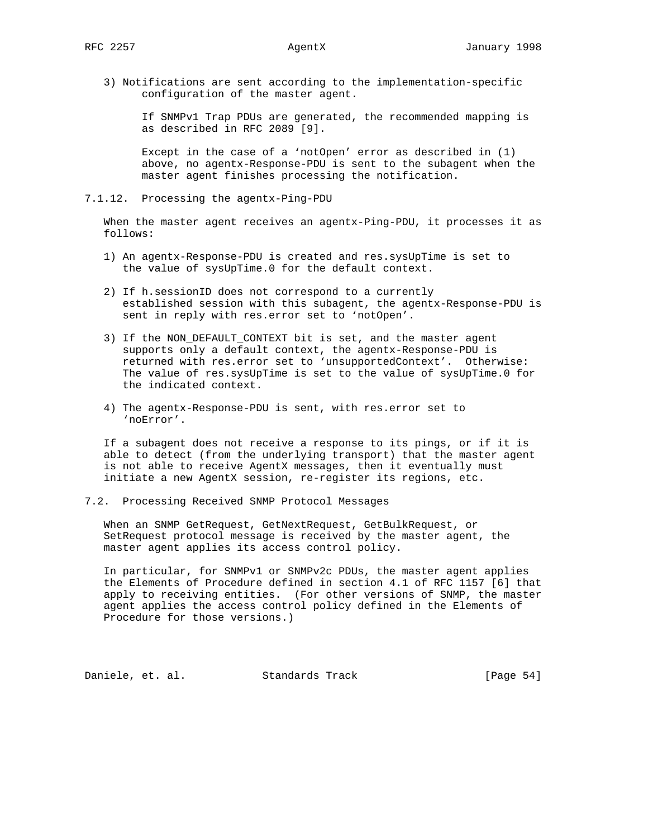3) Notifications are sent according to the implementation-specific configuration of the master agent.

 If SNMPv1 Trap PDUs are generated, the recommended mapping is as described in RFC 2089 [9].

 Except in the case of a 'notOpen' error as described in (1) above, no agentx-Response-PDU is sent to the subagent when the master agent finishes processing the notification.

7.1.12. Processing the agentx-Ping-PDU

 When the master agent receives an agentx-Ping-PDU, it processes it as follows:

- 1) An agentx-Response-PDU is created and res.sysUpTime is set to the value of sysUpTime.0 for the default context.
- 2) If h.sessionID does not correspond to a currently established session with this subagent, the agentx-Response-PDU is sent in reply with res.error set to 'notOpen'.
- 3) If the NON\_DEFAULT\_CONTEXT bit is set, and the master agent supports only a default context, the agentx-Response-PDU is returned with res.error set to 'unsupportedContext'. Otherwise: The value of res.sysUpTime is set to the value of sysUpTime.0 for the indicated context.
- 4) The agentx-Response-PDU is sent, with res.error set to 'noError'.

 If a subagent does not receive a response to its pings, or if it is able to detect (from the underlying transport) that the master agent is not able to receive AgentX messages, then it eventually must initiate a new AgentX session, re-register its regions, etc.

7.2. Processing Received SNMP Protocol Messages

 When an SNMP GetRequest, GetNextRequest, GetBulkRequest, or SetRequest protocol message is received by the master agent, the master agent applies its access control policy.

 In particular, for SNMPv1 or SNMPv2c PDUs, the master agent applies the Elements of Procedure defined in section 4.1 of RFC 1157 [6] that apply to receiving entities. (For other versions of SNMP, the master agent applies the access control policy defined in the Elements of Procedure for those versions.)

Daniele, et. al. Standards Track [Page 54]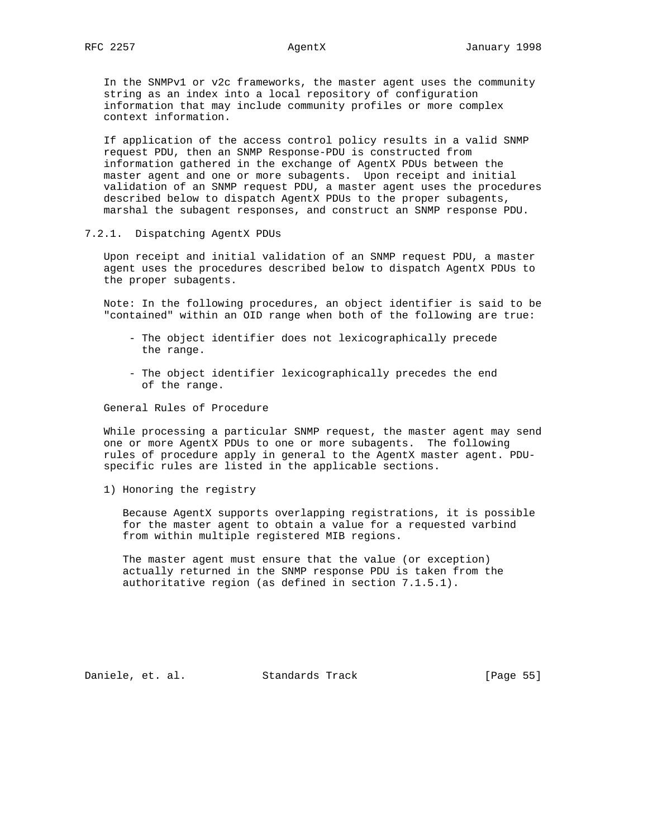In the SNMPv1 or v2c frameworks, the master agent uses the community string as an index into a local repository of configuration information that may include community profiles or more complex context information.

 If application of the access control policy results in a valid SNMP request PDU, then an SNMP Response-PDU is constructed from information gathered in the exchange of AgentX PDUs between the master agent and one or more subagents. Upon receipt and initial validation of an SNMP request PDU, a master agent uses the procedures described below to dispatch AgentX PDUs to the proper subagents, marshal the subagent responses, and construct an SNMP response PDU.

### 7.2.1. Dispatching AgentX PDUs

 Upon receipt and initial validation of an SNMP request PDU, a master agent uses the procedures described below to dispatch AgentX PDUs to the proper subagents.

 Note: In the following procedures, an object identifier is said to be "contained" within an OID range when both of the following are true:

- The object identifier does not lexicographically precede the range.
- The object identifier lexicographically precedes the end of the range.

General Rules of Procedure

 While processing a particular SNMP request, the master agent may send one or more AgentX PDUs to one or more subagents. The following rules of procedure apply in general to the AgentX master agent. PDUspecific rules are listed in the applicable sections.

1) Honoring the registry

 Because AgentX supports overlapping registrations, it is possible for the master agent to obtain a value for a requested varbind from within multiple registered MIB regions.

 The master agent must ensure that the value (or exception) actually returned in the SNMP response PDU is taken from the authoritative region (as defined in section 7.1.5.1).

Daniele, et. al. Standards Track [Page 55]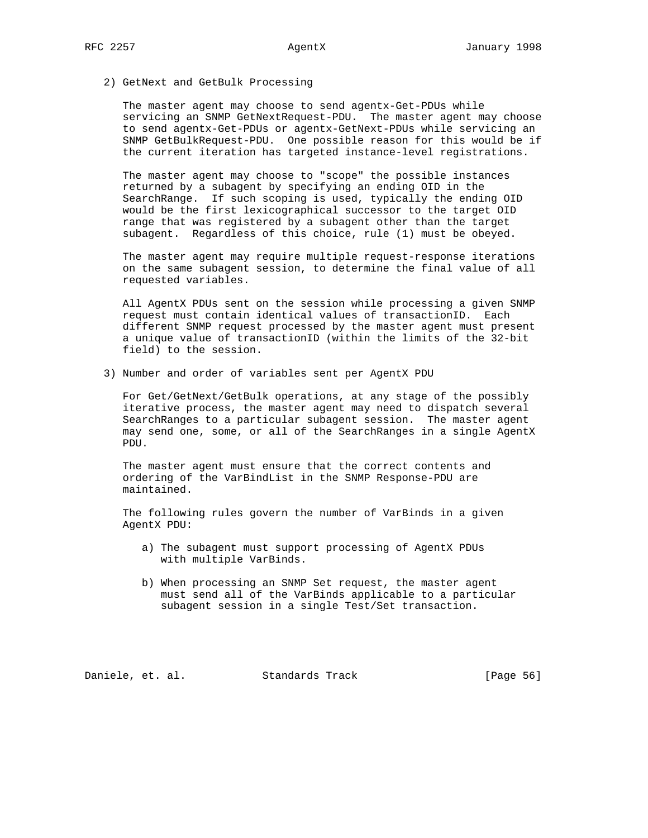2) GetNext and GetBulk Processing

 The master agent may choose to send agentx-Get-PDUs while servicing an SNMP GetNextRequest-PDU. The master agent may choose to send agentx-Get-PDUs or agentx-GetNext-PDUs while servicing an SNMP GetBulkRequest-PDU. One possible reason for this would be if the current iteration has targeted instance-level registrations.

 The master agent may choose to "scope" the possible instances returned by a subagent by specifying an ending OID in the SearchRange. If such scoping is used, typically the ending OID would be the first lexicographical successor to the target OID range that was registered by a subagent other than the target subagent. Regardless of this choice, rule (1) must be obeyed.

 The master agent may require multiple request-response iterations on the same subagent session, to determine the final value of all requested variables.

 All AgentX PDUs sent on the session while processing a given SNMP request must contain identical values of transactionID. Each different SNMP request processed by the master agent must present a unique value of transactionID (within the limits of the 32-bit field) to the session.

3) Number and order of variables sent per AgentX PDU

 For Get/GetNext/GetBulk operations, at any stage of the possibly iterative process, the master agent may need to dispatch several SearchRanges to a particular subagent session. The master agent may send one, some, or all of the SearchRanges in a single AgentX PDU.

 The master agent must ensure that the correct contents and ordering of the VarBindList in the SNMP Response-PDU are maintained.

 The following rules govern the number of VarBinds in a given AgentX PDU:

- a) The subagent must support processing of AgentX PDUs with multiple VarBinds.
- b) When processing an SNMP Set request, the master agent must send all of the VarBinds applicable to a particular subagent session in a single Test/Set transaction.

Daniele, et. al. Standards Track [Page 56]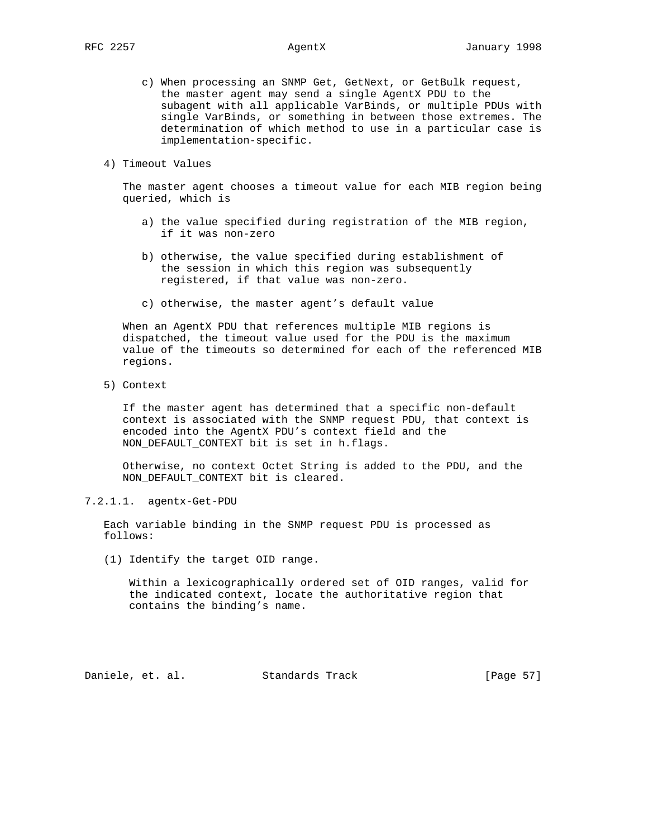- c) When processing an SNMP Get, GetNext, or GetBulk request, the master agent may send a single AgentX PDU to the subagent with all applicable VarBinds, or multiple PDUs with single VarBinds, or something in between those extremes. The determination of which method to use in a particular case is implementation-specific.
- 4) Timeout Values

 The master agent chooses a timeout value for each MIB region being queried, which is

- a) the value specified during registration of the MIB region, if it was non-zero
- b) otherwise, the value specified during establishment of the session in which this region was subsequently registered, if that value was non-zero.
- c) otherwise, the master agent's default value

 When an AgentX PDU that references multiple MIB regions is dispatched, the timeout value used for the PDU is the maximum value of the timeouts so determined for each of the referenced MIB regions.

5) Context

 If the master agent has determined that a specific non-default context is associated with the SNMP request PDU, that context is encoded into the AgentX PDU's context field and the NON\_DEFAULT\_CONTEXT bit is set in h.flags.

 Otherwise, no context Octet String is added to the PDU, and the NON\_DEFAULT\_CONTEXT bit is cleared.

# 7.2.1.1. agentx-Get-PDU

 Each variable binding in the SNMP request PDU is processed as follows:

(1) Identify the target OID range.

 Within a lexicographically ordered set of OID ranges, valid for the indicated context, locate the authoritative region that contains the binding's name.

Daniele, et. al. Standards Track [Page 57]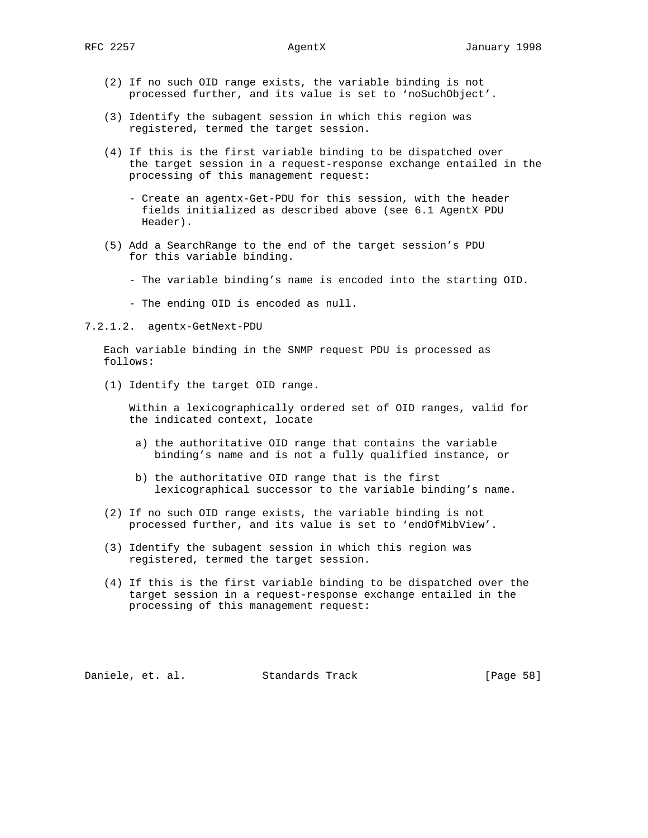- (2) If no such OID range exists, the variable binding is not processed further, and its value is set to 'noSuchObject'.
- (3) Identify the subagent session in which this region was registered, termed the target session.
- (4) If this is the first variable binding to be dispatched over the target session in a request-response exchange entailed in the processing of this management request:
	- Create an agentx-Get-PDU for this session, with the header fields initialized as described above (see 6.1 AgentX PDU Header).
- (5) Add a SearchRange to the end of the target session's PDU for this variable binding.
	- The variable binding's name is encoded into the starting OID.
	- The ending OID is encoded as null.

7.2.1.2. agentx-GetNext-PDU

 Each variable binding in the SNMP request PDU is processed as follows:

(1) Identify the target OID range.

 Within a lexicographically ordered set of OID ranges, valid for the indicated context, locate

- a) the authoritative OID range that contains the variable binding's name and is not a fully qualified instance, or
- b) the authoritative OID range that is the first lexicographical successor to the variable binding's name.
- (2) If no such OID range exists, the variable binding is not processed further, and its value is set to 'endOfMibView'.
- (3) Identify the subagent session in which this region was registered, termed the target session.
- (4) If this is the first variable binding to be dispatched over the target session in a request-response exchange entailed in the processing of this management request:

Daniele, et. al. Standards Track [Page 58]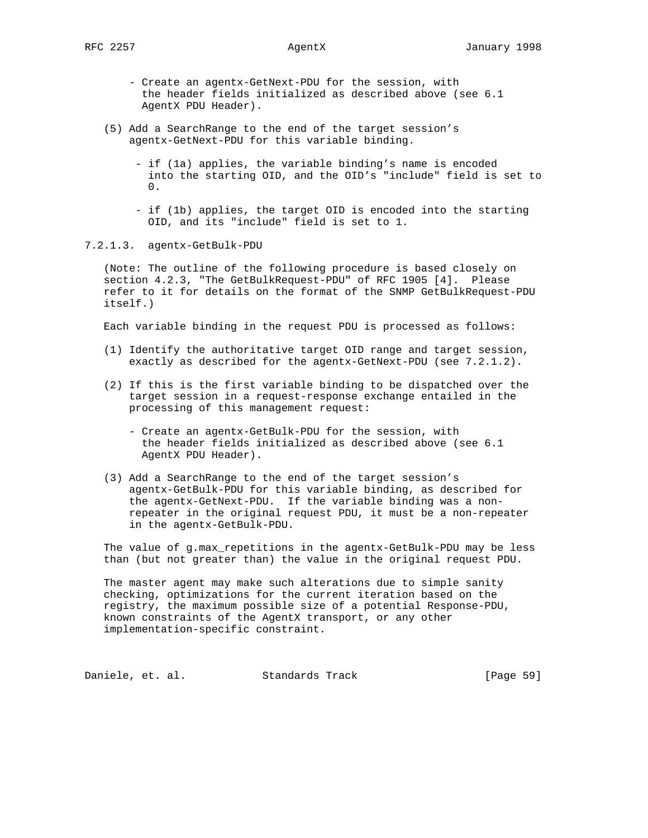- Create an agentx-GetNext-PDU for the session, with the header fields initialized as described above (see 6.1 AgentX PDU Header).
- (5) Add a SearchRange to the end of the target session's agentx-GetNext-PDU for this variable binding.
	- if (1a) applies, the variable binding's name is encoded into the starting OID, and the OID's "include" field is set to  $\Omega$ .
	- if (1b) applies, the target OID is encoded into the starting OID, and its "include" field is set to 1.

7.2.1.3. agentx-GetBulk-PDU

 (Note: The outline of the following procedure is based closely on section 4.2.3, "The GetBulkRequest-PDU" of RFC 1905 [4]. Please refer to it for details on the format of the SNMP GetBulkRequest-PDU itself.)

Each variable binding in the request PDU is processed as follows:

- (1) Identify the authoritative target OID range and target session, exactly as described for the agentx-GetNext-PDU (see 7.2.1.2).
- (2) If this is the first variable binding to be dispatched over the target session in a request-response exchange entailed in the processing of this management request:
	- Create an agentx-GetBulk-PDU for the session, with the header fields initialized as described above (see 6.1 AgentX PDU Header).
- (3) Add a SearchRange to the end of the target session's agentx-GetBulk-PDU for this variable binding, as described for the agentx-GetNext-PDU. If the variable binding was a non repeater in the original request PDU, it must be a non-repeater in the agentx-GetBulk-PDU.

 The value of g.max\_repetitions in the agentx-GetBulk-PDU may be less than (but not greater than) the value in the original request PDU.

 The master agent may make such alterations due to simple sanity checking, optimizations for the current iteration based on the registry, the maximum possible size of a potential Response-PDU, known constraints of the AgentX transport, or any other implementation-specific constraint.

Daniele, et. al. Standards Track [Page 59]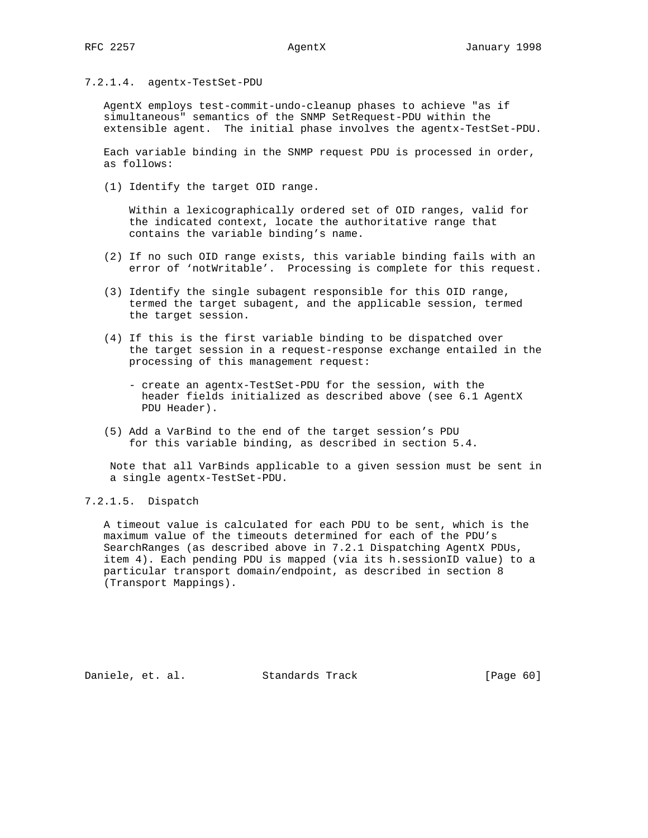# 7.2.1.4. agentx-TestSet-PDU

 AgentX employs test-commit-undo-cleanup phases to achieve "as if simultaneous" semantics of the SNMP SetRequest-PDU within the extensible agent. The initial phase involves the agentx-TestSet-PDU.

 Each variable binding in the SNMP request PDU is processed in order, as follows:

(1) Identify the target OID range.

 Within a lexicographically ordered set of OID ranges, valid for the indicated context, locate the authoritative range that contains the variable binding's name.

- (2) If no such OID range exists, this variable binding fails with an error of 'notWritable'. Processing is complete for this request.
- (3) Identify the single subagent responsible for this OID range, termed the target subagent, and the applicable session, termed the target session.
- (4) If this is the first variable binding to be dispatched over the target session in a request-response exchange entailed in the processing of this management request:
	- create an agentx-TestSet-PDU for the session, with the header fields initialized as described above (see 6.1 AgentX PDU Header).
- (5) Add a VarBind to the end of the target session's PDU for this variable binding, as described in section 5.4.

 Note that all VarBinds applicable to a given session must be sent in a single agentx-TestSet-PDU.

# 7.2.1.5. Dispatch

 A timeout value is calculated for each PDU to be sent, which is the maximum value of the timeouts determined for each of the PDU's SearchRanges (as described above in 7.2.1 Dispatching AgentX PDUs, item 4). Each pending PDU is mapped (via its h.sessionID value) to a particular transport domain/endpoint, as described in section 8 (Transport Mappings).

Daniele, et. al. Standards Track [Page 60]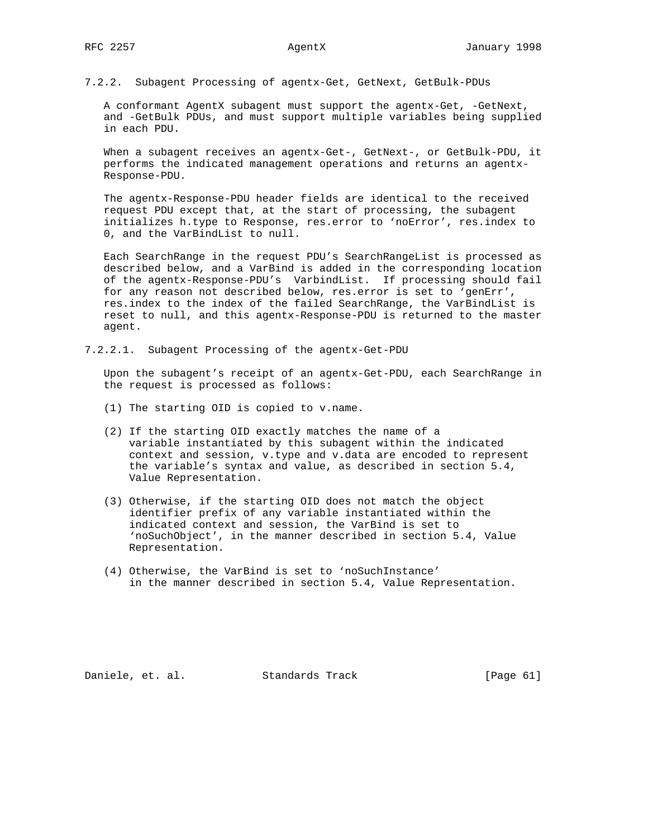7.2.2. Subagent Processing of agentx-Get, GetNext, GetBulk-PDUs

A conformant AgentX subagent must support the agentx-Get, -GetNext, and -GetBulk PDUs, and must support multiple variables being supplied in each PDU.

 When a subagent receives an agentx-Get-, GetNext-, or GetBulk-PDU, it performs the indicated management operations and returns an agentx- Response-PDU.

 The agentx-Response-PDU header fields are identical to the received request PDU except that, at the start of processing, the subagent initializes h.type to Response, res.error to 'noError', res.index to 0, and the VarBindList to null.

 Each SearchRange in the request PDU's SearchRangeList is processed as described below, and a VarBind is added in the corresponding location of the agentx-Response-PDU's VarbindList. If processing should fail for any reason not described below, res.error is set to 'genErr', res.index to the index of the failed SearchRange, the VarBindList is reset to null, and this agentx-Response-PDU is returned to the master agent.

7.2.2.1. Subagent Processing of the agentx-Get-PDU

 Upon the subagent's receipt of an agentx-Get-PDU, each SearchRange in the request is processed as follows:

- (1) The starting OID is copied to v.name.
- (2) If the starting OID exactly matches the name of a variable instantiated by this subagent within the indicated context and session, v.type and v.data are encoded to represent the variable's syntax and value, as described in section 5.4, Value Representation.
- (3) Otherwise, if the starting OID does not match the object identifier prefix of any variable instantiated within the indicated context and session, the VarBind is set to 'noSuchObject', in the manner described in section 5.4, Value Representation.
- (4) Otherwise, the VarBind is set to 'noSuchInstance' in the manner described in section 5.4, Value Representation.

Daniele, et. al. Standards Track [Page 61]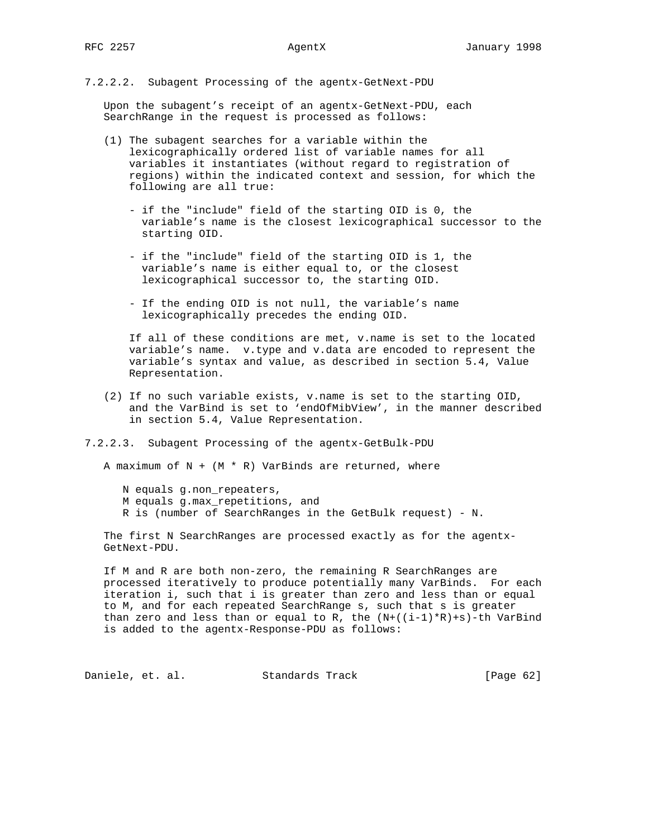7.2.2.2. Subagent Processing of the agentx-GetNext-PDU

 Upon the subagent's receipt of an agentx-GetNext-PDU, each SearchRange in the request is processed as follows:

- (1) The subagent searches for a variable within the lexicographically ordered list of variable names for all variables it instantiates (without regard to registration of regions) within the indicated context and session, for which the following are all true:
	- if the "include" field of the starting OID is 0, the variable's name is the closest lexicographical successor to the starting OID.
	- if the "include" field of the starting OID is 1, the variable's name is either equal to, or the closest lexicographical successor to, the starting OID.
	- If the ending OID is not null, the variable's name lexicographically precedes the ending OID.

 If all of these conditions are met, v.name is set to the located variable's name. v.type and v.data are encoded to represent the variable's syntax and value, as described in section 5.4, Value Representation.

- (2) If no such variable exists, v.name is set to the starting OID, and the VarBind is set to 'endOfMibView', in the manner described in section 5.4, Value Representation.
- 7.2.2.3. Subagent Processing of the agentx-GetBulk-PDU

A maximum of  $N + (M * R)$  VarBinds are returned, where

- N equals g.non\_repeaters,
- M equals g.max\_repetitions, and
- R is (number of SearchRanges in the GetBulk request) N.

 The first N SearchRanges are processed exactly as for the agentx- GetNext-PDU.

 If M and R are both non-zero, the remaining R SearchRanges are processed iteratively to produce potentially many VarBinds. For each iteration i, such that i is greater than zero and less than or equal to M, and for each repeated SearchRange s, such that s is greater than zero and less than or equal to R, the  $(N+((i-1)*R)+s)$ -th VarBind is added to the agentx-Response-PDU as follows:

Daniele, et. al. Standards Track [Page 62]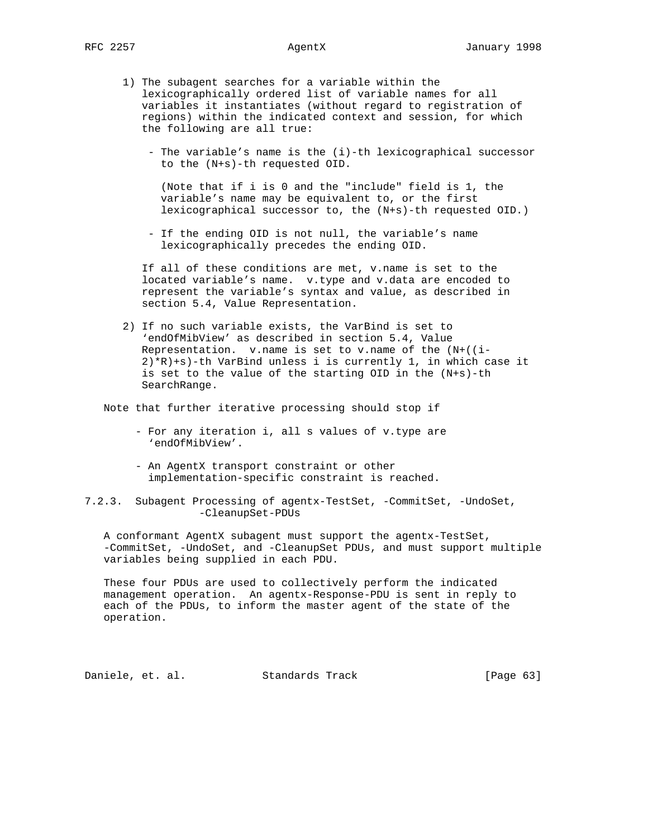- 1) The subagent searches for a variable within the lexicographically ordered list of variable names for all variables it instantiates (without regard to registration of regions) within the indicated context and session, for which the following are all true:
	- The variable's name is the (i)-th lexicographical successor to the (N+s)-th requested OID.

 (Note that if i is 0 and the "include" field is 1, the variable's name may be equivalent to, or the first lexicographical successor to, the (N+s)-th requested OID.)

 - If the ending OID is not null, the variable's name lexicographically precedes the ending OID.

 If all of these conditions are met, v.name is set to the located variable's name. v.type and v.data are encoded to represent the variable's syntax and value, as described in section 5.4, Value Representation.

 2) If no such variable exists, the VarBind is set to 'endOfMibView' as described in section 5.4, Value Representation. v.name is set to v.name of the (N+((i- 2)\*R)+s)-th VarBind unless i is currently 1, in which case it is set to the value of the starting OID in the (N+s)-th SearchRange.

Note that further iterative processing should stop if

- For any iteration i, all s values of v.type are 'endOfMibView'.
- An AgentX transport constraint or other implementation-specific constraint is reached.

7.2.3. Subagent Processing of agentx-TestSet, -CommitSet, -UndoSet, -CleanupSet-PDUs

 A conformant AgentX subagent must support the agentx-TestSet, -CommitSet, -UndoSet, and -CleanupSet PDUs, and must support multiple variables being supplied in each PDU.

 These four PDUs are used to collectively perform the indicated management operation. An agentx-Response-PDU is sent in reply to each of the PDUs, to inform the master agent of the state of the operation.

Daniele, et. al. Standards Track [Page 63]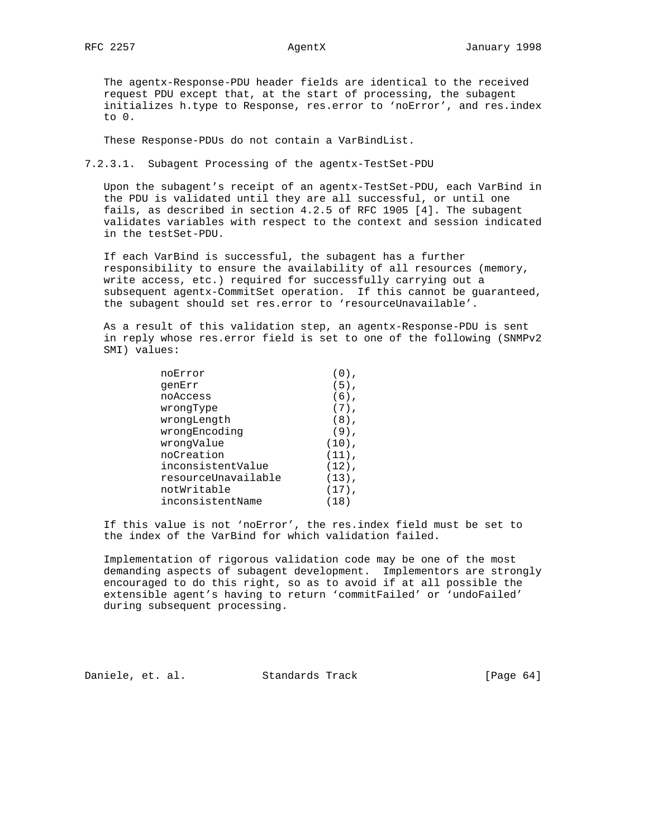The agentx-Response-PDU header fields are identical to the received request PDU except that, at the start of processing, the subagent initializes h.type to Response, res.error to 'noError', and res.index to 0.

These Response-PDUs do not contain a VarBindList.

7.2.3.1. Subagent Processing of the agentx-TestSet-PDU

 Upon the subagent's receipt of an agentx-TestSet-PDU, each VarBind in the PDU is validated until they are all successful, or until one fails, as described in section 4.2.5 of RFC 1905 [4]. The subagent validates variables with respect to the context and session indicated in the testSet-PDU.

 If each VarBind is successful, the subagent has a further responsibility to ensure the availability of all resources (memory, write access, etc.) required for successfully carrying out a subsequent agentx-CommitSet operation. If this cannot be guaranteed, the subagent should set res.error to 'resourceUnavailable'.

 As a result of this validation step, an agentx-Response-PDU is sent in reply whose res.error field is set to one of the following (SNMPv2 SMI) values:

| noError             |          |
|---------------------|----------|
| qenErr              | $(5)$ ,  |
| noAccess            | $(6)$ ,  |
| wrongType           | $(7)$ ,  |
| wrongLength         | $(8)$ ,  |
| wrongEncoding       | $(9)$ ,  |
| wrongValue          | $(10)$ , |
| noCreation          | $(11)$ , |
| inconsistentValue   | $(12)$ , |
| resourceUnavailable | $(13)$ , |
| notWritable         | $(17)$ , |
| inconsistentName    | (18)     |

 If this value is not 'noError', the res.index field must be set to the index of the VarBind for which validation failed.

 Implementation of rigorous validation code may be one of the most demanding aspects of subagent development. Implementors are strongly encouraged to do this right, so as to avoid if at all possible the extensible agent's having to return 'commitFailed' or 'undoFailed' during subsequent processing.

Daniele, et. al. Standards Track [Page 64]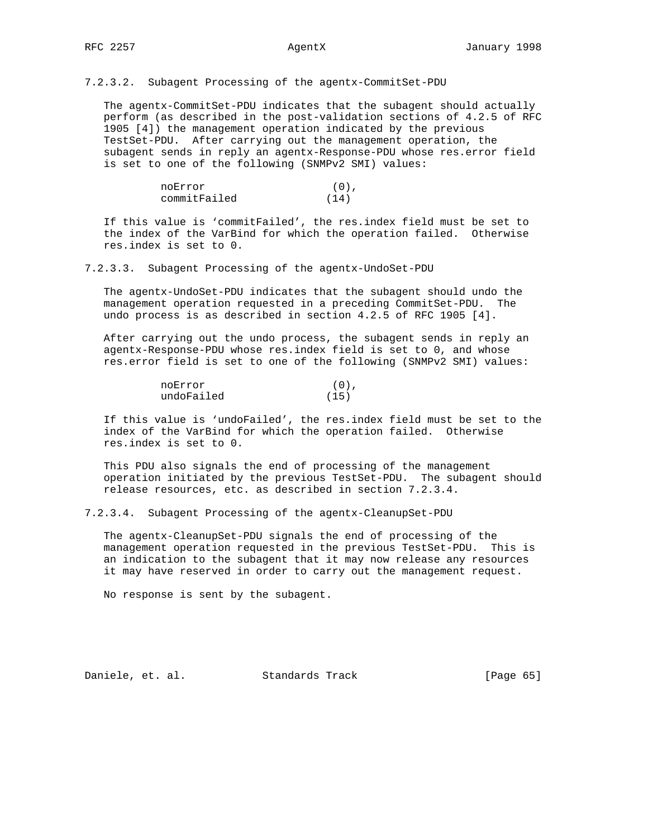7.2.3.2. Subagent Processing of the agentx-CommitSet-PDU

 The agentx-CommitSet-PDU indicates that the subagent should actually perform (as described in the post-validation sections of 4.2.5 of RFC 1905 [4]) the management operation indicated by the previous TestSet-PDU. After carrying out the management operation, the subagent sends in reply an agentx-Response-PDU whose res.error field is set to one of the following (SNMPv2 SMI) values:

| noError      | $(0)$ , |
|--------------|---------|
| commitFailed | (14)    |

 If this value is 'commitFailed', the res.index field must be set to the index of the VarBind for which the operation failed. Otherwise res.index is set to 0.

7.2.3.3. Subagent Processing of the agentx-UndoSet-PDU

 The agentx-UndoSet-PDU indicates that the subagent should undo the management operation requested in a preceding CommitSet-PDU. The undo process is as described in section 4.2.5 of RFC 1905 [4].

 After carrying out the undo process, the subagent sends in reply an agentx-Response-PDU whose res.index field is set to 0, and whose res.error field is set to one of the following (SNMPv2 SMI) values:

| noError    | $(0)$ . |
|------------|---------|
| undoFailed | (15)    |

 If this value is 'undoFailed', the res.index field must be set to the index of the VarBind for which the operation failed. Otherwise res.index is set to 0.

 This PDU also signals the end of processing of the management operation initiated by the previous TestSet-PDU. The subagent should release resources, etc. as described in section 7.2.3.4.

7.2.3.4. Subagent Processing of the agentx-CleanupSet-PDU

 The agentx-CleanupSet-PDU signals the end of processing of the management operation requested in the previous TestSet-PDU. This is an indication to the subagent that it may now release any resources it may have reserved in order to carry out the management request.

No response is sent by the subagent.

Daniele, et. al. Standards Track [Page 65]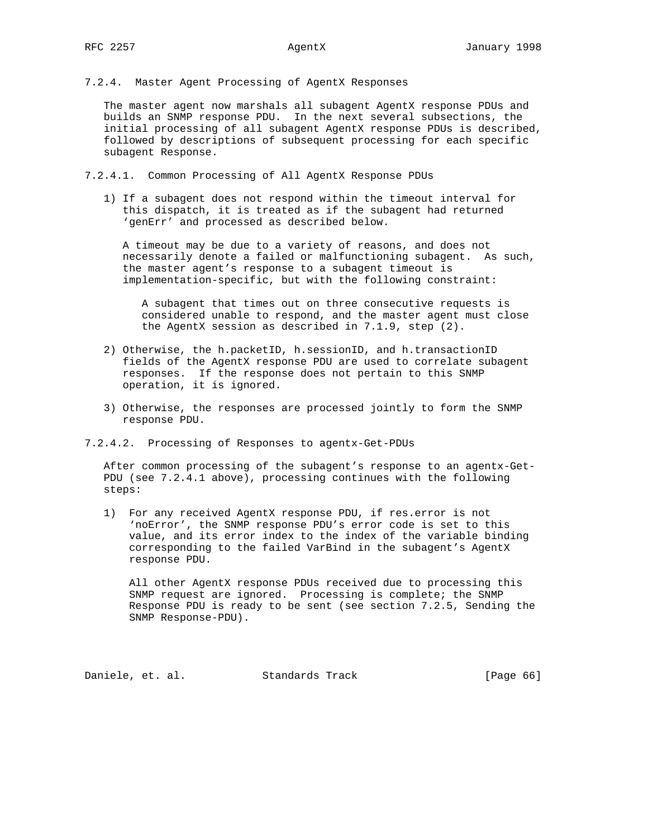7.2.4. Master Agent Processing of AgentX Responses

 The master agent now marshals all subagent AgentX response PDUs and builds an SNMP response PDU. In the next several subsections, the initial processing of all subagent AgentX response PDUs is described, followed by descriptions of subsequent processing for each specific subagent Response.

7.2.4.1. Common Processing of All AgentX Response PDUs

 1) If a subagent does not respond within the timeout interval for this dispatch, it is treated as if the subagent had returned 'genErr' and processed as described below.

 A timeout may be due to a variety of reasons, and does not necessarily denote a failed or malfunctioning subagent. As such, the master agent's response to a subagent timeout is implementation-specific, but with the following constraint:

 A subagent that times out on three consecutive requests is considered unable to respond, and the master agent must close the AgentX session as described in 7.1.9, step (2).

- 2) Otherwise, the h.packetID, h.sessionID, and h.transactionID fields of the AgentX response PDU are used to correlate subagent responses. If the response does not pertain to this SNMP operation, it is ignored.
- 3) Otherwise, the responses are processed jointly to form the SNMP response PDU.
- 7.2.4.2. Processing of Responses to agentx-Get-PDUs

 After common processing of the subagent's response to an agentx-Get- PDU (see 7.2.4.1 above), processing continues with the following steps:

 1) For any received AgentX response PDU, if res.error is not 'noError', the SNMP response PDU's error code is set to this value, and its error index to the index of the variable binding corresponding to the failed VarBind in the subagent's AgentX response PDU.

 All other AgentX response PDUs received due to processing this SNMP request are ignored. Processing is complete; the SNMP Response PDU is ready to be sent (see section 7.2.5, Sending the SNMP Response-PDU).

Daniele, et. al. Standards Track [Page 66]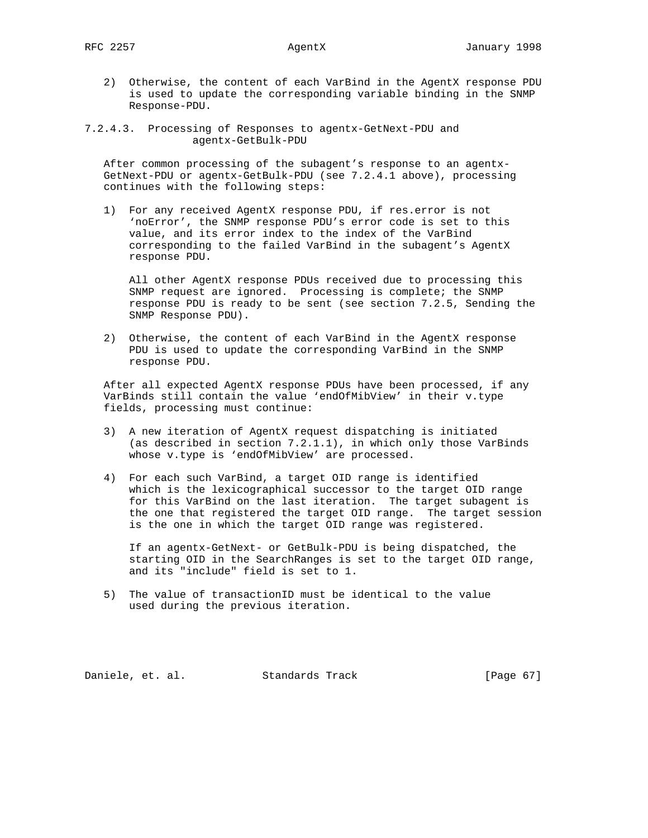- 2) Otherwise, the content of each VarBind in the AgentX response PDU is used to update the corresponding variable binding in the SNMP Response-PDU.
- 7.2.4.3. Processing of Responses to agentx-GetNext-PDU and agentx-GetBulk-PDU

 After common processing of the subagent's response to an agentx- GetNext-PDU or agentx-GetBulk-PDU (see 7.2.4.1 above), processing continues with the following steps:

 1) For any received AgentX response PDU, if res.error is not 'noError', the SNMP response PDU's error code is set to this value, and its error index to the index of the VarBind corresponding to the failed VarBind in the subagent's AgentX response PDU.

 All other AgentX response PDUs received due to processing this SNMP request are ignored. Processing is complete; the SNMP response PDU is ready to be sent (see section 7.2.5, Sending the SNMP Response PDU).

 2) Otherwise, the content of each VarBind in the AgentX response PDU is used to update the corresponding VarBind in the SNMP response PDU.

 After all expected AgentX response PDUs have been processed, if any VarBinds still contain the value 'endOfMibView' in their v.type fields, processing must continue:

- 3) A new iteration of AgentX request dispatching is initiated (as described in section 7.2.1.1), in which only those VarBinds whose v.type is 'endOfMibView' are processed.
- 4) For each such VarBind, a target OID range is identified which is the lexicographical successor to the target OID range for this VarBind on the last iteration. The target subagent is the one that registered the target OID range. The target session is the one in which the target OID range was registered.

 If an agentx-GetNext- or GetBulk-PDU is being dispatched, the starting OID in the SearchRanges is set to the target OID range, and its "include" field is set to 1.

 5) The value of transactionID must be identical to the value used during the previous iteration.

Daniele, et. al. Standards Track [Page 67]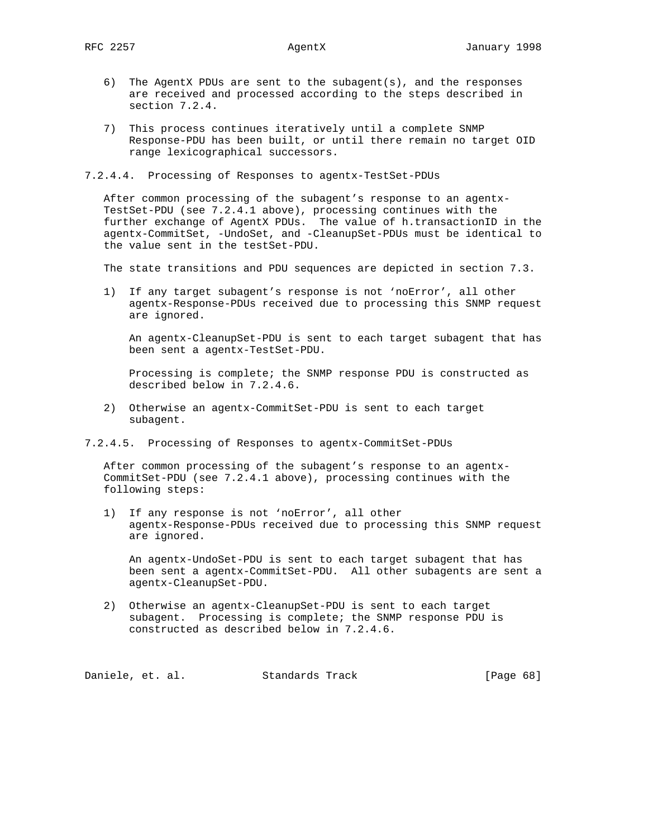- 6) The AgentX PDUs are sent to the subagent(s), and the responses are received and processed according to the steps described in section 7.2.4.
- 7) This process continues iteratively until a complete SNMP Response-PDU has been built, or until there remain no target OID range lexicographical successors.

7.2.4.4. Processing of Responses to agentx-TestSet-PDUs

 After common processing of the subagent's response to an agentx- TestSet-PDU (see 7.2.4.1 above), processing continues with the further exchange of AgentX PDUs. The value of h.transactionID in the agentx-CommitSet, -UndoSet, and -CleanupSet-PDUs must be identical to the value sent in the testSet-PDU.

The state transitions and PDU sequences are depicted in section 7.3.

 1) If any target subagent's response is not 'noError', all other agentx-Response-PDUs received due to processing this SNMP request are ignored.

 An agentx-CleanupSet-PDU is sent to each target subagent that has been sent a agentx-TestSet-PDU.

 Processing is complete; the SNMP response PDU is constructed as described below in 7.2.4.6.

- 2) Otherwise an agentx-CommitSet-PDU is sent to each target subagent.
- 7.2.4.5. Processing of Responses to agentx-CommitSet-PDUs

 After common processing of the subagent's response to an agentx- CommitSet-PDU (see 7.2.4.1 above), processing continues with the following steps:

 1) If any response is not 'noError', all other agentx-Response-PDUs received due to processing this SNMP request are ignored.

 An agentx-UndoSet-PDU is sent to each target subagent that has been sent a agentx-CommitSet-PDU. All other subagents are sent a agentx-CleanupSet-PDU.

 2) Otherwise an agentx-CleanupSet-PDU is sent to each target subagent. Processing is complete; the SNMP response PDU is constructed as described below in 7.2.4.6.

Daniele, et. al. Standards Track [Page 68]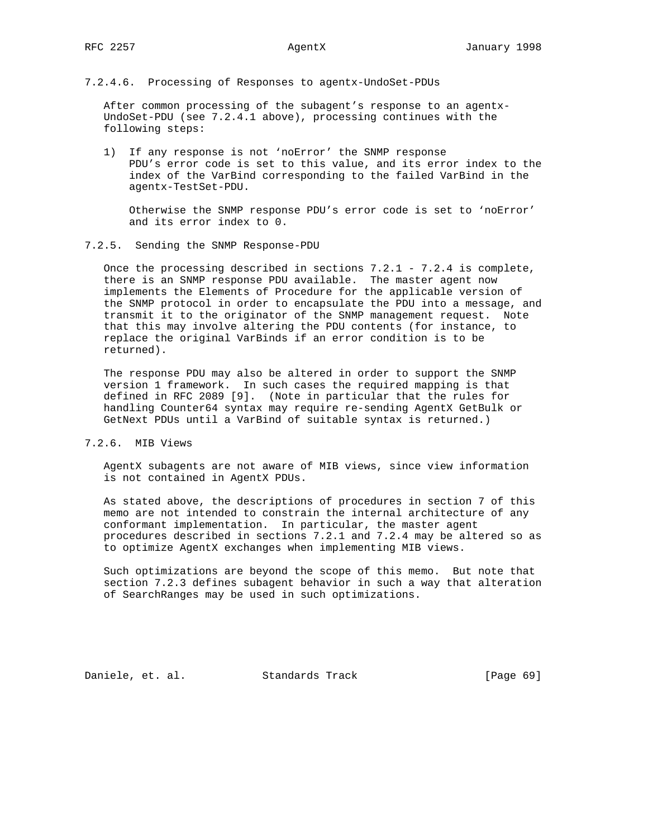7.2.4.6. Processing of Responses to agentx-UndoSet-PDUs

 After common processing of the subagent's response to an agentx- UndoSet-PDU (see 7.2.4.1 above), processing continues with the following steps:

 1) If any response is not 'noError' the SNMP response PDU's error code is set to this value, and its error index to the index of the VarBind corresponding to the failed VarBind in the agentx-TestSet-PDU.

 Otherwise the SNMP response PDU's error code is set to 'noError' and its error index to 0.

7.2.5. Sending the SNMP Response-PDU

Once the processing described in sections  $7.2.1$  -  $7.2.4$  is complete, there is an SNMP response PDU available. The master agent now implements the Elements of Procedure for the applicable version of the SNMP protocol in order to encapsulate the PDU into a message, and transmit it to the originator of the SNMP management request. Note that this may involve altering the PDU contents (for instance, to replace the original VarBinds if an error condition is to be returned).

 The response PDU may also be altered in order to support the SNMP version 1 framework. In such cases the required mapping is that defined in RFC 2089 [9]. (Note in particular that the rules for handling Counter64 syntax may require re-sending AgentX GetBulk or GetNext PDUs until a VarBind of suitable syntax is returned.)

7.2.6. MIB Views

 AgentX subagents are not aware of MIB views, since view information is not contained in AgentX PDUs.

 As stated above, the descriptions of procedures in section 7 of this memo are not intended to constrain the internal architecture of any conformant implementation. In particular, the master agent procedures described in sections 7.2.1 and 7.2.4 may be altered so as to optimize AgentX exchanges when implementing MIB views.

 Such optimizations are beyond the scope of this memo. But note that section 7.2.3 defines subagent behavior in such a way that alteration of SearchRanges may be used in such optimizations.

Daniele, et. al. Standards Track [Page 69]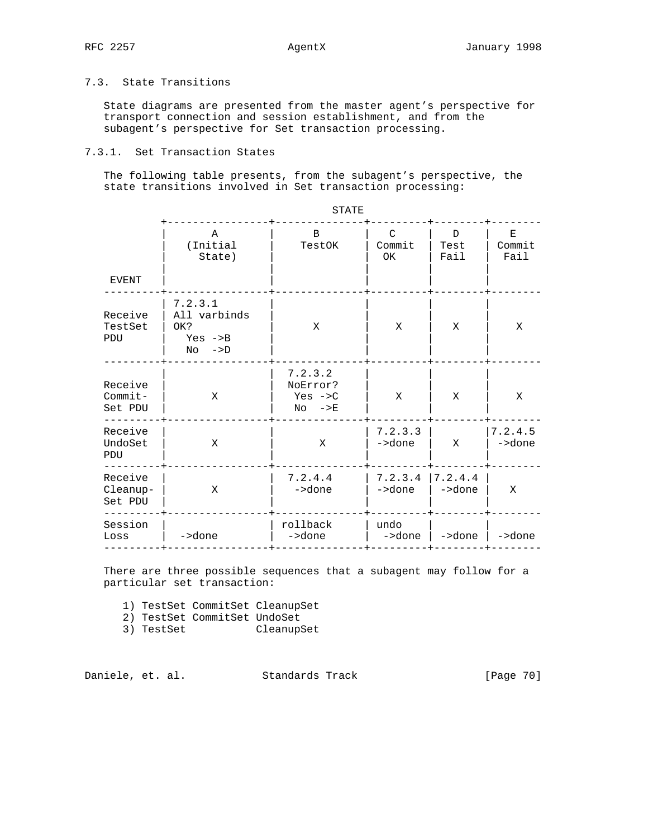# 7.3. State Transitions

 State diagrams are presented from the master agent's perspective for transport connection and session establishment, and from the subagent's perspective for Set transaction processing.

# 7.3.1. Set Transaction States

 The following table presents, from the subagent's perspective, the state transitions involved in Set transaction processing:

| $\mathbf{B}$<br>$\mathcal{C}$<br>A<br>Е<br>D<br>(Initial<br>Commit<br>Commit<br>Test<br>TestOK<br>Fail<br>Fail<br>State)<br>OK<br>EVENT<br>7.2.3.1<br>Receive<br>All varbinds<br>TestSet<br>X<br>Х<br>OK?<br>X<br>X<br>PDU<br>Yes $->B$<br>$No \rightarrow D$<br>7.2.3.2<br>Receive<br>NoError?<br>$Commit-$<br>Yes $->C$<br>X<br>X<br>X<br>X<br>Set PDU<br>$No \rightarrow E$<br>7.2.3.3<br>7.2.4.5<br>Receive<br>UndoSet<br>->done<br>->done<br>X<br>X<br>X<br>PDU<br>7.2.4.4<br>7.2.3.4<br>7.2.4.4<br>Receive<br>Cleanup-<br>->done<br>->done<br>->done<br>X<br>X<br>Set PDU<br>rollback<br>Session<br>undo<br>->done<br>->done<br>->done<br>->done<br>->done<br>Loss |  |  |  |
|--------------------------------------------------------------------------------------------------------------------------------------------------------------------------------------------------------------------------------------------------------------------------------------------------------------------------------------------------------------------------------------------------------------------------------------------------------------------------------------------------------------------------------------------------------------------------------------------------------------------------------------------------------------------------|--|--|--|
|                                                                                                                                                                                                                                                                                                                                                                                                                                                                                                                                                                                                                                                                          |  |  |  |
|                                                                                                                                                                                                                                                                                                                                                                                                                                                                                                                                                                                                                                                                          |  |  |  |
|                                                                                                                                                                                                                                                                                                                                                                                                                                                                                                                                                                                                                                                                          |  |  |  |
|                                                                                                                                                                                                                                                                                                                                                                                                                                                                                                                                                                                                                                                                          |  |  |  |
|                                                                                                                                                                                                                                                                                                                                                                                                                                                                                                                                                                                                                                                                          |  |  |  |
|                                                                                                                                                                                                                                                                                                                                                                                                                                                                                                                                                                                                                                                                          |  |  |  |

STATE STATE STATE STATE STATE STATE STATE STATE STATE STATE STATE STATE STATE STATE STATE STATE STATE STATE STATE STATE STATE STATE STATE STATE STATE STATE STATE STATE STATE STATE STATE STATE STATE STATE STATE STATE STATE

 There are three possible sequences that a subagent may follow for a particular set transaction:

1) TestSet CommitSet CleanupSet

- 2) TestSet CommitSet UndoSet
- 3) TestSet CleanupSet

Daniele, et. al. Standards Track [Page 70]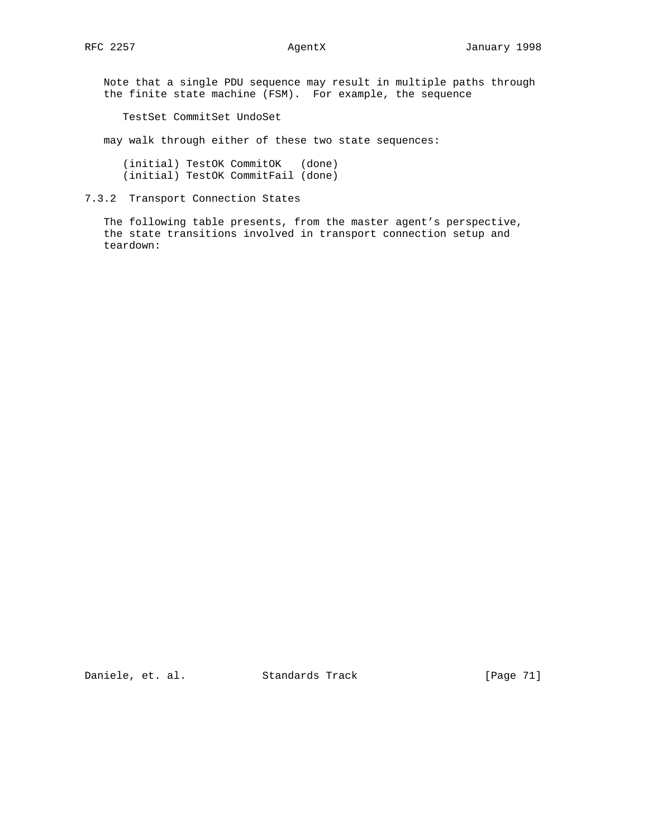Note that a single PDU sequence may result in multiple paths through the finite state machine (FSM). For example, the sequence

TestSet CommitSet UndoSet

may walk through either of these two state sequences:

 (initial) TestOK CommitOK (done) (initial) TestOK CommitFail (done)

7.3.2 Transport Connection States

 The following table presents, from the master agent's perspective, the state transitions involved in transport connection setup and teardown: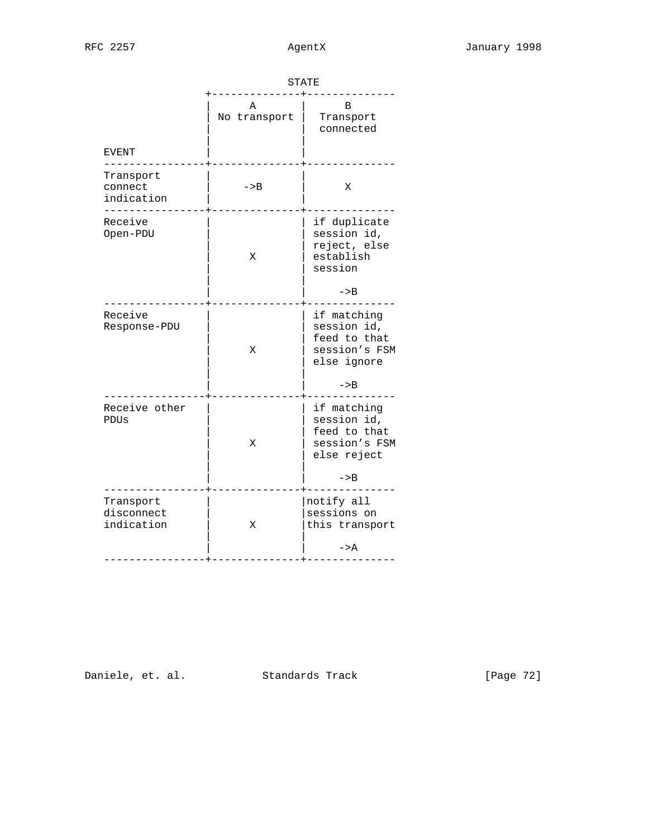|                                       | STATE             |                                                                            |  |  |
|---------------------------------------|-------------------|----------------------------------------------------------------------------|--|--|
| <b>EVENT</b>                          | Α<br>No transport | B<br>Transport<br>connected                                                |  |  |
| Transport<br>connect<br>indication    | $->B$             | X                                                                          |  |  |
| Receive<br>Open-PDU                   | Χ                 | if duplicate<br>session id,<br>reject, else<br>establish<br>session        |  |  |
|                                       |                   | $->B$                                                                      |  |  |
| Receive<br>Response-PDU               | Χ                 | if matching<br>session id,<br>feed to that<br>session's FSM<br>else ignore |  |  |
|                                       |                   | $->B$                                                                      |  |  |
| Receive other<br>PDUS                 | X                 | if matching<br>session id,<br>feed to that<br>session's FSM<br>else reject |  |  |
|                                       |                   | $->B$                                                                      |  |  |
| Transport<br>disconnect<br>indication | X                 | notify all<br>sessions on<br>this transport                                |  |  |
|                                       |                   | $->A$                                                                      |  |  |

Daniele, et. al. Standards Track [Page 72]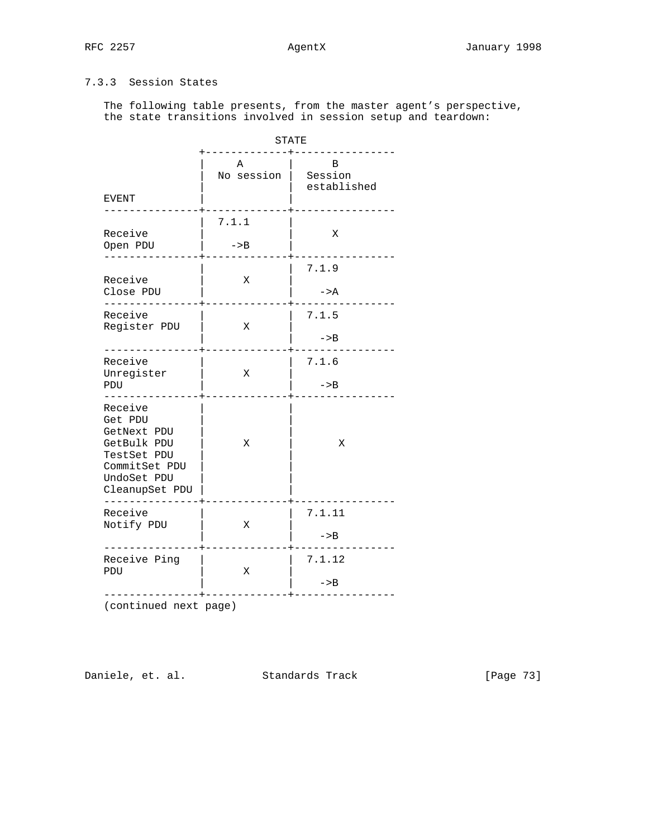# 7.3.3 Session States

 The following table presents, from the master agent's perspective, the state transitions involved in session setup and teardown:

|                                                                                                                   | <b>STATE</b>    |                             |
|-------------------------------------------------------------------------------------------------------------------|-----------------|-----------------------------|
| <b>EVENT</b>                                                                                                      | Α<br>No session | B<br>Session<br>established |
| Receive<br>Open PDU                                                                                               | 7.1.1<br>$->B$  | X                           |
| Receive<br>Close PDU                                                                                              | Χ               | 7.1.9<br>$->A$              |
| Receive<br>Register PDU                                                                                           | Χ               | 7.1.5<br>$->B$              |
| Receive<br>Unregister<br>PDU                                                                                      | X               | 7.1.6<br>$->B$              |
| Receive<br>Get PDU<br>GetNext PDU<br>GetBulk PDU<br>TestSet PDU<br>CommitSet PDU<br>UndoSet PDU<br>CleanupSet PDU | X               | Χ                           |
| Receive<br>Notify PDU                                                                                             | Χ               | 7.1.11<br>$->B$             |
| Receive Ping<br>PDU                                                                                               | X               | 7.1.12<br>$->B$             |

(continued next page)

Daniele, et. al. Standards Track [Page 73]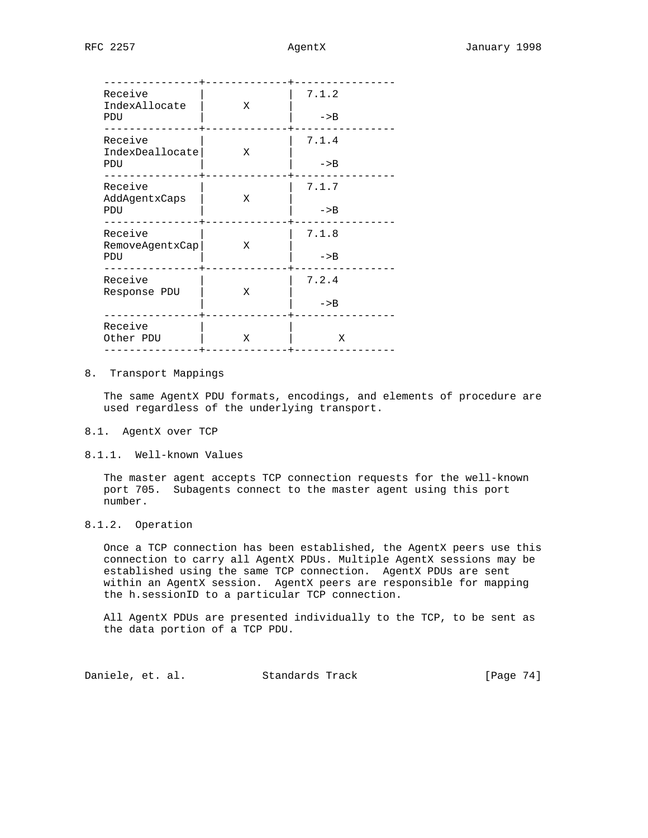| Receive<br>IndexAllocate<br>PDU        | Х | 7.1.2<br>$->B$ |
|----------------------------------------|---|----------------|
| Receive<br>IndexDeallocate<br>PDU      | Χ | 7.1.4<br>$->B$ |
| Receive<br>AddAgentxCaps<br><b>PDU</b> | Χ | 7.1.7<br>$->B$ |
| Receive<br>RemoveAgentxCap<br>PDU      | Χ | 7.1.8<br>$->B$ |
| Receive<br>Response PDU                | Χ | 7.2.4<br>$->B$ |
| Receive<br>Other PDU                   | Χ | Χ              |

### 8. Transport Mappings

 The same AgentX PDU formats, encodings, and elements of procedure are used regardless of the underlying transport.

#### 8.1. AgentX over TCP

8.1.1. Well-known Values

 The master agent accepts TCP connection requests for the well-known port 705. Subagents connect to the master agent using this port number.

## 8.1.2. Operation

 Once a TCP connection has been established, the AgentX peers use this connection to carry all AgentX PDUs. Multiple AgentX sessions may be established using the same TCP connection. AgentX PDUs are sent within an AgentX session. AgentX peers are responsible for mapping the h.sessionID to a particular TCP connection.

 All AgentX PDUs are presented individually to the TCP, to be sent as the data portion of a TCP PDU.

Daniele, et. al. Standards Track [Page 74]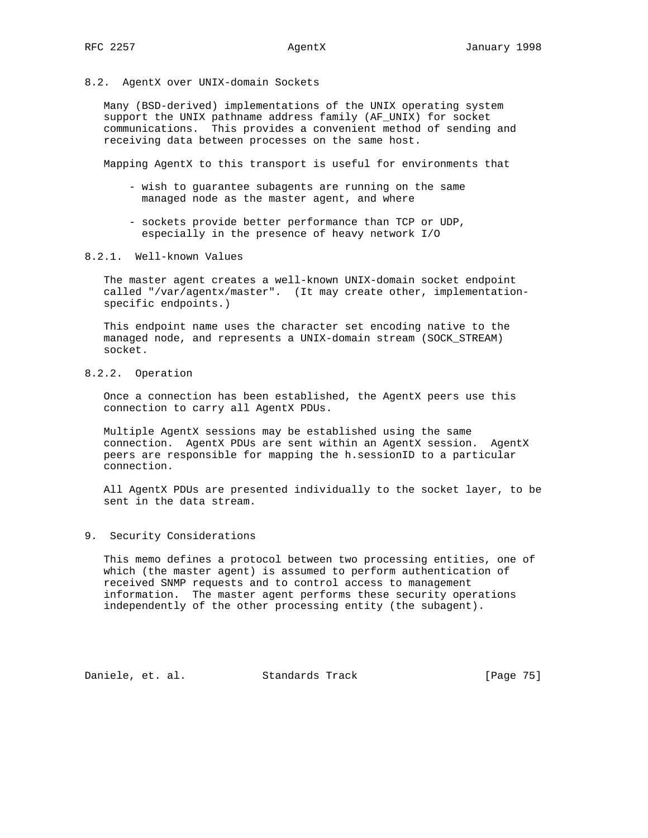8.2. AgentX over UNIX-domain Sockets

 Many (BSD-derived) implementations of the UNIX operating system support the UNIX pathname address family (AF\_UNIX) for socket communications. This provides a convenient method of sending and receiving data between processes on the same host.

Mapping AgentX to this transport is useful for environments that

- wish to guarantee subagents are running on the same managed node as the master agent, and where
- sockets provide better performance than TCP or UDP, especially in the presence of heavy network I/O
- 8.2.1. Well-known Values

 The master agent creates a well-known UNIX-domain socket endpoint called "/var/agentx/master". (It may create other, implementation specific endpoints.)

 This endpoint name uses the character set encoding native to the managed node, and represents a UNIX-domain stream (SOCK\_STREAM) socket.

8.2.2. Operation

 Once a connection has been established, the AgentX peers use this connection to carry all AgentX PDUs.

 Multiple AgentX sessions may be established using the same connection. AgentX PDUs are sent within an AgentX session. AgentX peers are responsible for mapping the h.sessionID to a particular connection.

 All AgentX PDUs are presented individually to the socket layer, to be sent in the data stream.

### 9. Security Considerations

 This memo defines a protocol between two processing entities, one of which (the master agent) is assumed to perform authentication of received SNMP requests and to control access to management information. The master agent performs these security operations independently of the other processing entity (the subagent).

Daniele, et. al. Standards Track [Page 75]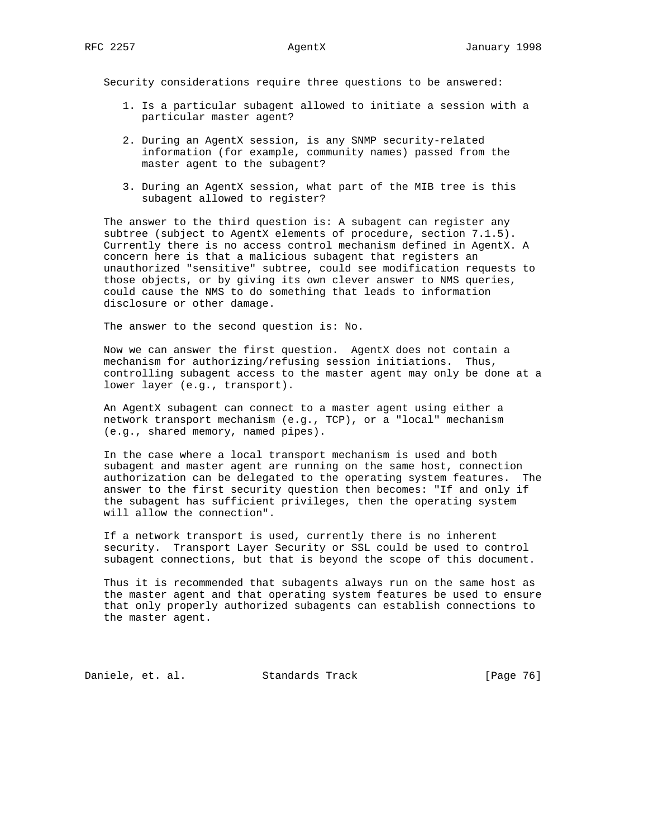Security considerations require three questions to be answered:

- 1. Is a particular subagent allowed to initiate a session with a particular master agent?
- 2. During an AgentX session, is any SNMP security-related information (for example, community names) passed from the master agent to the subagent?
- 3. During an AgentX session, what part of the MIB tree is this subagent allowed to register?

 The answer to the third question is: A subagent can register any subtree (subject to AgentX elements of procedure, section 7.1.5). Currently there is no access control mechanism defined in AgentX. A concern here is that a malicious subagent that registers an unauthorized "sensitive" subtree, could see modification requests to those objects, or by giving its own clever answer to NMS queries, could cause the NMS to do something that leads to information disclosure or other damage.

The answer to the second question is: No.

 Now we can answer the first question. AgentX does not contain a mechanism for authorizing/refusing session initiations. Thus, controlling subagent access to the master agent may only be done at a lower layer (e.g., transport).

 An AgentX subagent can connect to a master agent using either a network transport mechanism (e.g., TCP), or a "local" mechanism (e.g., shared memory, named pipes).

 In the case where a local transport mechanism is used and both subagent and master agent are running on the same host, connection authorization can be delegated to the operating system features. The answer to the first security question then becomes: "If and only if the subagent has sufficient privileges, then the operating system will allow the connection".

 If a network transport is used, currently there is no inherent security. Transport Layer Security or SSL could be used to control subagent connections, but that is beyond the scope of this document.

 Thus it is recommended that subagents always run on the same host as the master agent and that operating system features be used to ensure that only properly authorized subagents can establish connections to the master agent.

Daniele, et. al. Standards Track [Page 76]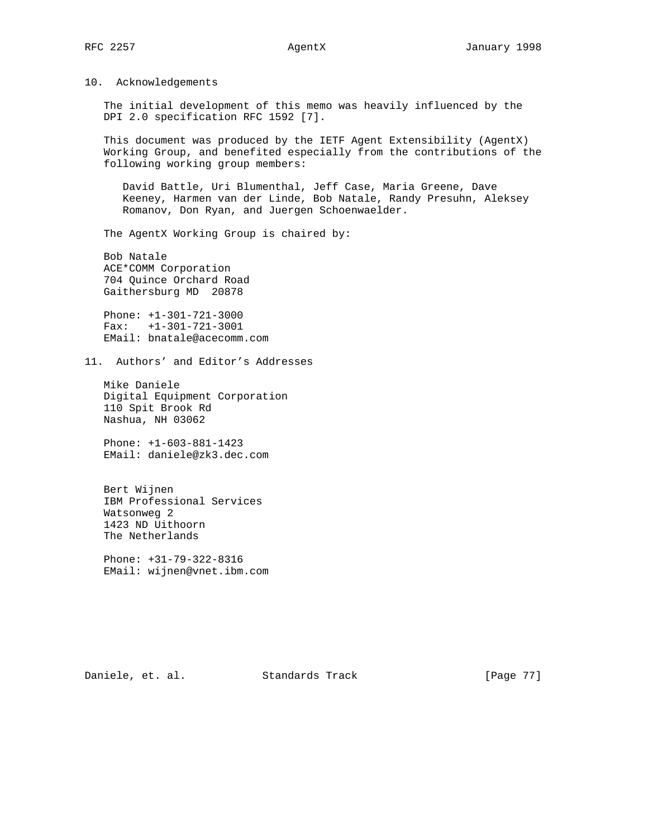### 10. Acknowledgements

 The initial development of this memo was heavily influenced by the DPI 2.0 specification RFC 1592 [7].

 This document was produced by the IETF Agent Extensibility (AgentX) Working Group, and benefited especially from the contributions of the following working group members:

 David Battle, Uri Blumenthal, Jeff Case, Maria Greene, Dave Keeney, Harmen van der Linde, Bob Natale, Randy Presuhn, Aleksey Romanov, Don Ryan, and Juergen Schoenwaelder.

The AgentX Working Group is chaired by:

 Bob Natale ACE\*COMM Corporation 704 Quince Orchard Road Gaithersburg MD 20878

 Phone: +1-301-721-3000 Fax: +1-301-721-3001 EMail: bnatale@acecomm.com

11. Authors' and Editor's Addresses

 Mike Daniele Digital Equipment Corporation 110 Spit Brook Rd Nashua, NH 03062

 Phone: +1-603-881-1423 EMail: daniele@zk3.dec.com

 Bert Wijnen IBM Professional Services Watsonweg 2 1423 ND Uithoorn The Netherlands

 Phone: +31-79-322-8316 EMail: wijnen@vnet.ibm.com

Daniele, et. al. Standards Track [Page 77]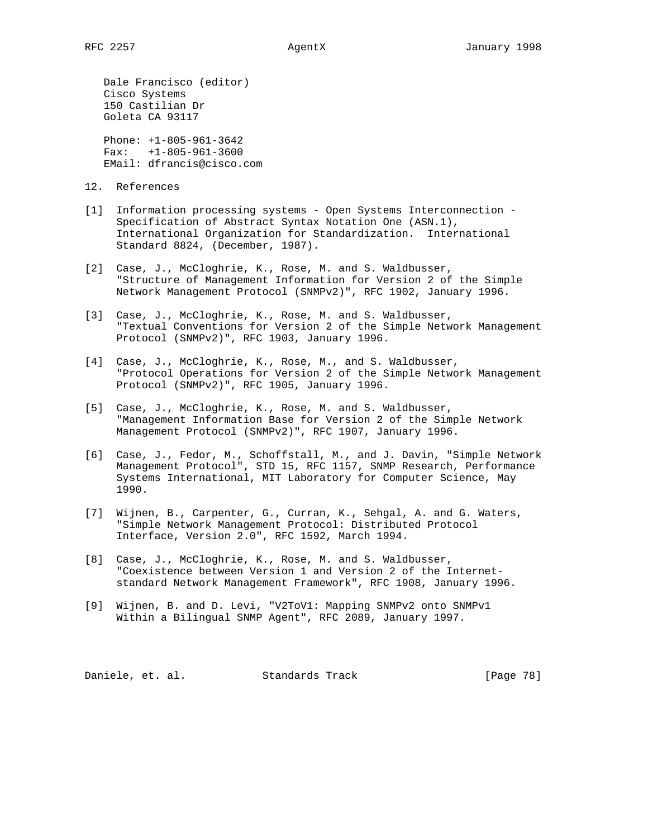Dale Francisco (editor) Cisco Systems 150 Castilian Dr Goleta CA 93117

 Phone: +1-805-961-3642 Fax: +1-805-961-3600 EMail: dfrancis@cisco.com

- 12. References
- [1] Information processing systems Open Systems Interconnection Specification of Abstract Syntax Notation One (ASN.1), International Organization for Standardization. International Standard 8824, (December, 1987).
- [2] Case, J., McCloghrie, K., Rose, M. and S. Waldbusser, "Structure of Management Information for Version 2 of the Simple Network Management Protocol (SNMPv2)", RFC 1902, January 1996.
- [3] Case, J., McCloghrie, K., Rose, M. and S. Waldbusser, "Textual Conventions for Version 2 of the Simple Network Management Protocol (SNMPv2)", RFC 1903, January 1996.
- [4] Case, J., McCloghrie, K., Rose, M., and S. Waldbusser, "Protocol Operations for Version 2 of the Simple Network Management Protocol (SNMPv2)", RFC 1905, January 1996.
- [5] Case, J., McCloghrie, K., Rose, M. and S. Waldbusser, "Management Information Base for Version 2 of the Simple Network Management Protocol (SNMPv2)", RFC 1907, January 1996.
- [6] Case, J., Fedor, M., Schoffstall, M., and J. Davin, "Simple Network Management Protocol", STD 15, RFC 1157, SNMP Research, Performance Systems International, MIT Laboratory for Computer Science, May 1990.
- [7] Wijnen, B., Carpenter, G., Curran, K., Sehgal, A. and G. Waters, "Simple Network Management Protocol: Distributed Protocol Interface, Version 2.0", RFC 1592, March 1994.
- [8] Case, J., McCloghrie, K., Rose, M. and S. Waldbusser, "Coexistence between Version 1 and Version 2 of the Internet standard Network Management Framework", RFC 1908, January 1996.
- [9] Wijnen, B. and D. Levi, "V2ToV1: Mapping SNMPv2 onto SNMPv1 Within a Bilingual SNMP Agent", RFC 2089, January 1997.

Daniele, et. al. Standards Track [Page 78]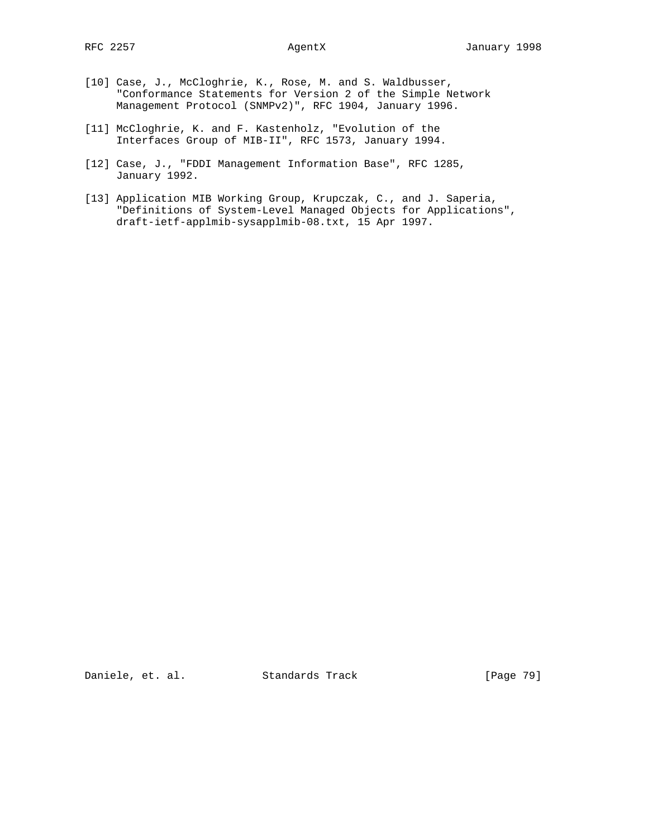- [10] Case, J., McCloghrie, K., Rose, M. and S. Waldbusser, "Conformance Statements for Version 2 of the Simple Network Management Protocol (SNMPv2)", RFC 1904, January 1996.
- [11] McCloghrie, K. and F. Kastenholz, "Evolution of the Interfaces Group of MIB-II", RFC 1573, January 1994.
- [12] Case, J., "FDDI Management Information Base", RFC 1285, January 1992.
- [13] Application MIB Working Group, Krupczak, C., and J. Saperia, "Definitions of System-Level Managed Objects for Applications", draft-ietf-applmib-sysapplmib-08.txt, 15 Apr 1997.

Daniele, et. al. Standards Track [Page 79]